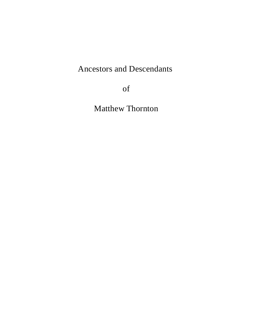# Ancestors and Descendants

of

Matthew Thornton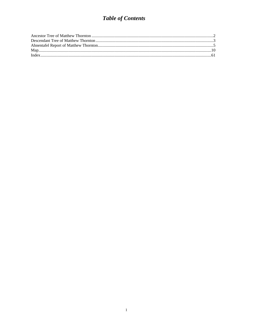# **Table of Contents**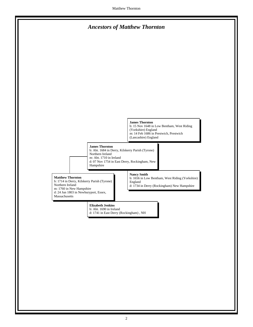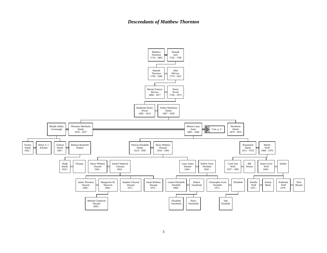# *Descendants of Matthew Thornton*

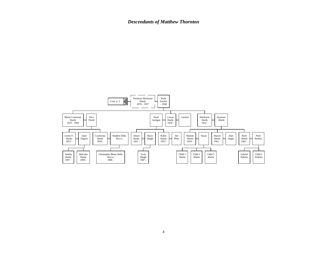*Descendants of Matthew Thornton*

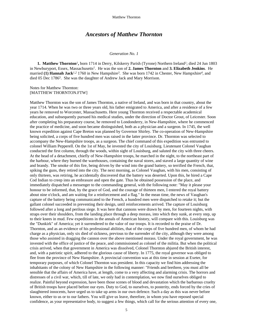# *Ancestors of Matthew Thornton*

#### *Generation No. 1*

**1. Matthew Thornton***<sup>1</sup>* **,** born 1714 in Derry, Kilskerry Parish (Tyrone) Northern Ireland*<sup>1</sup>* ; died 24 Jun 1803 in Newburyport, Essex, Massachusetts*<sup>1</sup>* . He was the son of **2. James Thornton** and **3. Elizabeth Jenkins**. He married **(1) Hannah Jack***1,2* 1760 in New Hampshire*<sup>3</sup>* . She was born 1742 in Chester, New Hampxhire*<sup>4</sup>* , and died 05 Dec 1786*<sup>5</sup>* . She was the daughter of Andrew Jack and Mary Morrison.

Notes for Matthew Thornton: [MATTHEW THORNTON.FTW]

Matthew Thornton was the son of James Thornton, a native of Ireland, and was born in that country, about the year 1714. When he was two or three years old, his father emigrated to America, and after a residence of a few years he removed to Worcester, Massachusetts. Here young Thornton received a respectable academical education, and subsequently pursued his medical studies, under the direction of Doctor Grout, of Leicester. Soon after completing his preparatory course, he removed to Londonderry, in New-Hampshire, where he commenced the practice of medicine, and soon became distinguished, both as a physician and a surgeon. In 1745, the well known expedition against Cape Breton was planned by Governor Shirley. The co-operation of New-Hampshire being solicited, a corps of five hundred men was raised in the latter province. Dr. Thornton was selected to accompany the New-Hampshire troops, as a surgeon. The chief command of this expedition was entrusted to colonel William Pepperell. On the 1st of May, he invested the city of Louisburg. Lieutenant Colonel Vaughan conducted the first column, through the woods, within sight of Louisburg, and saluted the city with three cheers. At the head of a detachment, chiefly of New-Hampshire troops, he marched in the night, to the northeast part of the harbour, where they burned the warehouses, containing the naval stores, and staved a large quantity of wine and brandy. The smoke of this fire, being driven by the wind into the grand battery, so terrified the French, that, spiking the guns, they retired into the city. The next morning, as Colonel Vaughan, with his men, consisting of only thirteen, was retiring, he accidentally discovered that the battery was deserted. Upon this, he hired a Cape Cod Indian to creep into an embrasure and open the gate. Thus he obtained possession of the place, and immediately dispatched a messenger to the commanding general, with the following note: "May it please your honour to be informed, that, by the grace of God, and the courage of thirteen men, I entered the royal battery about nine o'clock, and am waiting for a reinforcement and a flag." In the mean time, the news of Vaughan's capture of the battery being communicated to the French, a hundred men were dispatched to retake it; but the gallant colonel succeeded in preventing their design, until reinforcements arrived. The capture of Louisburg followed after a long and perilous siege. It was here that cannons were drawn by men, for fourteen nights, with straps over their shoulders, from the landing place through a deep morass, into which they sunk, at every step, up to their knees in mud. Few expeditions in the annals of American history, will compare with this. Louisburg was the "Dunkirk" of America; yet it surrendered to the valor of our troops. It is recorded to the praise of Dr. Thornton, and as an evidence of his professional abilities, that of the corps of five hundred men, of whom he had charge as a physician, only six died of sickness, previous to the surrender of the city, although they were among those who assisted in dragging the cannon over the above mentioned morass. Under the royal government, he was invested with the office of justice of the peace, and commissioned as colonel of the militia. But when the political crisis arrived, when that government in America was dissolved, Colonel Thornton abjured the British interest, and, with a patriotic spirit, adhered to the glorious cause of liberty. In 1775, the royal governor was obliged to flee from the province of New Hampshire. A provincial convention was at this time in session at Exeter, for temporary purposes, of which Colonel Thornton was president. In this capacity we find him addressing the inhabitants of the colony of New Hampshire in the following manner: "Friends and brethren, you must all be sensible that the affairs of America have, at length, come to a very affecting and alarming crisis. The horrors and distresses of a civil war, which, till of late, we only had in contemplation, we now find ourselves obliged to realize. Painful beyond expression, have been those scenes of blood and devastation which the barbarous cruelty of British troops have placed before our eyes. Duty to God, to ourselves, to posterity, ends forced by the cries of slaughtered innocents, have urged us to take up arms in our own defence. Such a day as this was never before known, either to us or to our fathers. You will give us leave, therefore, in whom you have reposed special confidence, as your representative body, to suggest a few things, which call for the serious attention of every one,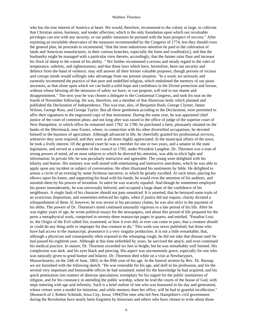who has the true interest of America at heart. We would, therefore, recommend to the colony at large, to cultivate that Christian union, harmony, and tender affection, which is the only foundation upon which our invaluable privileges can rest with any security, or our public measures be pursued with the least prospect of success." After enjoining an inviolable observance of the measures recommended by the Congress of 1774, lest they should cross the general plan, he proceeds to recommend, "that the most industrious attention be paid to the cultivation of lands and American manufactures, in their various branches, especially the linen and woollen[sic], and that the husbandry might be managed with a particular view thereto; accordingly, that the farmer raise flare and increase his flock of sheep to the extent of his ability. " We further recommend a serious and steady regard to the rules of temperance, sobriety, and righteousness; and that those laws which have, heretofore, been our security and defence from the hand of violence, may still answer all their former valuable purposes, though persons of vicious and corrupt minds would willingly take advantage from our present situation. "In a word, we seriously and earnestly recommend the practice of that pure and undefiled religion, which embalmed the memory of our pious ancestors, as that alone upon which we can build a solid hope and confidence in the Divine protection and favour, without whose blessing all the measures of safety we have, or can propose, will end in our shame and disappointment." The next year he was chosen a delegate to the Continental Congress, and took his seat on the fourth of November following. He was, therefore, not a member of that illustrious body which planned and published the Declaration of Independence. This was true, also, of Benjamin Rush, George Clymer, James Wilson, George Ross, and George Taylor. But all these gentlemen acceding to the Declaration, were permitted to affix their signatures to the engrossed copy of that instrument. During the same year, he was appointed chief justice of the court of common pleas; and not long after was raised to the office of judge of the superior court of New Hampshire, in which office he remained until 1782. In 1780, he purchased a farm, pleasantly situated on the banks of the Merrimack, near Exeter, where, in connection with his other diversified occupations, he devoted himself to the business of agriculture. Although advanced in life, he cheerfully granted his professional services, whenever they were required, and they were at all times highly appreciated. In the municipal affairs of the town, he took a lively interest. Of the general court he was a member for one or two years, and a senator in the state legislature, and served as a member of the council in 1785, under President Langdon. Dr. Thornton was a man of strong powers of mind, ad on most subjects to which he directed his attention, was able to elicit light and information. In private life, he was peculiarly instructive and agreeable. The young were delighted with his hilarity and humor. His memory was well stored with entertaining and instructive anecdotes, which he was able to apply upon any incident or subject of conversation. He often illustrated his sentiments by fable. He delighted to amuse a circle of an evening by some fictitious narrative, in which he greatly excelled. At such times, placing his elbows upon his knees, and supporting his head with his hands, he would rivet the attention of his auditors, and astonish them by his powers of invention. In satire he was scarcely equaled. And though he sometimes employed his power immoderately, he was universally beloved, and occupied a large share of the confidence of his neighbours. A single fault of his character should not pass unnoticed. It is asserted, that he betrayed some traits of an avaricious disposition, and sometimes enforced his rights, when if justice did not require, charity dictated a relinquishment of them. If, however, he was severe in his pecuniary claims, he was also strict in the payment of his debts. The powers of Dr. Thornton's mind continued unusually vigorous to a late period of his life. After he was eighty years of age, he wrote political essays for the newspapers, and about this period of life prepared for the press a metaphysical work, comprised in seventy-three manuscript pages in quarto, and entitled, "Paradise Lost; or, the Origin of the Evil called Sin, examined; or how it ever did, or ever can come to pass, that a creature should or could do any thing unfit or improper for that creature to do," This work was never published; but those who have had access to the manuscript, pronounce it a very singular production. It is not a little remarkable, that, although a physician and consequently often exposed to the whooping cough, he did not take that disease until he had passed his eightieth year. Although at this time enfeebled by years, he survived the attack, and even continued his medical practice. In stature, Dr. Thornton exceeded six feet in height, but he was remarkably well formed. His complexion was dark. and his eyes black and piercing. His aspect was uncommonly grave, especially for one who was naturally given to good humor and hilarity. Dr. Thornton died while on a visit at Newburyport, Massachusetts, on the 24th of June, 1803, in the 89th year of his age. In the funeral sermon by Rev. Dr. Burnap, we are furnished with the following sketch. "He was venerable for his age, and skill in his profession, and for the several very important and honourable offices he had sustained; noted for the knowledge he had acquired, and his quick penetration into matters of abstruse speculation; exemplary for his regard for the public institutions of religion, and for his constancy in attending the public worship, where he trod the courts of the house of God, with steps tottering with age arid infirmity. Such is a brief outline of one who was honoured in his day and generation; whose virtues were a model for imitation, and while memory does her office, will be had in grateful recollection." [Research of J, Robert Schmidt; Iowa City, Iowa; 1994]The men who led New Hampshire's civil government during the Revolution have nearly been forgotten by historians and others who have chosen to write about those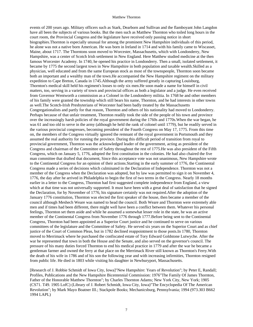events of 200 years ago. Military officers such as Stark, Dearborn and Sullivan and the flamboyant John Langdon have all been the subjects of various books. But the men such as Matthew Thornton who toiled long hours in the court room, the Provincial Congress and the legislature have received only passing notice in short biographies.Thornton is especially unusual for among the prominent New Hampshire individuals of this period, he alone was not a native born American. He was born in Ireland in 1714 and with his family came to Wiscasset, Maine, about 1717. The Thorntons soon moved to Worcester, Massachusetts, which with Londonderry, New Hampshire, was a center of Scotch lrish settlement in New England. Here Matthew studied medicine at the then famous Worcester Academy. In 1740, he opened his practice in Londonderry. Then a small, isolated settlement, it became by 1775 the second largest town in New Hampshire in both population and taxable wealth.Skilled as a physician, well educated and from the same European stock as most of the townspeople, Thornton soon became both an important and a wealthy man of the town.He accompanied the New Hampshire regiment on the military expedition to Cape Breton, Canada in 1745.Although the army suffered greatly in capturing Louisburg, Thornton's medical skill held his regiment's losses to only six men.He soon made a name for himself in civil matters, too, serving in a variety of town and provincial offices as both a legislator and a judge. He even received from Governor Wentworth a commission as a Colonel in the Londonderry militia. In 1768 he and other members of his family were granted the township which still bears his name, Thornton, and he had interests in other towns as well.The Scotch-Irish Presbyterians of Worcester had been badly treated by the Massachusetts Congregationalists and partly for that reason, Thornton and others of his nationality had moved to Londonderry. Perhaps because of that unfair treatment, Thornton readily took the side of the people of his town and province over the increasingly harsh policies of the royal government during the 1760s and 1770s.When the war began, he was 61 and too old to serve in the army (although he held the rank of colonel until 1779), but he readily served in the various provincial congresses, becoming president of the Fourth Congress on May 17, 1775. From this time on, the members of the Congress virtually ignored the remnant of the royal government in Portsmouth and they assumed the real authority for running the province. During this difficult period of transition from royal to provincial government, Thornton was the acknowledged leader of the government, acting as president of the Congress and chairman of the Committee of Safety throughout the rest of 1775.He was also president of the Fifth Congress, which on January 5, 1776, adopted the first constitution in the colonies. He had also chaired the five man committee that drafted that document, Since this acceptance vote was not unanimous, New Hampshire wrote to the Continental Congress for an opinion of their actions.Starting in the early summer of 1776, the Continental Congress made a series of decisions which culminated in the Declaration of Independence. Thornton was not a member of the Congress when the Declaration was adopted, but by law was permitted to sign it on November 4, 1776, the day after he arrived in Philadelphia to begin the first of two terms in the Congress. Nearly 18 months earlier in a letter to the Congress, Thornton had first suggested complete independence from England, a view which at that time was not universally supported. It must have been with a great deal of satisfaction that he signed the Declaration, for by November of 1776, his signature certainly was not required.After the adoption of the January 1776 constitution, Thornton was elected the first speaker of the house, then became a member of the council although Meshech Weare was named to head the council. Both Weare and Thornton were extremely able men and if times had been different, there might well have been a conflict between them. Whatever his personal feelings, Thornton set them aside and while he assumed a somewhat lesser role in the state, he was an active member of the Continental Congress from November 1776 through 1777.Before being sent to the Continental Congress, Thornton had been appointed as a Superior Court justice and he continued to serve on various committees of the legislature and the Committee of Safety. He served six years on the Superior Court and as chief justice of the Court of Common Pleas, but in 1782 declined reappointment to those posts.In 1780, Thornton moved to Merrimack where he purchased the confiscated estate of Tory Edward Goldstone Lutwyche. After the war he represented that town in both the House and the Senate, and also served on the governor's council. The pressure of his many duties forced Thornton to end his medical practice in 1779 and after the war he became a gentleman farmer and owned the ferry at that place on the Merrimack River still known as Thornton's Ferry.With the death of his wife in 1786 and of his son the following year and with increasing infirmities, Thornton resigned from public life. He died in 1803 while visiting his daughter in Newburyport, Massachusetts.

[Research of J. Robbie Schmidt of Iowa City, Iowa]"New Hampshire: Years of Revolution"; by Peter E, Randall; Profiles, Publications and the New Hampshire Bicentennial Commission: 1976"The Family Of James Thornton, Father of the Honorable Matthew Thornton"; by Charles Thornton Adams; New York City, New York; 1905 (CS71. T49. 1905 LofC) (Library of J. Robert Schmidt, Iowa City, Iowa)"The Encyclopedia Of The American Revolution"; by Mark Mayo Boatner III.; Stackpole Books; Mechanicsburg, Pennsylvania; 1994 (973.303 B662 1994 LAPL)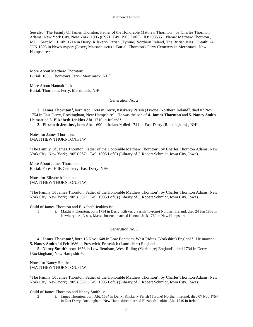See also "The Family Of James Thornton, Father of the Honorable Matthew Thornton"; by Charles Thornton Adams; New York City, New York; 1905 (CS71. T49. 1905 LofC)· ID: I08535 · Name: Matthew Thornton , MD · Sex: M · Birth: 1714 in Derry, Kilskerry Parish (Tyrone) Northern Ireland, The British Isles · Death: 24 JUN 1803 in Newburyport (Essex) Massachusetts · Burial: Thornton's Ferry Cemetery in Merrimack, New Hampshire ·

More About Matthew Thornton: Burial: 1803, Thornton's Ferry, Merrimack, NH*<sup>5</sup>*

More About Hannah Jack: Burial: Thornton's Ferry, Merrimack, NH*<sup>5</sup>*

*Generation No. 2*

**2. James Thornton***<sup>5</sup>* **,** born Abt. 1684 in Derry, Kilskerry Parish (Tyrone) Northern Ireland*<sup>5</sup>* ; died 07 Nov 1754 in East Derry, Rockingham, New Hampshire*<sup>5</sup>* . He was the son of **4. James Thornton** and **5. Nancy Smith**. He married **3. Elizabeth Jenkins** Abt. 1710 in Ireland*<sup>5</sup>* .

**3. Elizabeth Jenkins***<sup>5</sup>* **,** born Abt. 1690 in Ireland*<sup>5</sup>* ; died 1741 in East Derry (Rockingham) , NH*<sup>5</sup>* .

Notes for James Thornton: [MATTHEW THORNTON.FTW]

"The Family Of James Thornton, Father of the Honorable Matthew Thornton"; by Charles Thornton Adams; New York City, New York; 1905 (CS71. T49. 1905 LofC) (Library of J. Robert Schmidt, Iowa City, Iowa)

More About James Thornton: Burial: Forest Hills Cemetery, East Derry, NH*<sup>5</sup>*

Notes for Elizabeth Jenkins: [MATTHEW THORNTON.FTW]

"The Family Of James Thornton, Father of the Honorable Matthew Thornton"; by Charles Thornton Adams; New York City, New York; 1905 (CS71. T49. 1905 LofC) (Library of J. Robert Schmidt, Iowa City, Iowa)

Child of James Thornton and Elizabeth Jenkins is:

1 i. Matthew Thornton, born 1714 in Derry, Kilskerry Parish (Tyrone) Northern Ireland; died 24 Jun 1803 in Newburyport, Essex, Massachusetts; married Hannah Jack 1760 in New Hampshire.

# *Generation No. 3*

**4. James Thornton***<sup>5</sup>* **,** born 15 Nov 1648 in Low Bentham, West Riding (Yorkshire) England*<sup>5</sup>* . He married **5. Nancy Smith** 14 Feb 1686 in Prestwich, Prestwich (Lancashire) England*<sup>5</sup>* .

**5. Nancy Smith***<sup>5</sup>* **,** born 1656 in Low Bentham, West Riding (Yorkshire) England*<sup>5</sup>* ; died 1734 in Derry (Rockingham) New Hampshire*<sup>5</sup>* .

Notes for Nancy Smith: [MATTHEW THORNTON.FTW]

"The Family Of James Thornton, Father of the Honorable Matthew Thornton"; by Charles Thornton Adams; New York City, New York; 1905 (CS71. T49. 1905 LofC) (Library of J. Robert Schmidt, Iowa City, Iowa)

Child of James Thornton and Nancy Smith is:

2 i. James Thornton, born Abt. 1684 in Derry, Kilskerry Parish (Tyrone) Northern Ireland; died 07 Nov 1754 in East Derry, Rockingham, New Hampshire; married Elizabeth Jenkins Abt. 1710 in Ireland.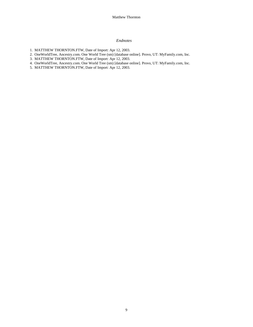### *Endnotes*

- 1. MATTHEW THORNTON.FTW, Date of Import: Apr 12, 2003.
- 2. OneWorldTree, Ancestry.com. One World Tree (sm) [database online]. Provo, UT: MyFamily.com, Inc.
- 3. MATTHEW THORNTON.FTW, Date of Import: Apr 12, 2003.
- 4. OneWorldTree, Ancestry.com. One World Tree (sm) [database online]. Provo, UT: MyFamily.com, Inc.
- 5. MATTHEW THORNTON.FTW, Date of Import: Apr 12, 2003.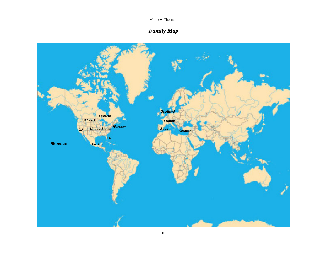# *Family Map*

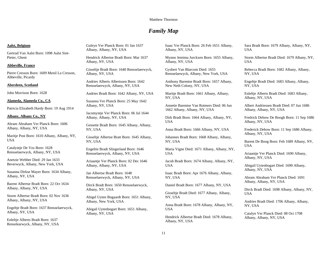# *Family Map*

#### **Aalst, Belgium**

Gertrud Van Aalst Born: 1098 Aalst Sint-Pieter, Ghent

#### **Abbeville, France**

Pierre Cresson Born: 1609 Menil La Cresson, Abbeville, Picardy

#### **Aberdeen, Scotland**

John Morrison Born: 1628

#### **Alameda, Alameda Co., CA**

Patricia Elizabeth Hardy Born: 19 Aug 1914

#### **Albany, Albany Co., NY**

Abram Abraham Ver Planck Born: 1606 Albany, Albany, NY, USA

Maritje Post Born: 1610 Albany, Albany, NY, USA

Catalyntje De Vos Born: 1628 Rensselaerwyck, Albany, NY, USA

Anetzie Webber Died: 29 Jan 1633 Beverwyck, Albany, New York, USA

Susanna Dirkse Mayer Born: 1634 Albany, Albany, NY, USA

Barent Albertse Bradt Born: 22 Oct 1634 Albany, Albany, NY, USA

Storm Albertse Bradt Born: 02 Nov 1636 Albany, Albany, NY, USA

Engeltje Bradt Born: 1637 Rensselaerwyck, Albany, NY, USA

Enleltje Alberts Bradt Born: 1637 Renselearwyck, Albany, NY, USA Guleyn Ver Planck Born: 01 Jan 1637 Albany, Albany, NY, USA

Hendrick Albertse Bradt Born: Mar 1637 Albany, NY, USA

Gisseltje Bradt Born: 1640 Rensselaerwyck, Albany, NY, USA

Andries Alberts Albertssen Born: 1642 Rensselaerwyck, Albany, NY, USA

Andries Bradt Born: 1642 Albany, NY, USA

Susanna Ver Planck Born: 25 May 1642 Albany, NY, USA

Jacomyntje Ver Planck Born: 06 Jul 1644 Albany, Albany, NY, USA

Gessetie Bradt Born: 1645 Albany, Albany, NY, USA

Gisseltje Albertse Bratt Born: 1645 Albany, NY, USA

Engeltie Bradt Slingerland Born: 1646 Rensselaerwyck, Albany, NY, USA

Ariaantje Ver Planck Born: 02 Dec 1646 Albany, Albany, NY, USA

Jan Albertse Bradt Born: 1648 Rensselaerwyck, Albany, NY, USA

Dirck Bradt Born: 1650 Rensselaerwyck, Albany, NY, USA

Abigel Uyten Bogaardt Born: 1651 Albany, Albany, New York, USA

Abigail Uytenbogart Born: 1651 Albany, Albany, NY, USA

Isaac Ver Planck Born: 26 Feb 1651 Albany, Albany, NY, USA

Mynno Jemima Jurckxen Born: 1655 Albany, Albany, NY, USA

Gysbert Van Blarcom Died: 1655 Rensselaewyck, Albany, New York, USA

Anthony Barentse Bradt Born: 1657 Albany, New Neth Colony, NY, USA

Maritje Bradt Born: 1661 Albany, Albany, NY, USA

Annetie Barentse Van Rotmers Died: 06 Jun 1662 Albany, Albany, NY, USA

Dirk Bradt Born: 1664 Albany, Albany, NY, USA

Anna Bradt Born: 1666 Albany, NY, USA

Johannes Bradt Born: 1668 Albany, Albany, NY, USA

Maria Vigne Died: 1671 Albany, Albany, NY, USA

Jacob Bradt Born: 1674 Albany, Albany, NY, USA

Isaac Bradt Born: Apr 1676 Albany, Albany, NY, USA

Daniel Bradt Born: 1677 Albany, NY, USA

Gisseltje Bradt Died: 1677 Albany, Albany, NY, USA

Anna Bradt Born: 1678 Albany, Albany, NY, USA

Hendrick Albertse Bradt Died: 1678 Albany, Albany, NY, USA

Sara Bradt Born: 1679 Albany, Albany, NY, USA

Storm Albertse Bradt Died: 1679 Albany, NY, USA

Rebecca Bradt Born: 1682 Albany, Albany, NY, USA

Engeltje Bradt Died: 1683 Albany, Albany, NY, USA

Enleltje Alberts Bradt Died: 1683 Albany, Albany, NY, USA

Albert Andriessen Bradt Died: 07 Jun 1686 Albany, Albany, NY, USA

Fredrick Debow De Boogh Born: 11 Sep 1686 Albany, NY, USA

Frederick Debow Born: 11 Sep 1686 Albany, Albany, NY, USA

Barent De Boog Born: Feb 1689 Albany, NY, USA

Ariaantje Ver Planck Died: 1690 Albany, Albany, NY, USA

Abigail Uytenbogart Died: 1690 Albany, Albany, NY, USA

Abram Abraham Ver Planck Died: 1691 Albany, Albany, NY, USA

Dirck Bradt Died: 1698 Albany, Albany, NY, USA

Andries Bradt Died: 1706 Albany, Albany, NY, USA

Catalyn Ver Planck Died: 08 Oct 1708 Albany, Albany, NY, USA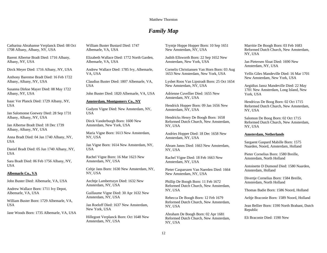# *Family Map*

Catharina Abrahamse Verplanck Died: 08 Oct 1708 Albany, Albany, NY, USA

Barent Albertse Bradt Died: 1716 Albany, Albany, NY, USA

Dirck Meyer Died: 1716 Albany, NY, USA

Anthony Barentse Bradt Died: 16 Feb 1722 Albany, Albany, NY, USA

Susanna Dirkse Mayer Died: 08 May 1722 Albany, NY, USA

Isaac Ver Planck Died: 1729 Albany, NY, USA

Jan Salomonse Goewey Died: 28 Sep 1731 Albany, Albany, NY, USA

Jan Albertse Bradt Died: 18 Dec 1739 Albany, Albany, NY, USA

Anna Bradt Died: 04 Jan 1740 Albany, NY, USA

Daniel Bradt Died: 05 Jun 1740 Albany, NY, USA

Sara Bradt Died: 06 Feb 1756 Albany, NY, USA

#### **Albemarle Co., VA**

John Buster Died: Albemarle, VA, USA

Andrew Wallace Born: 1711 Ivy Depot, Albemarle, VA, USA

William Buster Born: 1729 Albemarle, VA, USA

Jane Woods Born: 1735 Albemarle, VA, USA

William Buster Bustard Died: 1747 Albemarle, VA, USA

Elizabeth Wallace Died: 1772 North Garden, Albemarle, VA, USA

Andrew Wallace Died: 1785 Ivy, Albemarle, VA, USA

Claudius Buster Died: 1807 Albemarle, VA, USA

John Buster Died: 1820 Albemarle, VA, USA

#### **Amsterdam, Montgomery Co., NY**

Gudyen Vigne Died: New Amsterdam, NY, USA

Dirck Vanderburgh Born: 1600 New Amsterdam, New York, USA

Maria Vigne Born: 1613 New Amsterdam, NY, USA

Jan Vigne Born: 1614 New Amsterdam, NY, USA

Rachel Vigne Born: 16 Mar 1623 New Amsterdam, NY, USA

Celtje Jans Born: 1630 New Amsterdam, NY, NY, USA

Aechtje Lambertszyn Died: 1632 New Amsterdam, NY, USA

Guillaume Vigne Died: 30 Apr 1632 New Amsterdam, NY, USA

Jan Roeloff Died: 1637 New Amsterdam, New York, USA

Hillegont Verplanck Born: Oct 1648 New Amsterdam, NY, USA

Tryntje Hoppe Hopper Born: 10 Sep 1651 New Amsterdam, NY, USA

Judith Ellsworth Born: 22 Sep 1652 New Amsterdam, New York, USA

Cornelis Christiansen Van Horn Born: 03 Aug 1653 New Amsterdam, New York, USA

Lysbet Roos Van Lipstradt Born: 25 Oct 1654 New Amsterdam, NY, USA

Adrienne Cuvellier Died: 1655 New Amsterdam, NY, USA

Hendrick Hopper Born: 09 Jan 1656 New Amsterdam, NY, USA

Hendricks Henry De Boogh Born: 1658 Reformed Dutch Church, New Amsterdam, NY, USA

Andries Hopper Died: 18 Dec 1658 New Amsterdam, NY, USA

Abram Janns Died: 1663 New Amsterdam, NY, USA

Rachel Vigne Died: 18 Feb 1663 New Amsterdam, NY, USA

Pieter Casparszen Van Naerden Died: 1664 New Amsterdam, NY, USA

Phillip De Boogh Born: 11 Feb 1672 Reformed Dutch Church, New Amsterdam, NY, USA

Rebecca De Boogh Born: 12 Feb 1679 Reformed Dutch Church, New Amsterdam, NY, USA

Abraham De Boogh Born: 02 Apr 1681 Reformed Dutch Church, New Amsterdam, NY, USA

Marritie De Boogh Born: 03 Feb 1683 Reformed Dutch Church, New Amsterdam, NY, USA

Jan Pietersen Sloat Died: 1690 New Amsterdam, NY, USA

Yellis Giles Mandeville Died: 16 Mar 1701 New Amsterdam, New York, USA

Aegidius Jansz Mandeville Died: 22 May 1701 New Amsterdam, Long Island, New York, USA

Hendricus De Boog Born: 02 Oct 1715 Reformed Dutch Church, New Amsterdam, NY, USA

Salomon De Boog Born: 02 Oct 1715 Reformed Dutch Church, New Amsterdam, NY, USA

#### **Amsterdam, Netherlands**

Sargaent Gaspard Mabille Born: 1575 Naarden, Noord, Amsterdam, Holland

Pieter Cornelius Born: 1580 Breille, Amsterdam, North Holland

Antoinette D Dumond Died: 1580 Naarden, Amsterdam, Holland

Divertje Cornelius Born: 1584 Breille, Amsterdam, North Holland

Thomas Badie Born: 1586 Noord, Holland

Aeltje Braconie Born: 1589 Noord, Holland

Jean Bellier Born: 1590 North Brabant, Dutch Republic

Eli Braconie Died: 1590 New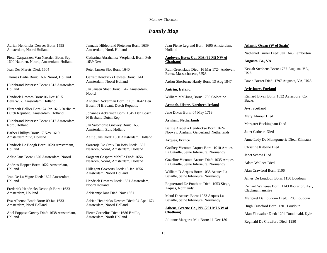# *Family Map*

Adrian Hendricks Dewees Born: 1595 Amsterdam, Noord Holland

Pieter Casparszen Van Naerden Born: Sep 1600 Naarden, Noord, Amsterdam, Holland

Jean Des Marets Died: 1604

Thomas Badie Born: 1607 Noord, Holland

Hildebrand Pietersen Born: 1613 Amsterdam, Holland

Hendrick Dewees Born: 06 Dec 1615 Beverwijk, Amsterdam, Holland

Elizabeth Bellier Born: 24 Jan 1616 Berlicum, Dutch Republic, Amsterdam, Holland

Hildebrand Pietersen Born: 1617 Amsterdam, Nord, Holland

Barber Phillips Born: 17 Nov 1619 Amsterdam Zuid, Holland

Hendrick De Boogh Born: 1620 Amsterdam, Holland

Aeltie Jans Born: 1620 Amsterdam, Noord

Andries Hopper Born: 1622 Amsterdam, Holland

Jean De La Vigne Died: 1622 Amsterdam, Holland

Frederick Hendricks Deboogh Born: 1633 Amsterdam, Holland

Eva Albertse Bradt Born: 09 Jan 1633 Amsterdam, Nord Holland

Abel Poppese Gowey Died: 1638 Amsterdam, Holland

Jannatie Hildebrand Pietersen Born: 1639 Amsterdam, Nord, Holland

Catharina Abrahamse Verplanck Born: Feb 1639 New

Peter Jansen Slot Born: 1640

Garrett Hendricks Dewees Born: 1641 Amsterdam, Noord Holland

Jan Jansen Sloat Born: 1642 Amsterdam, Noord

Anneken Ackerman Born: 31 Jul 1642 Den Bosch, N Brabant, Dutch Republic

Johannes Ackerman Born: 1645 Den Bosch, N Brabant, Dutch Rep

Jan Salomonse Goewey Born: 1650 Amsterdam, Zuid Holland

Aeltie Jans Died: 1650 Amsterdam, Holland

Sarrentje De Croix Du Bois Died: 1652 Naarden, Noord, Amsterdam, Holland

Sargaent Gaspard Mabille Died: 1656 Naarden, Noord, Amsterdam, Holland

Hillegont Govaerts Died: 15 Jan 1656 Amsterdam, Noord Holland

Hendrick Dewees Died: 1661 Amsterdam, Noord Holland

Adriaentje Jans Died: Nov 1661

Adrian Hendricks Dewees Died: 04 Apr 1674 Amsterdam, Noord Holland

Pieter Cornelius Died: 1686 Breille, Amsterdam, North Holland

Jean Pierre Legrand Born: 1695 Amsterdam, Holland

# **Andover, Essex Co., MA (89 Mi NW of Chatham)**

Ruth Greenslade Died: 16 Mar 1724 Andover, Essex, Massachusetts, USA

Arthur Sherburne Hardy Born: 13 Aug 1847

#### **Antrim, Ireland**

William McClung Born: 1706 Coloraine

#### **Armagh, Ulster, Northern Ireland**

Jane Dixon Born: 04 May 1719

#### **Arnhem, Netherlands**

Belitje Arabella Hendrickse Born: 1624 Norway, Arnhem, Gelderland, Netherlands

#### **Arques, France**

Godfrey Vicomte Arques Born: 1010 Arques La Bataille, Seine Inferieure, Normandy

Gozeline Vicomte Arques Died: 1035 Arques La Bataille, Seine Inferieure, Normandy

William D Arques Born: 1035 Arques La Bataille, Seine Inferieure, Normandy

Enguerrand De Ponthieu Died: 1053 Siege, Arques, Normandy

Maud D Arques Born: 1083 Arques La Bataille, Seine Inferieure, Normandy

# **Athens, Greene Co., NY (201 Mi NW of Chatham)**

Julianne Margaret Mix Born: 11 Dec 1801

#### **Atlantic Ocean (W of Spain)**

Nathaniel Turner Died: Jan 1646 Lamberton

### **Augusta Co., VA**

Keziah Stephens Born: 1737 Augusta, VA, USA

David Buster Died: 1797 Augusta, VA, USA

#### **Aylesbury, England**

Richard Bryan Born: 1632 Aylesbury, Co. Bucks

#### **Ayr, Scotland**

Mary Almour Died

Margaret Buckingham Died

Janet Cathcart Died

Anne Lady De Montgomerie Died: Kilmaurs

Christine Kilbane Died

Janet Schaw Died

Adam Wallace Died

Alan Crawford Born: 1106

James De Loudoun Born: 1130 Loudoun

Richard Wallense Born: 1143 Riccarton, Ayr, Clackmannanshire

Margaret De Loudoun Died: 1200 Loudoun

Hugh Crawford Born: 1201 Loudoun

Alan Fitzwalter Died: 1204 Dundonald, Kyle

Reginald De Crawford Died: 1250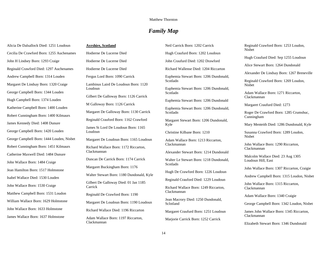# *Family Map*

| Alicia De Dalsallock Died: 1251 Loudoun   |
|-------------------------------------------|
| Cecilia De Crawford Born: 1255 Auchenames |
| John H Lindsey Born: 1293 Craige          |
| Reginald Crawford Died: 1297 Auchenames   |
| Andrew Campbell Born: 1314 Louden         |
| Margaret De Lindsay Born: 1320 Craige     |
| George Campbell Born: 1344 Louden         |
| Hugh Campbell Born: 1374 Louden           |
| Katherine Campbell Born: 1400 Louden      |
| Robert Cunningham Born: 1400 Kilmaurs     |
| James Kennedy Died: 1408 Dunure           |
| George Campbell Born: 1420 Louden         |
| George Campbell Born: 1444 Louden, Nisbet |
| Robert Cunningham Born: 1451 Kilmaurs     |
| Catherine Maxwell Died: 1484 Dunure       |
| John Wallace Born: 1484 Craige            |
| Jean Hamilton Born: 1517 Holmstone        |
| Isabel Wallace Died: 1530 Louden          |
| John Wallace Born: 1530 Craige            |
| Matthew Campbell Born: 1531 Loudon        |
| William Wallace Born: 1629 Holmstone      |
| John Wallace Born: 1633 Holmstone         |
| James Wallace Born: 1637 Holmstone        |

#### **Ayrshire, Scotland**

Hodierne De Lucerne Died Hodierne De Lucerne Died Hodierne De Lucerne Died Fergus Lord Born: 1090 Carrick Lambinus Laird De Loudoun Born: 1120 Loudoun Gilbert De Galloway Born: 1126 Carrick M Galloway Born: 1126 Carrick Margaret De Galloway Born: 1130 Carrick Reginald Crauford Born: 1162 Crawford James St Lord De Loudoun Born: 1165 Loudoun Margaret De Loudoun Born: 1165 Loudoun Richard Wallace Born: 1172 Riccarton, Clackmannan Duncan De Carrick Born: 1174 Carrick Margaret Buckingham Born: 1176 Walter Stewart Born: 1180 Dundonald, Kyle Gilbert De Galloway Died: 01 Jan 1185 Carrick Reginald De Crawford Born: 1190 Margaret De Loudoun Born: 1190 Loudoun Richard Wallace Died: 1196 Riccarton Adam Wallace Born: 1197 Riccarton, Clackmannan

Neil Carrick Born: 1202 Carrick Hugh Craufurd Born: 1202 Loudoun John Craufurd Died: 1202 Drawford Richard Wallense Died: 1204 Riccarton Euphemia Stewart Born: 1206 Dundonald, Scotladn Euphemia Stewart Born: 1206 Dundonald, Scotladn Euphemia Stewart Born: 1206 Dundonald Euphemia Stewart Born: 1206 Dundonald, Scotladn Margaret Stewart Born: 1206 Dundonald, Kyle Christine Kilbane Born: 1210 Adam Wallace Born: 1213 Riccarton, Clackmannan Alexander Stewart Born: 1214 Dundonald Walter Le Stewart Born: 1218 Dundonald, Scotladn Hugh De Crawford Born: 1226 Loudoun Reginald Crauford Died: 1229 Loudoun Richard Wallace Born: 1249 Riccarton, Clackmannan Jean Macrory Died: 1250 Dundonald, Sclotland Margaret Craufurd Born: 1251 Loudoun Marjorie Carrick Born: 1252 Carrick

Reginald Crawford Born: 1253 Loudon, Nisbet

Hugh Craufurd Died: Sep 1255 Loudoun

Alice Stewart Born: 1264 Dundonald

Alexander De Lindsay Born: 1267 Breneville

Reginald Crawford Born: 1269 Loudon, Nisbet

Adam Wallace Born: 1271 Riccarton, Clackmannan

Margaret Craufurd Died: 1273

Roger De Crawford Born: 1285 Crumshuc, Cunningham

Mary Menteith Died: 1286 Dundonald, Kyle

Susanna Crawford Born: 1289 Loudon, Nisbet

John Wallace Born: 1290 Riccarton, Clackmannan

Malcolm Wallace Died: 23 Aug 1305 Loudoun Hill, East

John Wallace Born: 1307 Riccarton, Craigie

Andrew Campbell Born: 1315 Loudon, Nisbet

John Wallace Born: 1315 Riccarton, Clackmannan

Adam Wallace Born: 1340 Craigie

George Campbell Born: 1342 Loudon, Nisbet

James John Wallace Born: 1345 Riccarton, Clackmannan

Elizabeth Stewart Born: 1346 Dundonald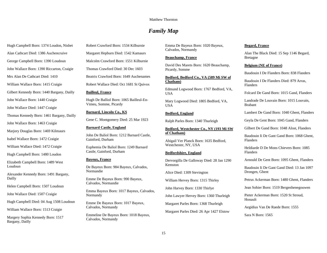# *Family Map*

Hugh Campbell Born: 1374 Loudon, Nisbet

Alan Cathcart Died: 1386 Auchencruive

George Campbell Born: 1390 Loudoun

John Wallace Born: 1390 Riccarton, Craigie

Mrs Alan De Cathcart Died: 1410

William Wallace Born: 1415 Craigie

Gilbert Kennedy Born: 1440 Bargany, Dailly

John Wallace Born: 1440 Craigie

John Wallace Died: 1447 Craigie

Thomas Kennedy Born: 1461 Bargany, Dailly

John Wallace Born: 1463 Craigie

Marjory Douglas Born: 1469 Kilmaurs

Isabel Wallace Born: 1472 Craigie

William Wallace Died: 1472 Craigie

Hugh Campbell Born: 1480 Loudon

Elizabeth Campbell Born: 1489 West Loudoun

Alexander Kennedy Born: 1491 Bargany, Dailly

Helen Campbell Born: 1507 Loudoun

John Wallace Died: 1507 Craigie

Hugh Campbell Died: 04 Aug 1508 Loudoun

William Wallace Born: 1513 Craigie

Margery Sophia Kennedy Born: 1517 Bargany, Dailly

Robert Crawford Born: 1534 Kilburnie Margaret Hepburn Died: 1542 Kamaurs Malcolm Crawford Born: 1551 Kilburnie Thomas Crawford Died: 30 Dec 1603

Beatrix Crawford Born: 1649 Auchenames

Robert Wallace Died: Oct 1681 St Quivox

#### **Bailleul, France**

Hugh De Balliol Born: 1065 Bailleul-En-Vimeu, Somme, Picardy

**Barnard, Lincoln Co., KS**

Gene C. Montgomery Died: 25 Mar 1923

#### **Barnard Castle, England**

John De Baliol Born: 1212 Barnard Castle, Gainford, Durham

Euphemia De Baliol Born: 1249 Barnard Castle, Gainford, Durham

#### **Bayeux, France**

De Bayeux Born: 984 Bayeux, Calvados, Normandie

Emme De Bayeux Born: 990 Bayeux, Calvados, Normandie

Emma Bayeux Born: 1017 Bayeux, Calvados, Normandy

Emme De Bayeux Born: 1017 Bayeux, Calvados, Normandy

Emmeline De Bayeux Born: 1018 Bayeux, Calvados, Normandy

Emma De Bayeux Born: 1020 Bayeux, Calvados, Normandy

#### **Beauchamp, France**

David Des Marets Born: 1620 Beauchamp, Picardy, Somme

# **Bedford, Bedford Co., VA (589 Mi SW of Chatham)**

Edmund Logwood Born: 1767 Bedford, VA, USA

Mary Logwood Died: 1805 Bedford, VA, USA

#### **Bedford, England**

Ralph Parles Born: 1340 Thurleigh

# **Bedford, Westchester Co., NY (193 Mi SW of Chatham)**

Abigail Ver Planck Born: 1635 Bedford, Westchester, NY, USA

#### **Bedfordshire, England**

Dervorgilla De Galloway Died: 28 Jan 1290 Kemston

Alice Died: 1309 Stevington

William Hervey Born: 1315 Thirley

John Harvey Born: 1330 Thirlye

John Lawyer Hervey Born: 1360 Thurleigh

Margaret Parles Born: 1368 Thurleigh

Margaret Parles Died: 26 Apr 1427 Elstow

#### **Begard, France**

Alan The Black Died: 15 Sep 1146 Begard, Bretagne

# **Belgium (NE of France)**

Baudouin I De Flanders Born: 838 Flanders

Baudouin I De Flanders Died: 879 Arras, Flanders

Folcard De Gand Born: 1015 Gand, Flanders

Landrade De Louvain Born: 1015 Louvain, Brabant

Lambert De Gand Born: 1040 Ghent, Flanders

Geyla De Gent Born: 1045 Gand, Flanders

Gilbert De Gand Born: 1048 Alost, Flanders

Baudouin Ii De Gant Gand Born: 1068 Ghent, Flanders

Heldiarde D De Mons Chievers Born: 1085 Flanders

Arnould De Gent Born: 1095 Ghent, Flanders

Baudouin Ii De Gant Gand Died: 13 Jan 1097 Drongen, Ghent

Petrus Ackerman Born: 1480 Ghent, Flanders

Jean Sohier Born: 1519 Bergenhenegouwen

Pieter Ackerman Born: 1520 St Stroud, Honault

Aegidius Van De Raede Born: 1555

Sara N Born: 1565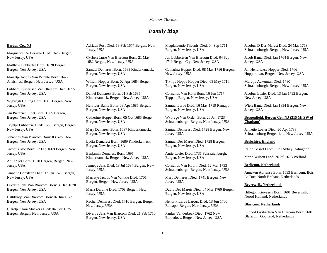# *Family Map*

### **Bergen Co., NJ**

Marguerite De Herville Died: 1626 Bergen, New Jersey, USA

Matthew Lubbertse Born: 1628 Bergen, Bergen, New Jersey, USA

Marretje Jacobs Van Winkle Born: 1643 Ahaismus, Bergen, New Jersey, USA

Lubbert Gysbertsen Van Blarcom Died: 1655 Bergen, New Jersey, USA

Wybrogh Helling Born: 1661 Bergen, New Jersey, USA

Jan Pietersen Sloat Born: 1665 Bergen, Bergen, New Jersey, USA

Tryntje Lubbertse Died: 1666 Bergen, Bergen, New Jersey, USA

Johannes Van Blarcom Born: 03 Nov 1667 Bergen, New Jersey, USA

Jacobus Slot Born: 17 Feb 1669 Bergen, New Jersey, USA

Antie Slot Born: 1670 Bergen, Bergen, New Jersey, USA

Jannetje Gerritzen Died: 12 Jan 1670 Bergen, New Jersey, USA

Divertje Jans Van Blarcom Born: 31 Jan 1670 Bergen, New Jersey, USA

Cathlyntje Van Blarcom Born: 02 Jun 1672 Bergen, New Jersey, USA

Claretje Clara Mockers Died: 04 Dec 1675 Bergen, Bergen, New Jersey, USA

Adriaen Post Died: 18 Feb 1677 Bergen, New Jersey, USA

Gysbert Janse Van Blarcom Born: 21 May 1682 Bergen, New Jersey, USA

Samuel Demarest Born: 1683 Kinderkamack, Bergen, New Jersey, USA

Willem Hopper Born: 02 Apr 1684 Bergen, Bergen, New Jersey, USA

Daniel Demarest Born: 01 Feb 1685 Kinderkamack, Bergen, New Jersey, USA

Henricus Banta Born: 08 Apr 1685 Bergen, Bergen, New Jersey, USA

Catherine Hopper Born: 05 Oct 1685 Bergen, Bergen, New Jersey, USA

Mary Demarest Born: 1687 Kinderkamack, Bergen, New Jersey, USA

Lydia Demarest Born: 1689 Kinderkamack, Bergen, New Jersey, USA

Benjamin Demarest Born: 1691 Kinderkamack, Bergen, New Jersey, USA

Jannetje Jans Died: 13 Jul 1694 Bergen, New Jersey, USA

Marretje Jacobs Van Winkle Died: 1701 Bergen, Bergen, New Jersey, USA

Maria Deruine Died: 1708 Bergen, New Jersey, USA

Rachel Demarest Died: 1710 Bergen, Bergen, New Jersey, USA

Divertje Jans Van Blarcom Died: 21 Feb 1710 Bergen, New Jersey, USA

Magdaleentje Theunis Died: 04 Sep 1711 Bergen, New Jersey, USA

Jan Lubbertsen Van Blarcom Died: 04 Sep 1711 Bergen Cty, New Jersey, USA

Catharina Hopper Died: 08 May 1716 Bergen, New Jersey, USA

Tryntje Hoppe Hopper Died: 08 May 1716 Bergen, New Jersey, USA

Cornelius Van Horn Born: 16 Jun 1717 Tappan, Bergen, New Jersey, USA

Samuel Laroe Died: 16 May 1719 Ramapo, Bergen, New Jersey, USA

Wybrege Van Orden Born: 20 Jan 1723 Schraalenburgh, Bergen, New Jersey, USA

Samuel Demarest Died: 1728 Bergen, New Jersey, USA

Samuel Des Marest Died: 1728 Bergen, Bergen, New Jersey, USA

Antie Losier Died: 1731 Schraalenburgh, Bergen, New Jersey, USA

Cornelius Van Hoorn Died: 12 Mar 1733 Schraalenburgh, Bergen, New Jersey, USA

Mary Demarest Died: 1741 Bergen, New Jersey, USA

David Des Marets Died: 04 Mar 1760 Bergen, Bergen, New Jersey, USA

Hendrik Larue Laroux Died: 13 Jun 1760 Ramapo, Bergen, New Jersey, USA

Paulus Vanderbeek Died: 1762 New Barbadoes, Bergen, New Jersey, USA Jacobus D Des Marest Died: 24 Mar 1763 Schraalenburgh, Bergen, New Jersey, USA

Jacob Banta Died: Jan 1764 Bergen, New Jersey, USA

Jan Hendrickse Hopper Died: 1766 Hoppertown, Bergen, New Jersey, USA

Marytje Ackerman Died: 1780 Schraalenburgh, Bergen, New Jersey, USA

Jacobus Lozier Died: 13 Jan 1792 Bergen, New Jersey, USA

Wiert Banta Died: Jan 1834 Bergen, New Jersey, USA

# **Bergenfield, Bergen Co., NJ (215 Mi SW of Chatham)**

Jannetje Lozier Died: 20 Apr 1738 Schraalenburg Bergenfield, New Jersey, USA

#### **Berkshire, England**

Ralph Basset Died: 1120 Abbey, Adingdon

Maria Wilson Died: 26 Jul 1613 Welford

#### **Berlicum, Netherlands**

Anneken Adrianse Born: 1593 Berlicum, Bois Le Duc, North Brabant, Netherlands

#### **Beverwijk, Netherlands**

Hillegont Govaerts Born: 1601 Beverwijk, Noord Holland, Netherlands

#### **Blaricum, Netherlands**

Lubbert Gysbertsen Van Blarcom Born: 1601 Blaricum, Gooiland, Netherlands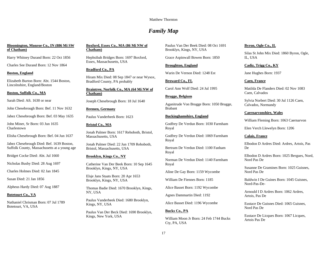# *Family Map*

# **Bloomington, Monroe Co., IN (886 Mi SW of Chatham)**

Harry Whitney Durand Born: 22 Oct 1856

Charles See Durand Born: 12 Nov 1864

#### **Boston, England**

Elizabeth Burton Born: Abt. 1544 Boston, Lincolnshire, England/Boston

#### **Boston, Suffolk Co., MA**

Sarah Died: Aft. 1630 or near

John Chesebrough Born: Bef. 11 Nov 1632

Jabez Chesebrough Born: Bef. 03 May 1635

John Miner, Sr Born: 03 Jun 1635 Charlestown

Elisha Chesebrough Born: Bef. 04 Jun 1637

Jabez Chesebrough Died: Bef. 1639 Boston, Suffolk County, Massachusetts at a young age

Bridget Cocke Died: Abt. Jul 1660

Nicholas Busby Died: 28 Aug 1697

Charles Holmes Died: 02 Jan 1845

Susan Died: 21 Jan 1856

Alpheus Hardy Died: 07 Aug 1887

# **Botetourt Co., VA**

Nathaniel Chrisman Born: 07 Jul 1789 Botetourt, VA, USA

#### **Boxford, Essex Co., MA (86 Mi NW of Chatham)**

Hephsibah Bridges Born: 1697 Boxford, Essex, Massachusetts, USA

# **Bradford Co., PA**

Hiram Mix Died: 08 Sep 1847 or near Wysox, Bradford County, PA probably

# **Braintree, Norfolk Co., MA (64 Mi NW of Chatham)**

Joseph Chesebrough Born: 18 Jul 1640

#### **Bremen, Germany**

Paulus Vanderbeek Born: 1623

# **Bristol Co., MA**

Jonah Palmer Born: 1617 Rehoboth, Bristol, Massachusetts, USA

Jonah Palmer Died: 22 Jun 1709 Rehoboth, Bristol, Massachusetts, USA

# **Brooklyn, Kings Co., NY**

Catherine Van Der Beek Born: 10 Sep 1645 Brooklyn, Kings, NY, USA

Elsje Jans Staats Born: 20 Apr 1653 Brooklyn, Kings, NY, USA

Thomas Badie Died: 1670 Brooklyn, Kings, NY, USA

Paulus Vanderbeek Died: 1680 Brooklyn, Kings, NY, USA

Paulus Van Der Beck Died: 1690 Brooklyn, Kings, New York, USA

Paulus Van Der Beek Died: 08 Oct 1691 Brooklyn, Kings, NY, USA

Grace Aspinwall Bowen Born: 1850

### **Broughton, England**

Warin De Vernon Died: 1248 Est

#### **Broward Co., FL**

Carol Ann Wolf Died: 24 Jul 1995

# **Brugge, Belgium**

Aganitrude Von Brugge Born: 1050 Brugge, Brabant

#### **Buckinghamshire, England**

Godfrey De Verdun Born: 1030 Farmham Royal

Godfrey De Verdun Died: 1069 Farmham Royal

Bertram De Verdun Died: 1100 Fanham Royal

Norman De Verdun Died: 1140 Farmham Royal

Aline De Gay Born: 1159 Wycombe

William De Fiennes Born: 1185

Alice Basset Born: 1192 Wycombe

Agnes Dammartin Died: 1192

Alice Basset Died: 1196 Wycombe

# **Bucks Co., PA**

William Moon Jr Born: 24 Feb 1744 Bucks Cty, PA, USA

#### **Byron, Ogle Co., IL**

Silas St John Mix Died: 1860 Byron, Ogle, IL, USA

#### **Cadiz, Trigg Co., KY**

Jane Hughes Born: 1937

# **Caen, France**

Matilda De Flanders Died: 02 Nov 1083 Caen, Calvados

Sylvia Norbert Died: 30 Jul 1126 Caen, Calvados, Normandy

#### **Caernarvonshire, Wales**

William Fleming Born: 1063 Caernarvon

Elen Verch Llewelyn Born: 1206

#### **Calais, France**

Elbodon D Ardres Died: Ardres, Artois, Pas De

Elbodon D Ardres Born: 1025 Bergues, Nord, Nord Pas De

Susanne De Gramines Born: 1025 Guisnes, Nord Pas De

Baldwin I De Guines Born: 1045 Guisnes, Nord-Pas-De-

Arnould I D Ardres Born: 1062 Ardres, Artois, Pas De

Eustace De Guisnes Died: 1065 Guisnes, Nord Pas De

Eustace De Licques Born: 1067 Licques, Artois Pas De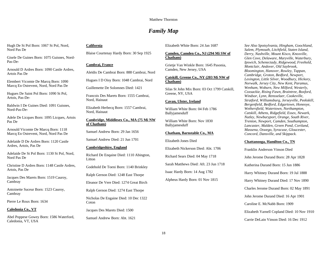# *Family Map*

Hugh De St Pol Born: 1067 St Pol, Nord, Nord Pas De

Gisele De Guines Born: 1075 Guisnes, Nord-Pas-De-

Arnould D Ardres Born: 1090 Castle Ardres, Artois Pas De

Elembert Vicomte De Marcq Born: 1090 Marcq En Ostrevent, Nord, Nord Pas De

Hugues De Saint Pol Born: 1090 St Pol, Artois, Pas-De-

Baldwin I De Guines Died: 1091 Guisnes, Nord-Pas-De-

Adele De Licques Born: 1095 Licques, Artois Pas De

Arnould Vicomte De Marcq Born: 1118 Marcq En Ostrevent, Nord, Nord Pas De

Adelaide D De Ardres Born: 1120 Castle Ardres, Artois, Pas De

Adelaide De St Pol Born: 1130 St Pol, Nord, Nord Pas De

Christine D Ardres Born: 1148 Castle Ardres, Artois, Pas De

Jacques Des Marets Born: 1519 Cauroy, Cambray

Antoinette Suceur Born: 1523 Cauroy, Cambray

Pierre Le Roux Born: 1634

# **Caledonia Co., VT**

Abel Poppese Gowey Born: 1586 Waterford, Caledonia, VT, USA

# **California**

Blaise Courtenay Hardy Born: 30 Sep 1925

# **Cambrai, France**

Aleïdis De Cambrai Born: 888 Cambrai, Nord

Hugues I D Oisy Born: 1048 Cambrai, Nord

Guillemette De Solomnes Died: 1421

Francois Des Marets Born: 1555 Cambrai, Nord, Hainaut

Elizabeth Herbecq Born: 1557 Cambrai, Nord, Hainaut

#### **Cambridge, Middlesex Co., MA (75 Mi NW of Chatham)**

Samuel Andrew Born: 29 Jan 1656

Samuel Andrew Died: 21 Jun 1701

#### **Cambridgeshire, England**

Richard De Enqaine Died: 1110 Abington, Litton

Godehold De Toeni Born: 1140 Brinkley

Ralph Gernon Died: 1248 East Thorpe

Eleanor De Vere Died: 1274 Great Birch

Ralph Gernon Died: 1274 East Thorpe

Nicholas De Engaine Died: 10 Dec 1322 Coton

Jacques Des Marets Died: 1500

Samuel Andrew Born: Abt. 1621

Elizabeth White Born: 24 Jan 1687

# **Camden, Camden Co., NJ (294 Mi SW of Chatham)**

Grietje Van Winkle Born: 1645 Pasonia, Camden, New Jersey, USA

# **Catskill, Greene Co., NY (203 Mi NW of Chatham)**

Silas St John Mix Born: 03 Oct 1799 Catskill, Greene, NY, USA

# **Cavan, Ulster, Ireland**

William White Born: 04 Feb 1786 Ballyjamesduff

William White Born: Nov 1830 Ballyjamesduff

#### **Chatham, Barnstable Co., MA**

Elizabeth Jones Died

Elizabeth Nickerson Died: Abt. 1706

Richard Sears Died: 04 May 1718 Sarah Matthews Died: Aft. 23 Jun 1718

Isaac Hardy Born: 14 Aug 1782

Alpheus Hardy Born: 01 Nov 1815

# *See Also Spotsylvania, Hingham, Goochland, Salem, Plymouth, Litchfield, Staten Island, Derry, Nashville, Mount Kisco, Knoxville, Glen Cove, Delaware, Maryville, Waterbury, Ipswich, Schenectady, Ridgewood, Freehold, Montclair, Andover, Old Saybrook, Bloomington, Hanover, Rowley, Tappan, Cambridge, Groton, Bedford, Newport, Lexington, Little Silver, Woodbury, Hickory, Norwalk, Jersey City, New Kent, Paramus, Wenham, Woburn, New Milford, Westerly, Coxsackie, Rising Fawn, Braintree, Boxford, Windsor, Lynn, Rensselaer, Cookeville, Stratford, Williamsburg, Jerseyville, Peekskill, Bergenfield, Bedford, Edgartown, Honeoye, Wethersfield, Watertown, Northampton, Catskill, Athens, Ridgefield, Essex, Newark, Nutley, Newburyport, Orange, South River, Trenton, Newport, Camden, Southampton, Lancaster, Malden, Green Pond, Cortland, Massena, Oswego, Syracuse, Gloucester, Concord, Dansville, and Skippack.*

# **Chattanooga, Hamilton Co., TN**

Franklin Anderson Vinson Died John Jerome Durand Born: 28 Apr 1828 Katherina Durand Born: 15 Jun 1886 Harry Whitney Durand Born: 19 Jul 1888 Harry Whitney Durand Died: 17 Nov 1890 Charles Jerome Durand Born: 02 May 1891 John Jerome Durand Died: 16 Apr 1901 Caroline E. McNabb Born: 1909 Elizabeth Yarnell Copland Died: 10 Nov 1910 Carrie DeLain Vinson Died: 16 Dec 1912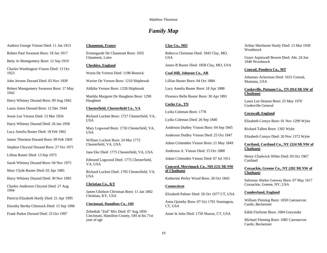# *Family Map*

Andrew George Vinson Died: 11 Jan 1913

Robert Paul Swanson Born: 18 Jan 1917

Betty Jo Montgomery Born: 12 Sep 1919

Charles Washington Vinson Died: 13 Oct 1923

John Jerome Durand Died: 03 Nov 1939

Robert Montgomery Swanson Born: 17 May 1942

Harry Whitney Durand Born: 09 Aug 1942

Laura Ames Durand Born: 12 Dec 1944

Jessie Lee Vinson Died: 13 Mar 1954

Harry Whitney Durand Died: 26 Jan 1958

Lucy Amelia Buster Died: 18 Feb 1962

James Thornton Durand Born: 09 Feb 1969

Stephen Chrystal Durand Born: 27 Oct 1971

Lillian Buster Died: 13 Sep 1973

Sarah Whitney Durand Born: 04 Nov 1975

Mary Clyde Buster Died: 03 Apr 1985

Harry Whitney Durand Died: 30 Nov 1993

Charles Anderson Chrystal Died: 27 Aug 1994

Patricia Elizabeth Hardy Died: 21 Apr 1995

Dorothy Bertha Chinnock Died: 15 Sep 1996

Frank Parker Durand Died: 23 Oct 1997

### **Chaumont, France**

Ermengarde De Chaumont Born: 1055 Chaumont, Loire

# **Cheshire, England**

Warin De Vernon Died: 1190 Bostock

Warine De Vernon Born: 1210 Shipbrook

Alditha Vernon Born: 1228 Shipbrook

Matilda Margaret De Haughton Born: 1290 Haughton

#### **Chesterfield, Chesterfield Co., VA**

Richard Lockett Born: 1727 Chesterfield, VA, USA

Mary Logwood Born: 1730 Chesterfield, VA, USA

William Lockett Born: 24 Mar 1772 Chesterfield, VA, USA

Jane Eke Died: 1775 Chesterfield, VA, USA

Edmund Logwood Died: 1775 Chesterfield, VA, USA

Richard Lockett Died: 1795 Chesterfield, VA, USA

# **Christian Co., KY**

James Gholson Chrisman Born: 11 Jan 1802 Christian, KY, USA

#### **Cincinnati, Hamilton Co., OH**

Zebediah "Zed" Mix Died: 07 Aug 1856 Cincinnati, Hamilton County, OH in his 71st year of age

# **Clay Co., MO**

Rebecca Chrisman Died: 1843 Clay, MO, USA

James B Buster Died: 1858 Clay, MO, USA

#### **Coal Hill, Johnson Co., AR**

Lillian Buster Born: 04 Oct 1884

Lucy Amelia Buster Born: 18 Apr 1888

Florence Belle Buster Born: 30 Apr 1891

# **Cocke Co., TN**

Lydia Coleman Born: 1778

Lydia Coleman Died: 26 Sep 1840

Anderson Dudley Vinson Born: 04 Sep 1845

Anderson Dudley Vinson Died: 25 Oct 1847

Adam Crittenden Vinson Born: 21 May 1849

Anderson A. Vinson Died: 15 Oct 1888

Adam Crittenden Vinson Died: 07 Jul 1911

# **Concord, Merrimack Co., NH (131 Mi NW of Chatham)**

Katherine Perley Wood Born: 26 Oct 1845

#### **Connecticut**

Elizabeth Palmer Died: 26 Oct 1677 CT, USA

Anna Quimby Born: 07 Oct 1701 Stonington, CT, USA

Anne St John Died: 1750 Sharon, CT, USA

Arthur Sherburne Hardy Died: 13 Mar 1930 Woodstock

Grace Aspinwall Bowen Died: Abt. 24 Jun 1940 Woodstock

#### **Conrad, Pondera Co., MT**

Johannes Ackerman Died: 1631 Conrad, Montana, USA

# **Cookeville, Putnam Co., TN (914 Mi SW of Chatham)**

Laura Lee Deason Born: 25 May 1970 Cookeville General

# **Cornwall, England**

Elizabeth Comyn Born: 01 Nov 1299 Wyke

Richard Talbot Born: 1302 Wyke

Elizabeth Comyn Died: 20 Nov 1372 Wyke

# **Cortland, Cortland Co., NY (324 Mi NW of Chatham)**

Henry Chadwick White Died: 03 Oct 1967 Cortland

# **Coxsackie, Greene Co., NY (202 Mi NW of Chatham)**

Salomon Abelse Goewey Born: 07 May 1617 Coxsackie, Greene, NY, USA

#### **Cumberland, England**

William Fleming Born: 1059 Caernarvon Castle, Beckermet

Edith Fitzforne Born: 1084 Greystoke

Michael Fleming Born: 1085 Caernarvon Castle, Beckermet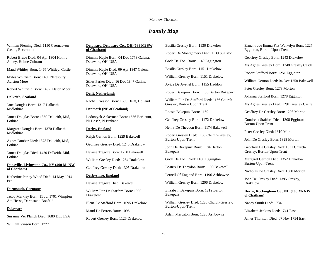# *Family Map*

William Fleming Died: 1150 Caernaevon Castle, Becermont

Robert Bruce Died: 04 Apr 1304 Holme Abbey, Holme Cultram

Maud Whitley Born: 1465 Whitley, Castle

Myles Whitfield Born: 1480 Netesbury, Aulston More

Robert Whitfield Born: 1492 Alston Moor

#### **Dalkeith, Scotland**

Jane Douglas Born: 1317 Dalkeith, Midlothian

James Douglas Born: 1350 Dalkeith, Mid, Lothian

Margaret Douglas Born: 1370 Dalkeith, Midlothian

Agnes Dunbar Died: 1378 Dalkeith, Mid, Lothian

James Douglas Died: 1420 Dalkeith, Mid, Lothian

# **Dansville, Livingston Co., NY (400 Mi NW of Chatham)**

Katherine Perley Wood Died: 14 May 1914 Per.

# **Darmstadt, Germany**

Jacob Markley Born: 11 Jul 1701 Wimpfen Am Hesse, Darmstadt, Bonfeld

# **Delaware**

Susanna Ver Planck Died: 1680 DE, USA

William Vinson Born: 1777

# **Delaware, Delaware Co., OH (688 Mi SW of Chatham)**

Dimmis Kaple Born: 04 Dec 1773 Galena, Delaware, OH, USA

Dimmis Kaple Died: 09 Apr 1847 Galena, Delaware, OH, USA

Stiles Parker Died: 16 Dec 1847 Galina, Delaware, OH, USA

# **Delft, Netherlands**

Rachel Cresson Born: 1656 Delft, Holland

# **Denmark (NE of Scotland)**

Lodowyck Ackerman Born: 1656 Berlicum, Nr Bosch, N Brabant

# **Derby, England**

Ralph Gernon Born: 1229 Bakewell Geoffrey Gresley Died: 1240 Drakelow Hawise Tregoze Born: 1250 Bakewell William Gresley Died: 1254 Drakelow Geoffrey Gresley Died: 1305 Drakelow

# **Derbyshire, England**

Hawise Tregoze Died: Bakewell

William Fitz De Stafford Born: 1090 Drakelow

Elena De Stafford Born: 1095 Drakelow

Maud De Ferrers Born: 1096

Robert Gresley Born: 1125 Drakelow

Basilia Gresley Born: 1130 Drakelow

Robert De Montgomery Died: 1139 Sualston

Goda De Toni Born: 1140 Eggington Basilia Gresley Born: 1151 Drakelow

William Gresley Born: 1151 Drakelow

Avice De Avenel Born: 1155 Haddon

Robert Bakepuiz Born: 1156 Burton Bakepuiz

William Fitz De Stafford Died: 1166 Church Gresley, Burton Upon Trent

Roesia Bakepuiz Born: 1169

Geoffrey Gresley Born: 1172 Drakelow

Henry De Theydon Born: 1174 Bakewell

Robert Gresley Died: 1183 Church-Gresley, Burton-Upon-Trent

John De Bakepuiz Born: 1184 Barton Bakepuiz

Goda De Toni Died: 1186 Eggington

Beatrix De Theydon Born: 1190 Bakewell

Pernell Of England Born: 1196 Ashbowne

William Gresley Born: 1206 Drakelow

Elizabeth Bakepuiz Born: 1212 Barton, Bakepuiz

William Gresley Died: 1220 Church-Gresley, Burton-Upon-Trent

Adam Mercaton Born: 1226 Ashbowne

Ermentrude Emma Fitz Walkelyn Born: 1227 Egginton, Burton Upon Trent

Geoffrey Gresley Born: 1243 Drakelow

Ms Agnes Gresley Born: 1248 Gresley Castle

Robert Stafford Born: 1251 Egginton

William Gernon Died: 04 Dec 1258 Bakewell

Peter Gresley Born: 1273 Morton

Johanna Stafford Born: 1278 Egginton

Ms Agnes Gresley Died: 1291 Gresley Castle

Geoffrey De Gresley Born: 1298 Morton

Gundreda Stafford Died: 1308 Egginton, Burton Upon Trent

Peter Gresley Died: 1310 Morton

John De Gresley Born: 1328 Morton

Geoffrey De Gresley Died: 1331 Church-Gresley, Burton-Upon-Trent

Margaret Gernon Died: 1352 Drakelow, Burton-Upon-Trent

Nicholas De Gresley Died: 1380 Morton

John De Gresley Died: 1395 Gresley, Drakelow

# **Derry, Rockingham Co., NH (108 Mi NW of Chatham)**

Nancy Smith Died: 1734

Elizabeth Jenkins Died: 1741 East

James Thornton Died: 07 Nov 1754 East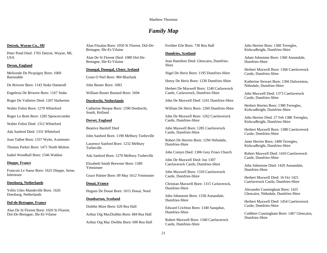# *Family Map*

#### **Detroit, Wayne Co., MI**

Peter Pond Died: 1765 Detroit, Wayne, MI, USA

#### **Devon, England**

Melisinde De Picquigny Born: 1060 Barnstable

De Briwere Born: 1143 Stoke Damerall

Engelesia De Briwere Born: 1167 Stoke

Roger De Valletort Died: 1207 Harberton

Walter Foliot Born: 1270 Whiteford

Roger Le Brett Born: 1285 Spencercombe

Walter Foliot Died: 1312 Whiteford

Ada Sanford Died: 1331 Whiteford

Joan Talbot Born: 1337 Wyke, Axminster

Thomas Parker Born: 1471 North Molton

Isabel Woodhall Born: 1546 Waldon

# **Dieppe, France**

Francois Le Sueur Born: 1625 Dieppe, Seine, Inferieure

#### **Doesburg, Netherlands**

Yellis Giles Mandeville Born: 1626 Doesburg, Netherlands

#### **Dol-de-Bretagne, France**

Alan De St Florent Born: 1020 St Florent, Dol-De-Bretagne, Ille-Et-Vilaine

Alan Fitzalan Born: 1050 St Florent, Dol-De-Bretagne, Ille-Et-Vilaine

Alan De St Florent Died: 1080 Dol-De-Bretagne, Ille-Et-Vilaine

# **Donegal, Donegal, Ulster, Ireland**

Grain O Niel Born: 984 Blairlusk

John Buster Born: 1683

William Buster Bustard Born: 1694

#### **Dordrecht, Netherlands**

Catherine Herque Born: 1590 Dordrecht, South, Holland

#### **Dorset, England**

Beatrice Bardolf Died

John Sanford Born: 1190 Melbury Turbeville

Laurence Sanford Born: 1232 Melbury Turbeville

Ada Sanford Born: 1270 Melbury Turbeville

Elizabeth Smith Brewster Born: 1589 Yetminster

Grace Palmer Born: 09 May 1612 Yetminster

#### **Douai, France**

Hugues De Douai Born: 1015 Douai, Nord

#### **Dumbarton, Scotland**

Duibhn More Born: 620 Rea Hall

Arthur Oig MacDuibhn Born: 684 Rea Hall

Arthur Oig Mac Dwbhn Born: 690 Rea Hall

Ferither Eile Born: 730 Rea Hall

### **Dumfries, Scotland**

Jean Hamilton Died: Glencairn, Dumfries-Shire

Nigel De Heriz Born: 1195 Dumfries-Shire

Henry De Heriz Born: 1230 Dumfries-Shire

Herbert De Maxwell Born: 1240 Carlaverock Castle, Carlaverock, Dumfries-Shire

John De Maxwell Died: 1241 Dumfries-Shire

William De Heriz Born: 1260 Dumfries-Shire

John De Maxwell Born: 1262 Caerlaverock Castle, Dumfries-Shire

John Maxwell Born: 1285 Caerlaverock Castle, Dumfries-Shire

Robert De Herries Born: 1294 Nithsdale, Dumfries-Shire

John Comyn Died: 1306 Grey Friars Church

John De Maxwell Died: Jun 1307 Caerlaverock Castle, Dumfries-Shire

John Maxwell Born: 1310 Caerlaverock Castle, Dumfries-Shire

Christian Maxwell Born: 1315 Carlaverock, Dumfries-Shire

John Johnstone Born: 1330 Annandale, Dumfries-Shire

Edward Crichton Born: 1340 Sanquhar, Dumfries-Shire

Robert Maxwell Born: 1340 Caerlaverock Castle, Dumfries-Shire

John Herries Born: 1360 Terregles, Kirkcudbright, Dumfries-Shire

Adam Johnstone Born: 1360 Annandale, Dumfries-Shire

Herbert Maxwell Born: 1366 Caerlaverock Castle, Dumfries-Shire

Katherine Stewart Born: 1366 Dalswinton, Nithsdale, Dumfries-Shire

John Maxwell Died: 1373 Caerlaverock Castle, Dumfries-Shire

Herbert Herries Born: 1380 Terregles, Kirkcudbright, Dumfries-Shire

John Herries Died: 27 Feb 1386 Terregles, Kirkcudbright, Dumfries-Shire

Herbert Maxwell Born: 1388 Caerlaverock Castle, Dumfries-Shire

Janet Herries Born: 1400 Terregles, Kirkcudbright, Dumfries-Shire

Robert Maxwell Died: 1410 Caerlaverock Castle, Dumfries-Shire

John Johnstone Died: 1420 Annandale, Dumfries-Shire

Herbert Maxwell Died: 16 Oct 1421 Caerlaverock Castle, Dumfries-Shire

Alexander Cunningham Born: 1425 Glencairn, Nithsdale, Dumfries-Shire

Herbert Maxwell Died: 1454 Caerlaverock Castle, Dumfries-Shire

Cuthbert Cunningham Born: 1467 Glencairn, Dumfries-Shire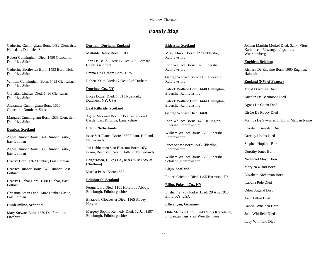# *Family Map*

Catherine Cunningham Born: 1482 Glencairn, Nithsdale, Dumfries-Shire

Robert Cunningham Died: 1490 Glencairn, Dumfries-Shire

Catherine Borthwick Born: 1493 Borthwick, Dumfries-Shire

William Cunningham Born: 1493 Glencairn, Dumfries-Shire

Christian Lindsay Died: 1496 Glencairn, Dumfries-Shire

Alexander Cunningham Born: 1510 Glencairn, Dumfries-Shire

Margaret Cunningham Born: 1533 Glencairn, Dumfries-Shire

#### **Dunbar, Scotland**

Agnes Dunbar Born: 1324 Dunbar Castle, East Lothian

Agnes Dunbar Born: 1335 Dunbar Castle, East Lothian

Beatrix Born: 1362 Dunbar, East Lothian

Beatrice Dunbar Born: 1373 Dunbar, East Lothian

Beatrix Dunbar Born: 1380 Dunbar, East, Lothian

Christina Seton Died: 1402 Dunbar Castle, East Lothian

#### **Dunfermline, Scotland**

Mary Stewart Born: 1380 Dunfermline, Fifeshire

#### **Durham, Durham, England**

Mathilda Baliol Born: 1100

John De Baliol Died: 12 Oct 1269 Bernard Castle, Gainford

Emma De Durham Born: 1275

Robert Keith Died: 17 Oct 1346 Durham

#### **Dutchess Co., NY**

Lucas Lozier Died: 1781 Hyde Park, Dutchess, NY, USA

#### **East Kilbride, Scotland**

Agnes Maxwell Born: 1353 Calderwood Castle, East Kilbride, Lanarkshire

#### **Edam, Netherlands**

Isaac Ver Planck Born: 1580 Edam, Holland, **Netherlands** 

Jan Lubbertsen Van Blarcom Born: 1632 Edam, Beemster, North Holland, Netherlands

# **Edgartown, Dukes Co., MA (35 Mi SW of Chatham)**

Martha Pease Born: 1682

#### **Edinburgh, Scotland**

Fergus Lord Died: 1161 Holyrood Abbey, Edinburgh, Edinburghshire

Elizabeth Gloucester Died: 1165 Abbey Holyrood

Margery Sophia Kennedy Died: 12 Jan 1597 Edinburgh, Edinburghshire

#### **Elderslie, Scotland**

Mary Almour Born: 1278 Elderslie, Renfrewshire

John Wallace Born: 1378 Elderslie, Renfrewshire

George Wallace Born: 1405 Elderslie, Renfrewshire

Patrick Wallace Born: 1440 Hellington, Elderslie, Renfrewshire

Patrick Wallace Born: 1444 Hellington, Elderslie, Renfrewshire

George Wallace Died: 1468

John Wallace Born: 1470 Hellington, Elderslie, Renfrewshire

William Wallace Born: 1500 Elderslie, Renfrewshire

Janet Schaw Born: 1503 Elderslie, Renfrewshire

William Wallace Born: 1530 Elderslie, Sctoland, Renfrewshire

# **Elgin, Scotland**

Robert Crichton Died: 1495 Barmuck, TY

#### **Elihu, Pulaski Co., KY**

Elisha Franklin Parker Died: 29 Aug 1916 Elihu, KY, USA

# **Ellwangen, Germany**

Otila Merckle Born: Sankt Vitus Katholisch, Ellwangen Jagstkreis Wuerttemberg

Johann Marthin Merkel Died: Sankt Vitus Katholisch, Ellwangen Jagstkreis Wuerttemberg

#### **Enghien, Belgium**

Richard De Enqaine Born: 1060 Enghien, Hainault

#### **England (NW of France)**

Maud D Arques Died

Ancelin De Beaumont Died

Agnes De Gaunt Died

Gisèle De Roucy Died

Matilda De Swynnerton Born: Maiden Name

Elizabeth Gresslap Died

Greeley Hobbs Died

Stephen Hopkins Born

Dorothy Jones Born

Nathaniel Mayo Born

Mary Newland Born

Elizabeth Nickerson Born

Isabella Pole Died

Odon Stigand Died

Joan Talbot Died

Gabriel Whelden Born

John Whitfield Died

Lucy Whitfield Died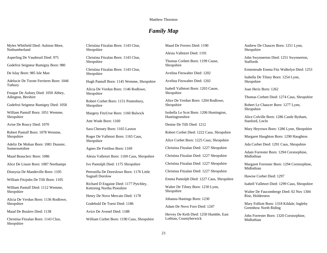# *Family Map*

Myles Whitfield Died: Aulston More, Nothumberland

Asperling De Vaudreuil Died: 975

Godefroi Seigneur Rumigny Born: 980

De Islay Born: 985 Isle Man

Adelucie De Torote Ferrieres Born: 1046 Tutbury

Fouque De Aulney Died: 1050 Abbey, Adington, Bershire

Godefroi Seigneur Rumigny Died: 1050

William Pantulf Born: 1051 Wemme, Shropshire

Avise De Roucy Died: 1070

Robert Pantulf Born: 1078 Wemme, Shropshire

Adeliz De Mohun Born: 1081 Dunster, Somerssetshire

Maud Beauclerc Born: 1086

Alice De Lisure Born: 1087 Northamps

Dionysia De Mandeville Born: 1105

William Fitzjohn De Tilli Born: 1105

William Pantulf Died: 1112 Wemme, Shropshire

Alicia De Verdun Born: 1136 Rodlowe, Shropshire

Maud De Boulers Died: 1138

Christina Fitzalan Born: 1143 Clun, Shropshire

Christina Fitzalan Born: 1143 Clun, Shropshire

Christina Fitzalan Born: 1143 Clun, Shropshire

Christina Fitzalan Born: 1143 Clun, Shropshire

Hugh Pantulf Born: 1145 Wemme, Shropshire

Alicia De Verdun Born: 1146 Rodlowe, Shropshire

Robert Corbet Born: 1151 Pontesbury, **Shropshire** 

Margery FitzUrse Born: 1160 Bulwick

Atte Wode Born: 1160

Sara Chesney Born: 1165 Laxton

Roger De Valletort Born: 1165 Caus, **Shropshire** 

Agnes De Fortibus Born: 1169

Alesia Valletort Born: 1169 Caus, Shropshire

Ivo Pantolph Died: 1175 Shropshire

Petronilla De Doreslowe Born: 1176 Little Sugnall Dorslow

Richard D Engaine Died: 1177 Pytchley, Kettreing Northa Ptonshire

Henry De Novo Mercato Died: 1178

Godehold De Toeni Died: 1186

Avice De Avenel Died: 1188

William Corbet Born: 1190 Caus, Shropshire

Maud De Ferrers Died: 1190

Alesia Valletort Died: 1191

Thomas Corbett Born: 1199 Cause, Shropshire

Avelina Fitzwalter Died: 1202

Avelina Fitzwalter Died: 1202

Isabell Valletort Born: 1203 Cause, Shropshire

Alice De Verdun Born: 1204 Rodlowe, Shropshire

Isobella Le Scot Born: 1206 Huntington, Huntingtonshire

Denise De Tilli Died: 1212

Robert Corbet Died: 1222 Caus, Shropshire

Alice Corbet Born: 1225 Caus, Shropshire

Christina Fitzalan Died: 1227 Shropshire

Christina Fitzalan Died: 1227 Shropshire

Christina Fitzalan Died: 1227 Shropshire

Christina Fitzalan Died: 1227 Shropshire

Emma Pantolph Died: 1227 Caus, Shropshire

Walter De Tilney Born: 1230 Lynn,

Johanna Hastings Born: 1230

Shropshire

Adam De Novo Foro Died: 1247

Hervey De Keth Died: 1250 Humble, East Lothian, Countyberwick

Andrew De Chaucer Born: 1251 Lynn, Shropshire

John Swynnerton Died: 1251 Swynnerton, Staffords

Ermentrude Emma Fitz Walkelyn Died: 1253

Isabella De Tilney Born: 1254 Lynn, Shropshire

Joan Heriz Born: 1262

Thomas Corbett Died: 1274 Caus, Shropshire

Robert Le Chaucer Born: 1277 Lynn, Shropshire

Alice Colville Born: 1286 Castle Bytham, Stanford, Lncln

Mary Heyrown Born: 1286 Lynn, Shropshire

Margaret Haughton Born: 1290 Haughton

Ada Corbet Died: 1291 Caus, Shropshire

Adam Forrester Born: 1294 Corstorphine, Midlothian

Margaret Forrester Born: 1294 Corstorphine, Midlothian

Hawise Corbet Died: 1297

Isabell Valletort Died: 1299 Caus, Shropshire

Walter De Faucomberge Died: 02 Nov 1304 Rise, Holderness

Mary Folliott Born: 1318 Kildale, Ingleby Greenhow North Riding

John Forrester Born: 1320 Corstorphine, Midlothian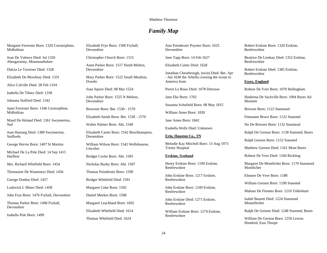# *Family Map*

Margaret Forrester Born: 1320 Corstorphine, Midlothian

Joan De Valence Died: Jul 1326 Abergavenny, Monmouthshire

Dulcia Le Taverner Died: 1328

Elizabeth De Mowbray Died: 1331

Alice Colville Died: 28 Feb 1334

Isabella De Tilney Died: 1338

Johanna Stafford Died: 1342

Janet Forrester Born: 1346 Corstorphine, Midlothian

Maud De Holand Died: 1361 Swynnerton, Staf

Joan Hastang Died: 1380 Swynnerton, Staffords

George Hervie Born: 1407 St Martins

Michael De La Pole Died: 14 Sep 1415 Harfleur

Mrs. Richard Whitfield Born: 1454

Thomasine De Wasteneys Died: 1456

George Dunbar Died: 1457

Lodovick L Miner Died: 1458

John Frye Born: 1476 Fryhall, Devonshire

Thomas Parker Born: 1496 Fryhall, Devonshire

Isabella Pole Born: 1499

Elizabeth Frye Born: 1500 Fryhall, Devonshire

Christopher Church Born: 1515

Anne Parker Born: 1517 North Molton, Devonshire

Mary Parker Born: 1522 South Moulton, Dvnshr

Joan Squire Died: 08 Mar 1524

John Parker Born: 1525 N Molton, Devonshire

Brewster Born: Bet. 1530 - 1570

Elizabeth Smith Born: Bet. 1530 - 1570

Walter Palmer Born: Abt. 1540

Elizabeth Carter Born: 1542 Brockhampton, Dorsetshire

William Wilson Born: 1542 Wellsbourne, Lincolns

Bridget Cocke Born: Abt. 1585

Nicholas Busby Born: Abt. 1587

Thomas Poindexter Born: 1590

Bridget Whitfield Died: 1591

Margaret Coke Born: 1592

Daniel Meekes Born: 1598

Margaret Leachland Born: 1602

Elizabeth Whitfield Died: 1614

Thomas Whitfield Died: 1624

Ann Poindexter Poynter Born: 1625 Devonshire

Jane Tapp Born: 14 Feb 1627

Elizabeth Carter Died: 1628

Jonathan Chesebrough, (twin) Died: Bet. Apr - Jun 1630 the Arbella crossing the ocean to America from

Pierre Le Roux Died: 1678 Detrouw

Jane Eke Born: 1702

Susanna Schofield Born: 08 May 1815

William Ames Born: 1830

Jane Ames Born: 1842

Esabella Wells Died: Unknown

#### **Erin, Houston Co., TN**

Melodie Kay Mitchell Born: 13 Aug 1973 Trinity Hospital

#### **Erskine, Scotland**

Henry Erskine Born: 1190 Erskine, Renfrewshire

John Erskine Born: 1217 Erskine, Renfrewshire

John Erskine Born: 1249 Erskine, Renfrewshire

John Erskine Died: 1271 Erskine, Renfrewshire

William Erskine Born: 1274 Erskine, Renfrewshire

Robert Erskine Born: 1320 Erskine, Renfrewshire

Beatrice De Lindsay Died: 1352 Erskine, Renfrewshire

Robert Erskine Died: 1385 Erskine, Renfrewshire

#### **Essex, England**

Rohese De Vere Born: 1070 Hedingham

Hodierna De Sackville Born: 1094 Bures Ad Montem

Briwere Born: 1122 Stanstead

Femname Bruce Born: 1122 Stansted

Nn De Briwere Born: 1132 Stanstead

Ralph De Gernon Born: 1138 Stansted, Bures

Ralph Gernon Born: 1152 Stansted

Matthew Gernon Died: 1161 Mont Bures

Rohese De Vere Died: 1166 Rickling

Margaret De Montfichet Born: 1170 Stanstead Montfichet

Eleanor De Vere Born: 1188

William Gernon Born: 1190 Stansted

Mahaut De Fiennes Born: 1210 Tolleshunt

Isabel Bassett Died: 1224 Stanstead Mountfitchet

Ralph De Gernon Died: 1248 Stansted, Bures

William De Gernon Born: 1250 Lexton Hundred, East Thorpe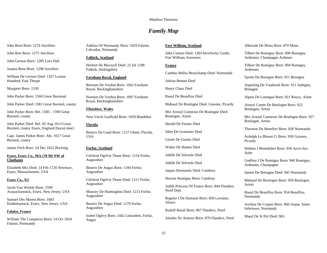# *Family Map*

John Brett Born: 1274 Anviliers

John Bret Born: 1275 Anviliers

John Gernon Born: 1285 Lees Hall

Joanna Brett Born: 1298 Anviliers

William De Gernon Died: 1327 Lexton Hundred, East Thorpe

Margaret Born: 1530

John Parker Born: 1560 Great Burstead

John Parker Died: 1581 Great Bursted, county

John Parker Born: Bet. 1585 - 1590 Great Bursted, county

John Parker Died: Bef. 05 Aug 1613 Great Bursted, county Essex, England [burial date]

Capt. James Parker Born: Abt. 1617 Great Bursted, county

James Fitch Born: 24 Dec 1622 Bocking

### **Essex, Essex Co., MA (78 Mi NW of Chatham)**

Elizabeth Mix Died: 14 Feb 1726 Newbury, Essex, Massachusetts, USA

# **Essex Co., NJ**

Jacob Van Winkle Born: 1599 Acquackanonck, Essex, New Jersey, USA

Samuel Des Marest Born: 1683 Kinderkamack, Essex, New Jersey, USA

# **Falaise, France**

William The Conqueror Born: 14 Oct 1024 Falaise, Normandy

Adeliza Of Normandy Born: 1029 Falaise, Calvados, Normandy

#### **Falkirk, Scotland**

Herbert De Maxwell Died: 22 Jul 1298 Falkirk, Stirlingshire

# **Farnham Royal, England**

Bertram De Verdun Born: 1062 Farnham Royal, Buckinghamshire

Norman De Verdun Born: 1097 Farnham Royal, Buckinghamshire

# **Flintshire, Wales**

Nest Verch Gruffydd Born: 1059 Rhuddlan

# **Florida**

Beatrix De Gand Born: 1127 Ghent, Florida, USA

# **Forfar, Scotland**

Gilchrist Ogilvie Thane Born: 1154 Forfar, Angusshire

Beatrix De Angus Born: 1184 Forfar, Angusshire

Gilchrist Ogilvie Thane Died: 1211 Forfar, Angusshire

Marjory De Huntingdon Died: 1213 Forfar, Angusshire

Beatrix De Angus Died: 1270 Forfar, Angusshire

Isobel Ogilvy Born: 1442 Lintrathen, Forfar, Angus

#### **Fort William, Scotland**

John Comyn Died: 1303 Inverlochy Castle, Fort William, Inverness

# **France**

Cambus Bellus Beauchamp Died: Normandy

Adrian Bennet Died

Hanry Claus Died

Raoul De Beauffou Died

Mahaud De Boulogne Died: Guisnes, Picardy

Mrs Arnoul Comtesse De Boulogne Died: Boulogne, Artois

Herald De Furnes Died

Siher De Gramines Died

Gisele De Guines Died

Walter De Hames Died

Adelle De Selvesle Died

Adelle De Selvesle Died

Jaques Desmarets Died: Cambrey

Hawise Rumigny Born: Cambray

Judith Princess Of France Born: 844 Flanders, Nord Dept

Regnier I De Hainault Born: 850 Lorraine, Alsace

Rudolf Raoul Born: 867 Flanders, Nord

Alaides De Amiens Born: 870 Flanders, Nord

Alberade De Mons Born: 870 Mons

Tilbert De Rumigny Born: 900 Rumigny, Ardennes, Champagne Ardenne

Tilbert De Rumigny Born: 904 Rumigny, Ardennes

Sporte De Bretagne Born: 911 Bretagne

Asperling De Vaudreuil Born: 911 Aubigny, Bretagne

Alpaïs De Lomegau Born: 921 Roucy, Aisne

Arnoul Comte De Boulogne Born: 922 Boulogne, Artois

Mrs Arnoul Comtesse De Boulogne Born: 927 Boulogne, Artois

Thurston De Montfort Born: 928 Normandy

Ardolph Le Blount Ct Born: 930 Guisnes, Picardy

Hildoin I Montdidier Born: 930 Arcis-Sur-Aube

Godfrey I De Rumigny Born: 940 Rumigny, Ardennes, Champagne

Sporte De Bretagne Died: 945 Normandy

Mahaud De Boulogne Born: 950 Boulogne, Artois

Raoul De Beauffou Born: 954 Beauffou, Normandy

Avelina De Crepon Born: 960 Arque, Seine Inferieure, Normandy

Maud De St Pol Died: 965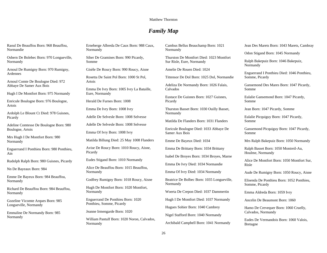# *Family Map*

Raoul De Beauffou Born: 968 Beauffou, Normandie

Osbern De Bolebec Born: 970 Longueville, Normandy

Arnoul De Rumigny Born: 970 Rumigny, Ardennes

Arnoul Comte De Boulogne Died: 972 Abbaye De Samer Aux Bois

Hugh I De Montfort Born: 975 Normandy

Enricule Boulogne Born: 976 Boulogne, Artois

Ardolph Le Blount Ct Died: 978 Guisnes, Picardy

Adeline Comtesse De Boulogne Born: 980 Boulogne, Artois

Mrs Hugh I De Montfort Born: 980 Normandy

Enguerrand I Ponthieu Born: 980 Ponthieu, Ain

Rudolph Ralph Born: 980 Guisnes, Picardy

Nn De Bayeaux Born: 984

Emme De Bayeux Born: 984 Beauffou, Normandy

Richard De Beauffou Born: 984 Beauffou, Normandy

Gozeline Vicomte Arques Born: 985 Longueville, Normandy

Emmaline De Normandy Born: 985 Normandy

Erneberge Albreda De Caux Born: 988 Caux, Normandy

Siher De Gramines Born: 990 Picardy, Somme

Gisèle De Roucy Born: 990 Roucy, Aisne

Rosetta De Saint Pol Born: 1000 St Pol, Artois

Emma De Ivry Born: 1005 Ivry La Bataille, Eure, Normandy

Herald De Furnes Born: 1008

Emma De Ivry Born: 1008 Ivry

Adelle De Selvesle Born: 1008 Selvesse

Adelle De Selvesle Born: 1008 Selvesse

Emma Of Ivry Born: 1008 Ivry

Matilda Billung Died: 25 May 1008 Flanders

Avise De Roucy Born: 1010 Roucy, Aisne, Picardy

Eudes Stigand Born: 1010 Normandy

Alice De Beauffou Born: 1015 Beauffou, Normandy

Godfrey Rumigny Born: 1018 Roucy, Aisne

Hugh De Montfort Born: 1020 Montfort, Normandy

Enguerrand De Ponthieu Born: 1020 Ponthieu, Somme, Picardy

Jeanne Irmengarde Born: 1020

William Pantulf Born: 1020 Noron, Calvados, Normandy

Cambus Bellus Beauchamp Born: 1021 Normandy

Thurston De Montfort Died: 1023 Montfort Sur Risle, Eure, Normandy

Amelie De Rouen Died: 1024

Tittensor De Dol Born: 1025 Dol, Normandie

Adeliza De Normandy Born: 1026 Falais, Calvados

Eustace De Guisnes Born: 1027 Guisnes, Picardy

Thurston Basset Born: 1030 Ouilly Basset, Normandy

Matilda De Flanders Born: 1031 Flanders

Enricule Boulogne Died: 1033 Abbaye De Samer Aux Bois

Emme De Bayeux Died: 1034

Emma De Brittany Born: 1034 Brittany

Isabel De Broyes Born: 1034 Broyes, Marne

Emma De Ivry Died: 1034 Normandie

Emma Of Ivry Died: 1034 Normandy

Beatrice De Bolbec Born: 1035 Longueville, Normandy

Woerta De Crepon Died: 1037 Dammertin

Hugh I De Montfort Died: 1037 Normandy

Hugues Sohier Born: 1040 Cambrey

Nigel Stafford Born: 1040 Normandy

Archibald Campbell Born: 1041 Normandy

Jean Des Marets Born: 1043 Marets, Cambray

Odon Stigand Born: 1045 Normandy

Ralph Bakepuiz Born: 1046 Bakepuiz, Normandy

Enguerrand I Ponthieu Died: 1046 Ponthieu, Somme, Picardy

Gansemond Des Mares Born: 1047 Picardy, Somme

Eulalie Gansemond Born: 1047 Picardy, Somme

Jean Born: 1047 Picardy, Somme

Eulalie Picquiguy Born: 1047 Picardy, Somme

Gansemond Picquiguy Born: 1047 Picardy, Somme

Mrs Ralph Bakepuiz Born: 1050 Normandy

Ralph Basset Born: 1050 Montreil-Au, Houlme, Normandy

Alice De Montfort Born: 1050 Montfort Sur, Risle

Aude De Rumigny Born: 1050 Roucy, Aisne

Elisenda De Ponthieu Born: 1052 Ponthieu, Somme, Picardy

Emma Aldreda Born: 1059 Ivry

Ancelin De Beaumont Born: 1060

Hamo De Crevequer Born: 1060 Cruelly, Calvados, Normandy

Eudes De Vermandois Born: 1060 Valois, Bretagne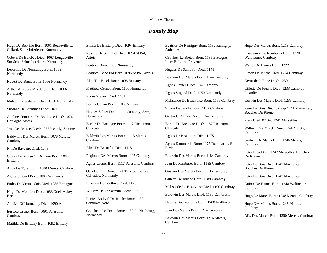# *Family Map*

Hugh De Bosville Born: 1061 Beuzeville La Giffard, Seine Inferieure, Normandy

Osbern De Bolebec Died: 1063 Longueville Sur Scie, Seine Inferieure, Normandy

Lesceline De Normandy Born: 1065 Normandy

Robert De Bruce Born: 1066 Normandy

Arthur Armberg Macduibhn Died: 1066 Normandy

Malcolm Macduibhn Died: 1066 Normandy

Susanne De Gramines Died: 1071

Adeline Comtesse De Boulogne Died: 1074 Boulogne Artois

Jean Des Marets Died: 1075 Picardy, Somme

Baldwin I Des Marets Born: 1076 Marets, Cambray

Nn De Bayeaux Died: 1078

Conan Le Grosse Of Brittany Born: 1080 Brittany

Alice De Tyrel Born: 1080 Merets, Cambray

Agnes Stigand Born: 1080 Normandy

Eudes De Vermandois Died: 1085 Bretagne

Hugh De Montfort Died: 1088 Duel, Abbey Bec

Adeliza Of Normandy Died: 1090 Artois

Eustace Grener Born: 1091 Palastine, Cambray

Matilda De Brittany Born: 1092 Brittany

Emma De Brittany Died: 1094 Brittany Rosetta De Saint Pol Died: 1094 St Pol,

Artois

Beatrice Born: 1095 Normandy

Beatrice De St Pol Born: 1095 St Pol, Artois

Alan The Black Born: 1096 Brittany

Matthew Gernon Born: 1100 Normandy

Eudes Stigand Died: 1101

Bertha Conan Born: 1108 Brittany

Hugues Sohier Died: 1111 Cambray, Seez, Normandy

Berthe De Bretagne Born: 1112 Richemont, Charente

Baldwin Des Marets Born: 1113 Marets, Cambray

Alice De Beauffou Died: 1115

Reginald Des Marets Born: 1115 Cambray

Agnes Grener Born: 1117 Palestine, Cambray

Otes De Tilli Born: 1121 Tilly Sur Seules, Calvados, Normandy

Elisenda De Ponthieu Died: 1128

William De Tankerville Died: 1129

Reniee Bodival De Jauche Born: 1130 Cambray, Nord

Godeheut De Toeni Born: 1130 Le Neubourg, Normandy

Beatrice De Rumigny Born: 1132 Rumigny, Ardennes

Geoffrey Le Breton Born: 1135 Bretagne, Indre Et Loire, Provence

Hugues De Saint Pol Died: 1141

Baldwin Des Marets Born: 1144 Cambray

Agnes Grener Died: 1147 Cambray

Agnes Stigand Died: 1150 Normandy

Melisande De Beauvoise Born: 1156 Cambray

Simon De Jauche Born: 1162 Cambray

Gertrude D Enne Born: 1164 Cambray

Berthe De Bretagne Died: 1167 Richemont, Charente

Agnes De Beaumont Died: 1175

Agnes Dammartin Born: 1177 Dammartin, S E Mr

Baldwin Des Marets Born: 1184 Cambray

Jean De Rambures Born: 1185 Cambrey

Goswin Des Marets Born: 1186 Cambray

Gillette De Jouche Born: 1188 Cambray

Melisande De Beauvoise Died: 1190 Cambray

Baldwin Des Marets Died: 1190 Cambresis

Hawise Bournonville Born: 1200 Wallincourt

Jean Des Marets Born: 1214 Cambray

Baldwin Des Marets Born: 1216 Marets, Cambray

Hugo Des Marets Born: 1218 Cambray

Ermegarde De Rambures Born: 1220 Walincourt, Cambray

Walter De Hames Born: 1222

Simon De Jauche Died: 1224 Cambray

Gertrude D Enne Died: 1230

Gillette De Jouche Died: 1233 Cambray, Picardie

Goswin Des Marets Died: 1239 Cambray

Peter De Brus Died: 07 Sep 1241 Marseilles, Bouches Du Rhone

Piers Died: 07 Sep 1241 Marseilles

William Des Marets Born: 1244 Merets, Cambray

Godwin De Mares Born: 1246 Merets, Cambray

Peter Brus Died: 1247 Marseilles, Bouches Du Rhone

Peter De Brus Died: 1247 Marsielles, Bouches Du Rhone

Peter De Brus Died: 1247 Marseilles

Guiote De Hames Born: 1248 Walincourt, Cambray

Hugo De Mares Born: 1248 Merets, Cambray

Hugo Des Marets Born: 1248 Marets, Cambray

Alix Des Marets Born: 1250 Merets, Cambray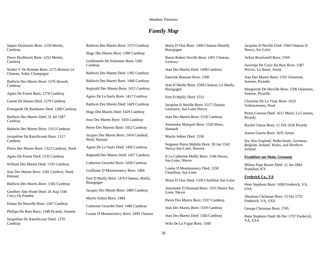# *Family Map*

Jaques Desmarets Born: 1250 Merets, Cambray

Pierre DesMarets Born: 1252 Merets, Cambray

Walter V De Brienne Born: 1275 Brienne Le Chateau, Aube, Champagne

Baldwin Des Marets Born: 1276 Herault, Cambray

Agnes De Forest Born: 1278 Cambray

Guiote De Hames Died: 1279 Cambray

Ermegarde De Rambures Died: 1280 Cambray

Baldwin Des Marets Died: 31 Jul 1287 Cambray

Baldwin Des Marets Born: 1315 Cambray

Jacqueline De Ranchicourt Born: 1317 Cambray

Pierre Des Marets Born: 1323 Cambray, Nord

Agnes De Forest Died: 1335 Cambray

William Des Marets Died: 1335 Cambray

Jean Des Marets Born: 1341 Cambral, Nord, Hainaut

Baldwin Des Marets Born: 1345 Cambray

Geoffrey Atte Wode Died: 26 Aug 1346 Crecy On Ponthie

Emma De Neuville Born: 1347 Cambray

Phillipa De Roet Born: 1348 Picardy, Somme

Jacqueline De Ranchicourt Died: 1370 Cambray

Baldwin Des Marets Born: 1373 Cambray

Hugo Des Marets Born: 1380 Cambray

Guillemette De Solomnes Born: 1382 Cambray

Baldwin Des Marets Died: 1395 Cambray

Baldwin Des Marets Born: 1406 Cambray

Reginald Des Marets Born: 1415 Cambray

Agnes De La Saulx Born: 1417 Cambray

Baldwin Des Marets Died: 1429 Cambray

Hugo Des Marets Died: 1429 Cambray

Jean Des Marets Born: 1450 Cambray

Pierre Des Marests Born: 1452 Cambray

Jacques Des Marets Born: 1454 Cambral, Nord, Hainaut

Agnes De La Saulx Died: 1456 Cambray

Reginald Des Marets Died: 1457 Cambray

Catherine Gerardel Born: 1458 Cambray

Guilliame D Montmorency Born: 1464

Fere D Mailly Born: 1476 Chateau, Mailly, Bourgogne

Jacques Des Marets Born: 1480 Cambray

Martin Sohier Born: 1484

Catherine Gerardel Died: 1486 Cambray

Louise D Montmorency Born: 1490 Chateau

Marta D Oise Born: 1490 Chateau Dmailly Bourgogne

Baron Robert Neville Born: 1491 Chateau, Leneuvy

Jean Des Marets Died: 1498 Cambray

Sanctine Brassart Born: 1500

Jean D Mailly Born: 1509 Chateau, Le Mailly, Bourgogne

Fere D Mailly Died: 1512

Jacquine D Neville Born: 1517 Chateau Leneauvy, Sur-Loire Nievre

Jean Des Marets Born: 1518 Cambray

Antoinette Malapert Born: 1520 Mons, Hainault

Martin Sohier Died: 1536

Seigneur Pierre Mabille Born: 28 Jun 1542 Neuvy-Sur-Loire, Nievere

Il Le Catherine Mailly Born: 1546 Neuvy, Sur-Loire, Nievre

Louise D Montmorency Died: 1550 Chatillion, Sur-Loire

Marta D Oise Died: 1550 Chatillion Sur-Loire

Antoinette D Dumond Born: 1555 Neuvy Sur, Loire, Nievre

Pierre Des Marets Born: 1557 Cambray

Jean Des Marets Born: 1559 Cambray

Jean Des Marets Died: 1560 Cambray

Wife De La Vigne Born: 1560

Jacquine D Neville Died: 1560 Chateau D Neuvy, Sur Loire

Aeltye Brackunell Born: 1569

Sarrentje De Croix Du Bois Born: 1587 Wicres, La Basse, Artois

Jean Des Marets Born: 1592 Oisemont, Somme, Picardie

Marguerite De Herville Born: 1596 Oisemont, Somme, Picardie

Chriatina De La Vinje Born: 1610 Vallenciennes, Nord

Pierre Cresson Died: 1611 Menil, La Cresson, Picardy

Rachel Clauss Born: 11 Feb 1618 Picardy

Jeanne Guerin Born: 1635 Artois

*See Also England, Netherlands, Germany, Belgium, Ireland, Wales, and Northern Ireland.*

#### **Frankfurt am Main, Germany**

Milton Pope Buster Died: 21 Jan 1864 Frankfurt, KY

#### **Frederick Co., VA**

Peter Stephens Born: 1690 Frederick, VA, USA

Abraham Chrisman Born: 15 Oct 1733 Frederick, VA, USA

George Chrisman Born: 1745

Peter Stephens Died: 06 Dec 1757 Frederick, VA, USA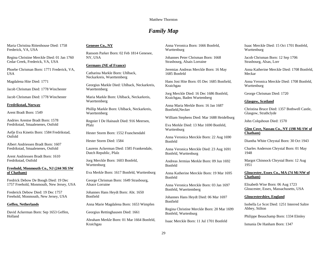# *Family Map*

Maria Christina Rittenhouse Died: 1758 Frederick, VA, USA

Regina Christine Merckle Died: 01 Jan 1760 Cedar Creek, Frederick, VA, USA

Phoebe Chrisman Born: 1771 Frederick, VA, USA

Magdalena Hite Died: 1771

Jacob Chrisman Died: 1778 Winchester

Jacob Chrisman Died: 1778 Winchester

#### **Fredrikstad, Norway**

Arent Bradt Born: 1549

Andries Arentse Bradt Born: 1578 Fredrikstad, Smaalenenes, Ostfold

Aefje Eva Kinetis Born: 1584 Fredrikstad, Ostfold

Albert Andriessen Bradt Born: 1607 Fredrikstad, Smaalenenes, Ostfold

Arent Andriessen Bradt Born: 1610 Fredrikstad, Ostfold

#### **Freehold, Monmouth Co., NJ (244 Mi SW of Chatham)**

Fredrick Debow De Boogh Died: 19 Dec 1757 Freehold, Monmouth, New Jersey, USA

Frederick Debow Died: 19 Dec 1757 Freehold, Monmouth, New Jersey, USA

#### **Geffen, Netherlands**

David Ackerman Born: Sep 1653 Geffen, Holland

# **Genesee Co., NY**

Ransom Parker Born: 02 Feb 1814 Genesee, NY, USA

#### **Germany (NE of France)**

Catharina Markle Born: Uhlback, Neckarkreis, Wuerttemberg

Georgius Markle Died: Uhlback, Neckarkreis, Wuerttemberg

Maria Markle Born: Uhlback, Neckarkreis, Wuerttemberg

Phillip Markle Born: Uhlback, Neckarkreis, Wuerttemberg

Regnier I De Hainault Died: 916 Meersen, Pfalz

Hester Storm Born: 1552 Franchendahl

Hester Storm Died: 1584

Laurens Ackerman Died: 1585 Frankendale, Dutch Republic, Pfalz

Jorg Merckle Born: 1603 Bonfeld, Wurttenburg

Eva Merkle Born: 1617 Bonfeld, Wurttenburg

George Chrisman Born: 1649 Strasbourg, Alsace Lorraine

Johannes Hans Heydt Born: Abt. 1650 Bonfield

Anna Marie Magdalena Born: 1653 Wimpfen

Georgius Rettinghausen Died: 1661

Abraham Merkle Born: 01 Mar 1664 Bonfeld, Kraichgau

Anna Veronica Born: 1666 Bonfeld, Wurttenburg

Johannes Peter Chrisman Born: 1668 Strasbourg, Alsais Lorraine

Jeremias Andreas Merckle Born: 16 May 1685 Bonfeld

Hans Jost Hite Born: 05 Dec 1685 Bonfield, Kraichgau

Jorg Merckle Died: 16 Dec 1686 Bonfeld, Kraichgau, Baden Wurtemberg

Anna Maria Merkle Born: 16 Jan 1687 Bonfield,Necker

William Stephens Died: Mar 1688 Heidelburg

Eva Merkle Died: 13 Mar 1690 Bonfeld, Wurttenburg

Anna Veronica Merckle Born: 22 Aug 1690 Bonfeld

Anna Veronica Merckle Died: 23 Aug 1691 Bonfeld, Wurttenburg

Andreas Jermias Merkle Born: 09 Jun 1692 Bonfeld

Anna Katherine Merckle Born: 19 Mar 1695 Bonfeld

Anna Veronica Merckle Born: 03 Jan 1697 Bonfeld, Wuerttemberg

Johannes Hans Heydt Died: 06 Mar 1697 Bonfield

Regina Christine Merckle Born: 20 Mar 1699 Bonfeld, Wurtenburg

Isaac Merckle Born: 11 Jul 1701 Bonfeld

Isaac Merckle Died: 15 Oct 1701 Bonfeld, Wurttenburg

Jacob Chrisman Born: 12 Sep 1706 Strasbourg, Alsas, Lorr

Anna Katherine Merckle Died: 1708 Bonfeld, Meckar

Anna Veronica Merckle Died: 1708 Bonfeld, Wurttenburg

George Chrisman Died: 1720

#### **Glasgow, Scotland**

Christina Bruce Died: 1357 Bothwell Castle, Glasgow, Strathclyde

John Colquhoun Died: 1570

# **Glen Cove, Nassau Co., NY (198 Mi SW of Chatham)**

Diantha White Chrystal Born: 30 Oct 1943

Charles Anderson Chrystal Born: 01 May 1948

Margot Chinnock Chrystal Born: 12 Aug 1951

# **Gloucester, Essex Co., MA (74 Mi NW of Chatham)**

Elisabeth Wise Born: 06 Aug 1723 Gloucester, Essex, Massachusetts, USA

#### **Gloucestershire, England**

Isobella Le Scot Died: 1251 Interred Saltre Abbey, Stilton

Philippe Beauchamp Born: 1334 Elmley

Ismania De Hanham Born: 1347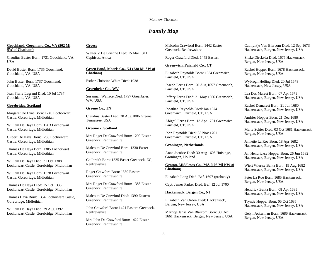# *Family Map*

# **Goochland, Goochland Co., VA (502 Mi SW of Chatham)**

Claudius Buster Born: 1731 Goochland, VA, USA

David Buster Born: 1735 Goochland, Goochland, VA, USA

John Buster Born: 1737 Goochland, Goochland, VA, USA

Jean Pierre Legrand Died: 10 Jul 1737 Goochland, VA, USA

# **Gorebridge, Scotland**

Margaret De Lyne Born: 1240 Lochorwart Castle, Gorebridge, Midlothian

William De Haya Born: 1263 Lochorwart Castle, Gorebridge, Midlothian

Gilbert De Haya Born: 1280 Lochorwart Castle, Gorebridge, Midlothian

Thomas De Haya Born: 1305 Lochorwart Castle, Gorebridge, Midlothian

William De Haya Died: 31 Oct 1308 Lochorwart Castle, Gorebridge, Midlothian

William De Haya Born: 1328 Lochorwart Castle, Gorebridge, Midlothian

Thomas De Haya Died: 15 Oct 1335 Lochorwart Castle, Gorebridge, Midlothian

Thomas Haya Born: 1354 Lochorwart Castle, Gorebridge, Midlothian

William De Haya Died: 29 Aug 1392 Lochorwart Castle, Gorebridge, Midlothian

# **Greece**

Walter V De Brienne Died: 15 Mar 1311 Cephisus, Attica

**Green Pond, Morris Co., NJ (238 Mi SW of Chatham)**

Esther Christine White Died: 1938

#### **Greenbrier Co., WV**

Susannah Wallace Died: 1797 Greenbrier, WV, USA

#### **Greene Co., TN**

Claudius Buster Died: 20 Aug 1806 Greene, Tennessee, USA

#### **Greenock, Scotland**

Mrs Roger De Crawford Born: 1290 Easter Greenock, Renfrewshire

Malcolm De Crawford Born: 1330 Easter Greenock, Renfrewshire

Gailbraith Born: 1335 Easter Greenock, EG, Renfrewshire

Roger Crawford Born: 1380 Eastern Greenock, Renfrewshire

Mrs Roger De Crawford Born: 1385 Easter Greenock, Renfrewshire

Malcolm De Crawford Died: 1390 Eastern Greenock, Renfrewshire

John Crawford Born: 1421 Eastern Greenock, Renfrewshire

Mrs John De Crawford Born: 1422 Easter Greenock, Renfrewshire

Malcolm Crawford Born: 1442 Easter Greenock, Renfrewshire

Roger Crawford Died: 1445 Eastern

#### **Greenwich, Fairfield Co., CT**

Elizabeth Reynolds Born: 1634 Greenwich, Fairfield, CT, USA

Joseph Ferris Born: 20 Aug 1657 Greenwich, Fairfield, CT, USA

Jeffery Ferris Died: 21 May 1666 Greenwich, Fairfield, CT, USA

Jonathan Reynolds Died: Jan 1674 Greenwich, Fairfield, CT, USA

Abigail Ferris Born: 13 Apr 1701 Greenwich, Fairfield, CT, USA

John Reynolds Died: 08 Nov 1701 Greenwich, Fairfield, CT, USA

#### **Groningen, Netherlands**

Anne Jacobse Died: 30 Aug 1605 Huisinge, Groningen, Holland

# **Groton, Middlesex Co., MA (105 Mi NW of Chatham)**

Elizabeth Long Died: Bef. 1697 (probably)

Capt. James Parker Died: Bef. 12 Jul 1700

#### **Hackensack, Bergen Co., NJ**

Elizabeth Van Orden Died: Hackensack, Bergen, New Jersey, USA

Marritje Janse Van Blarcom Born: 30 Dec 1661 Hackensack, Bergen, New Jersey, USA Cathlyntje Van Blarcom Died: 12 Sep 1673 Hackensack, Bergen, New Jersey, USA

Sitske Dircksda Died: 1675 Hackensack, Bergen, New Jersey, USA

Rachel Hopper Born: 1678 Hackensack, Bergen, New Jersey, USA

Wybrogh Helling Died: 20 Jul 1678 Hackensack, New Jersey, USA

Lea Des Marest Born: 07 Apr 1679 Hackensack, Bergen, New Jersey, USA

Rachel Demarest Born: 21 Jun 1680 Hackensack, Bergen, New Jersey, USA

Andries Hopper Born: 21 Dec 1680 Hackensack, Bergen, New Jersey, USA

Marie Sohier Died: 03 Oct 1681 Hackensack, Bergen, New Jersey, USA

Jannetje La Roe Born: 18 Apr 1682 Hackensack, Bergen, New Jersey, USA

Jan Hendrickse Hopper Born: 26 Jun 1682 Hackensack, Bergen, New Jersey, USA

Wiert Wiertse Banta Born: 19 Aug 1682 Hackensack, Bergen, New Jersey, USA

Peter La Roe Born: 1685 Hackensack, Bergen, New Jersey, USA

Hendrick Banta Born: 08 Apr 1685 Hackensack, Bergen, New Jersey, USA

Tryntje Hopper Born: 05 Oct 1685 Hackensack, Bergen, New Jersey, USA

Gelyn Ackerman Born: 1686 Hackensack, Bergen, New Jersey, USA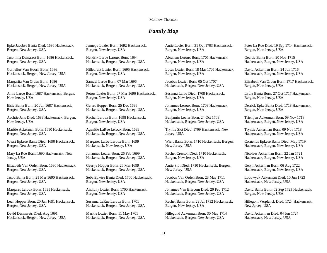# *Family Map*

Epke Jacobse Banta Died: 1686 Hackensack, Bergen, New Jersey, USA

Jacomina Demarest Born: 1686 Hackensack, Bergen, New Jersey, USA

Cornelius Van Hoorn Born: 1686 Hackensack, Bergen, New Jersey, USA

Margarita Van Orden Born: 1686 Hackensack, Bergen, New Jersey, USA

Antie Laroe Born: 1687 Hackensack, Bergen, New Jersey, USA

Elsie Banta Born: 20 Jun 1687 Hackensack, Bergen, New Jersey, USA

Aechtje Jans Died: 1689 Hackensack, Bergen, New Jersey, USA

Maritie Ackerman Born: 1690 Hackensack, Bergen, New Jersey, USA

Weart Epkese Banta Died: 1690 Hackensack, Bergen, New Jersey, USA

Mary La Roe Born: 1690 Hackensack, New Jersey, USA

Elizabeth Van Orden Born: 1690 Hackensack, Bergen, New Jersey, USA

Jacob Banta Born: 21 Mar 1690 Hackensack, Bergen, New Jersey, USA

Marqaret Leroux Born: 1691 Hackensack, Bergen, New Jersey, USA

Leah Hopper Born: 20 Jan 1691 Hackensack, Bergen, New Jersey, USA

David Desmarets Died: Aug 1691 Hackensack, Bergen, New Jersey, USA Jannetje Lozier Born: 1692 Hackensack, Bergen, New Jersey, USA

Hendrik Larue Laroux Born: 1694 Hackensack, Bergen, New Jersey, USA

Hillebrant Lozier Born: 1695 Hackensack, Bergen, New Jersey, USA

Samuel Laroe Born: 07 Mar 1696 Hackensack, Bergen, New Jersey, USA

Petrus Lozier Born: 07 Mar 1696 Hackensack, Bergen, New Jersey, USA

Gerret Hopper Born: 25 Dec 1696 Hackensack, Bergen, New Jersey, USA

Rachel Leroux Born: 1698 Hackensack, Bergen, New Jersey, USA

Agenitie LaRue Leroux Born: 1699 Hackensack, Bergen, New Jersey, USA

Margaret Laroe Leroux Born: 1699 Hackensack, New Jersey, USA

Johannes Lozier Born: 26 Feb 1699 Hackensack, Bergen, New Jersey, USA

Geertje Hopper Born: 26 Mar 1699 Hackensack, Bergen, New Jersey, USA

Seba Epkese Banta Died: 1700 Hackensack, Bergen, New Jersey, USA

Anthony Lozier Born: 1700 Hackensack, Bergen, New Jersey, USA

Susanna LaRue Leroux Born: 1701 Hackensack, Bergen, New Jersey, USA

Maritie Lozier Born: 11 May 1701 Hackensack, Bergen, New Jersey, USA Antie Losier Born: 31 Oct 1703 Hackensack, Bergen, New Jersey, USA

Abraham Leroux Born: 1705 Hackensack, Bergen, New Jersey, USA

Lucas Lozier Born: 18 Mar 1705 Hackensack, Bergen, New Jersey, USA

Jacobus Lozier Born: 05 Oct 1707 Hackensack, Bergen, New Jersey, USA

Susanna Laroe Died: 1708 Hackensack, Bergen, New Jersey, USA

Johannes Leroux Born: 1708 Hackensack, Bergen, New Jersey, USA

Benjamin Lozier Born: 24 Oct 1708 Hackensack, Bergen, New Jersey, USA

Tryntie Slot Died: 1709 Hackensack, New Jersey, USA

Wiert Banta Born: 1710 Hackensack, Bergen, New Jersey, USA

Rachel Cresson Died: 1710 Hackensack, Bergen, New Jersey, USA

Antie Slot Died: 1710 Hackensack, Bergen, New Jersey, USA

Jacobus Van Orden Born: 23 May 1711 Hackensack, Bergen, New Jersey, USA

Johannes Van Blarcom Died: 20 Feb 1712 Hackensack, Bergen, New Jersey, USA

Rachel Banta Born: 29 Jul 1712 Hackensack, Bergen, New Jersey, USA

Hillegond Ackerman Born: 30 May 1714 Hackensack, Bergen, New Jersey, USA

Peter La Roe Died: 19 Sep 1714 Hackensack, Bergen, New Jersey, USA

Geertie Banta Born: 20 Nov 1715 Hackensack, Bergen, New Jersey, USA

David Ackerman Born: 24 Jun 1716 Hackensack, Bergen, New Jersey, USA

Elizabeth Van Orden Born: 1717 Hackensack, Bergen, New Jersey, USA

Lydia Banta Born: 27 Oct 1717 Hackensack, Bergen, New Jersey, USA

Derrick Epke Banta Died: 1718 Hackensack, Bergen, New Jersey, USA

Trientjen Ackerman Born: 09 Nov 1718 Hackensack, Bergen, New Jersey, USA

Tryntie Ackerman Born: 09 Nov 1718 Hackensack, Bergen, New Jersey, USA

Cornelius Epkese Banta Died: May 1719 Hackensack, Bergen, New Jersey, USA

Nicolaes Ackerman Born: 22 Jan 1721 Hackensack, Bergen, New Jersey, USA

Gelyn Ackerman Born: 06 Aug 1722 Hackensack, Bergen, New Jersey, USA

Lodowyck Ackerman Died: 10 Jun 1723 Hackensack, New Jersey, USA

David Banta Born: 02 Sep 1723 Hackensack, Bergen, New Jersey, USA

Hillegont Verplanck Died: 1724 Hackensack, New Jersey, USA

David Ackerman Died: 04 Jun 1724 Hackensack, New Jersey, USA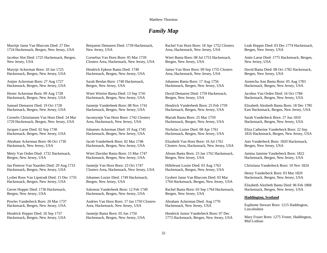# *Family Map*

Marritje Janse Van Blarcom Died: 27 Dec 1724 Hackensack, Bergen, New Jersey, USA

Jacobus Slot Died: 1725 Hackensack, Bergen, New Jersey, USA

Marytje Ackerman Born: 10 Jan 1725 Hackensack, Bergen, New Jersey, USA

Antien Ackerman Born: 27 Aug 1727 Hackensack, Bergen, New Jersey, USA

Hester Ackerman Born: 09 Aug 1728 Hackensack, Bergen, New Jersey, USA

Samuel Demarest Died: 19 Oct 1728 Hackensack, Bergen, New Jersey, USA

Cornelis Christiansen Van Horn Died: 24 Mar 1729 Hackensack, Bergen, New Jersey, USA

Jacques Laroe Died: 02 Sep 1730 Hackensack, Bergen, New Jersey, USA

Abraham Ackerman Born: 06 Oct 1730 Hackensack, New Jersey, USA

Metty Van Orden Died: 1732 Hackensack, Bergen, New Jersey, USA

Jan Pieterse Van Naarden Died: 29 Aug 1733 Hackensack, Bergen, New Jersey, USA

Lysbet Roos Van Lipstradt Died: 15 Dec 1735 Hackensack, Bergen, New Jersey, USA

Gerret Hopper Died: 1736 Hackensack, Bergen, New Jersey, USA

Powles Vanderbeck Born: 20 Mar 1737 Hackensack, Bergen, New Jersey, USA

Hendrick Hopper Died: 26 Sep 1737 Hackensack, Bergen, New Jersey, USA Benjamin Demarest Died: 1739 Hackensack, New Jersey, USA

Cornelius Van Horn Born: 05 Mar 1739 Closters Area, Hackensack, New Jersey, USA

Hendrick Epkese Banta Died: 1740 Hackensack, Bergen, New Jersey, USA

Sarah Berdan Born: 1740 Hackensack, Bergen, New Jersey, USA

Wiert Wiertse Banta Died: 13 Sep 1741 Hackensack, Bergen, New Jersey, USA

Jannetje Vanderbeek Born: 08 Nov 1741 Hackensack, Bergen, New Jersey, USA

Jacomyntje Van Horn Born: 1742 Closters Area, Hackensack, New Jersey, USA

Johannes Ackerman Died: 19 Aug 1745 Hackensack, Bergen, New Jersey, USA

Jacob Vanderbeek Born: 02 Mar 1746 Hackensack, Bergen, New Jersey, USA

Wiert Davidse Banta Born: 15 Mar 1747 Hackensack, Bergen, New Jersey, USA

Jannetje Van Horn Born: 23 Oct 1747 Closters Area, Hackensack, New Jersey, USA

Johannes Lozier Died: 1749 Hackensack, Bergen, New Jersey, USA

Salomon Vanderbeek Born: 12 Feb 1749 Hackensack, Bergen, New Jersey, USA

Andries Van Horn Born: 17 Jan 1750 Closters Area, Hackensack, New Jersey, USA

Jannetje Banta Born: 05 Jun 1750 Hackensack, Bergen, New Jersey, USA Rachel Van Horn Born: 18 Apr 1752 Closters Area, Hackensack, New Jersey, USA

Wiert Banta Born: 08 Jul 1753 Hackensack, Bergen, New Jersey, USA

James Van Horn Born: 09 Sep 1755 Closters Area, Hackensack, New Jersey, USA

Johannes Banta Born: 17 Aug 1756 Hackensack, Bergen, New Jersey, USA

David Demarest Died: 1759 Hackensack, Bergen, New Jersey, USA

Hendrick Vanderbeek Born: 25 Feb 1759 Hackensack, Bergen, New Jersey, USA

Mariah Banta Born: 25 Mar 1759 Hackensack, Bergen, New Jersey, USA

Nicholas Lozier Died: 08 Apr 1761 Hackensack, Bergen, New Jersey, USA

Elizabeth Van Horn Born: 16 Jul 1761 Closters Area, Hackensack, New Jersey, USA

Abram Banta Born: 23 Jan 1762 Hackensack, Bergen, New Jersey, USA

Hillebrant Lozier Died: 03 Aug 1763 Hackensack, Bergen, New Jersey, USA

Gysbert Janse Van Blarcom Died: 03 Mar 1764 Hackensack, Bergen, New Jersey, USA

Rachel Banta Born: 03 Sep 1764 Hackensack, Bergen, New Jersey, USA

Abraham Ackerman Died: Aug 1770 Hackensack, New Jersey, USA

Hendrick Junior Vanderbeck Born: 07 Dec 1773 Hackensack, Bergen, New Jersey, USA Leah Hopper Died: 03 Dec 1774 Hackensack, Bergen, New Jersey, USA

Antie Laroe Died: 1775 Hackensack, Bergen, New Jersey, USA

David Banta Died: 08 Oct 1782 Hackensack, Bergen, New Jersey, USA

Annetcha Ann Banta Born: 05 Aug 1783 Hackensack, Bergen, New Jersey, USA

Jacobus Van Orden Died: 16 Oct 1784 Hackensack, Bergen, New Jersey, USA

Elizabeth Alezbeth Banta Born: 18 Dec 1785 East Hackensack, Bergen, New Jersey, USA

Sarah Vanderbeck Born: 27 Jun 1810 Hackensack, Bergen, New Jersey, USA

Eliza Catherine Vanderbeck Born: 22 Sep 1816 Hackensack, Bergen, New Jersey, USA

Ann Vanderbeck Born: 1820 Hackensack, Bergen, New Jersey, USA

Jamina Jamime Vanderbeck Born: 1822 Hackensack, Bergen, New Jersey, USA

Christiana Vanderbeck Born: 10 Nov 1824

Henry Vanderbeck Born: 03 Mar 1829 Hackensack, Bergen, New Jersey, USA

Elizabeth Alezbeth Banta Died: 06 Feb 1868 Hackensack, Bergen, New Jersey, USA

#### **Haddington, Scotland**

Eupheme Stewart Born: 1215 Haddington, Lincolnshire

Mary Fraser Born: 1275 Yester, Haddington, Mid Lothian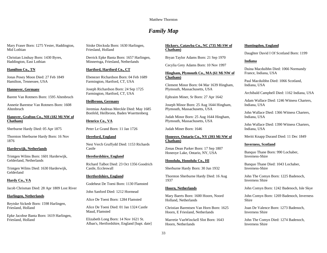# *Family Map*

Mary Fraser Born: 1275 Yester, Haddington, Mid Lothian

Christian Lindsay Born: 1430 Byres, Haddington, East Lothian

# **Hamilton Co., TN**

Jonas Posey Moon Died: 27 Feb 1849 Hamilton, Tennessee, USA

#### **Hannover, Germany**

Barent Van Rotmers Born: 1595 Altenbruch

Annetie Barentse Van Rotmers Born: 1608 Altenbruch

# **Hanover, Grafton Co., NH (182 Mi NW of Chatham)**

Sherburne Hardy Died: 05 Apr 1875

Thornton Sherburne Hardy Born: 16 Nov 1876

#### **Harderwijk, Netherlands**

Trintgen Wilms Born: 1601 Harderwijk, Gelderland, Netherlands

Trintgen Wilms Died: 1630 Harderwijk, Gelderland

# **Hardy Co., VA**

Jacob Chrisman Died: 28 Apr 1809 Lost River

# **Harlingen, Netherlands**

Reytske Sickedr Born: 1598 Harlingen, Friesland, Holland

Epke Jacobse Banta Born: 1619 Harlingen, Friesland, Holland

Sitske Dircksda Born: 1630 Harlingen, Friesland, Holland

Derrick Epke Banta Born: 1657 Harlingen, Minnertsga, Friesland, Netherlands

# **Hartford, Hartford Co., CT**

Ebenezer Richardson Born: 04 Feb 1689 Farmington, Hartford, CT, USA

Joseph Richardson Born: 24 Sep 1725 Farmington, Hartford, CT, USA

#### **Heilbronn, Germany**

Jeremias Andreas Merckle Died: May 1685 Bonfeld, Heilbronn, Baden Wuerttenberg

#### **Henrico Co., VA**

Peter Le Grand Born: 11 Jan 1726

#### **Hereford, England**

Nest Verch Gruffydd Died: 1153 Richards Castle

#### **Herefordshire, England**

Richard Talbot Died: 23 Oct 1356 Goodrich Castle, Eccleswall

#### **Hertfordshire, England**

Godeheut De Toeni Born: 1130 Flamsted

John Sanford Died: 1212 Hormead

Alice De Toeni Born: 1284 Flamsted

Alice De Toeni Died: 01 Jan 1324 Castle Maud, Flamsted

Elizabeth Long Born: 14 Nov 1621 St. Alban's, Hertfordshire, England [bapt. date]

### **Hickory, Catawba Co., NC (735 Mi SW of Chatham)**

Bryan Taylor Adams Born: 21 Sep 1970

Cecylia Grey Adams Born: 10 Nov 1997

### **Hingham, Plymouth Co., MA (61 Mi NW of Chatham)**

Clement Minor Born: 04 Mar 1639 Hingham, Plymouth, Massachusetts, USA

Ephraim Miner, Sr Born: 27 Apr 1642

Joseph Minor Born: 25 Aug 1644 Hingham, Plymouth, Massachusetts, USA

Judah Minor Born: 25 Aug 1644 Hingham, Plymouth, Massachusetts, USA

Judah Miner Born: 1646

### **Honeoye, Ontario Co., NY (393 Mi NW of Chatham)**

Zenas Dean Parker Born: 17 Sep 1807 Honeoye Lake, Ontario, NY, USA

#### **Honolulu, Honolulu Co., HI**

Sherburne Hardy Born: 30 Jun 1932

Thornton Sherburne Hardy Died: 16 Aug 1937

#### **Hoorn, Netherlands**

Mary Baerts Born: 1600 Hoorn, Noord Holland, Netherlands

Christian Barentsen Van Horn Born: 1625 Hoorn, E Friesland, Netherlands

Marretie VanWinckell Slot Born: 1643 Hoorn, Netherlands

#### **Huntingdon, England**

Daughter David I Of Scotland Born: 1199

#### **Indiana**

Duina Macduibhn Died: 1066 Normandy France, Indiana, USA

Paul Macduibhn Died: 1066 Scotland, Indiana, USA

Archibald Campbell Died: 1162 Indiana, USA

Adam Wallace Died: 1246 Witness Charters, Indiana, USA

John Wallace Died: 1366 Witness Charters, Indiana, USA

John Wallace Died: 1390 Witness Charters, Indiana, USA

Meritt Knapp Durand Died: 11 Dec 1849

#### **Inverness, Scotland**

Banquo Thane Born: 990 Lochaber, Inverness-Shire

Banquo Thane Died: 1043 Lochaber, Inverness-Shire

John The Comyn Born: 1225 Badenoch, Inverness Shire

John Comyn Born: 1242 Badenoch, Isle Skye

John Comyn Born: 1269 Badenoch, Inverness Shire

Joan De Valence Born: 1273 Badenoch, Inverness Shire

John The Comyn Died: 1274 Badenoch, Inverness Shire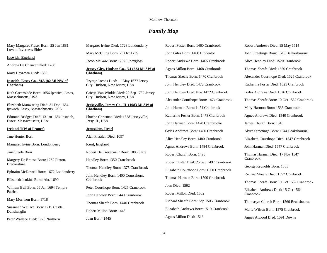# *Family Map*

Mary Margaret Fraser Born: 25 Jun 1881 Lovatt, Inverness-Shire

#### **Ipswich, England**

Andrew De Chaucer Died: 1288

Mary Heyrown Died: 1308

# **Ipswich, Essex Co., MA (82 Mi NW of Chatham)**

Ruth Greenslade Born: 1656 Ipswich, Essex, Massachusetts, USA

Elizabeth Manwaring Died: 31 Dec 1664 Ipswich, Essex, Massachusetts, USA

Edmund Bridges Died: 13 Jan 1684 Ipswich, Essex, Massachusetts, USA

#### **Ireland (NW of France)**

Jane Hunter Born

Margaret Irvine Born: Londonderry

Jane Steele Born

Margery De Braose Born: 1262 Pipton, Breconshire

Ephraim McDowell Born: 1672 Londonderry

Elizabeth Jenkins Born: Abt. 1690

William Bell Born: 06 Jan 1694 Temple Patrick

Mary Morrison Born: 1718

Susannah Wallace Born: 1719 Castle, Dunshanglin

Peter Wallace Died: 1723 Northern

Margaret Irvine Died: 1728 Londonderry

Mary McClung Born: 28 Oct 1735

Jacob McGaw Born: 1737 Lineygloss

**Jersey City, Hudson Co., NJ (223 Mi SW of Chatham)**

Tryntje Jacobs Died: 11 May 1677 Jersey City, Hudson, New Jersey, USA

Grietje Van Winkle Died: 20 Sep 1732 Jersey City, Hudson, New Jersey, USA

# **Jerseyville, Jersey Co., IL (1083 Mi SW of Chatham)**

Phoebe Chrisman Died: 1858 Jerseyville, Jersy, IL, USA

**Jerusalem, Israel**

Alan Fitzalan Died: 1097

#### **Kent, England**

Robert De Crevecoeur Born: 1085 Sarre Hendley Born: 1350 Cransbrook Thomas Hendley Born: 1375 Cransbrook John Hendley Born: 1400 Coursehorn, Cranbrook Peter Courthope Born: 1425 Cranbrook John Hendley Born: 1440 Cranbrook Thomas Sheafe Born: 1440 Cranbrook Robert Millon Born: 1443 Joan Born: 1445

Robert Foster Born: 1460 Cranbrook John Giles Born: 1460 Biddenton Robert Andrewe Born: 1465 Cranbrook Agnes Millon Born: 1468 Cranbrook Thomas Sheafe Born: 1470 Cranbrook John Hendley Died: 1472 Cranbrook John Hendley Died: Nov 1472 Cranbrook Alexander Courthope Born: 1474 Cranbrook John Harman Born: 1474 Cranbrook Katherine Foster Born: 1478 Cranbrook John Harman Born: 1478 Cranbrooke Gyles Andrews Born: 1480 Cranbrook Alice Hendley Born: 1480 Cranbrook Agnes Andrews Born: 1484 Cranbrook Robert Church Born: 1495 Robert Foster Died: 25 Sep 1497 Cranbrook Elizabeth Courthope Born: 1500 Cranbrook Thomas Harman Born: 1500 Cranbrook Joan Died: 1502 Robert Millon Died: 1502 Richard Sheafe Born: Sep 1505 Cranbrook Elizabeth Andrews Born: 1510 Cranbrook

Robert Andrewe Died: 15 May 1514 John Streetinge Born: 1515 Beakesbourne Alice Hendley Died: 1520 Cranbrook Thomas Sheafe Died: 1520 Cranbrook Alexander Courthope Died: 1525 Cranbrook Katherine Foster Died: 1525 Cranbrook Gyles Andrews Died: 1526 Cranbrook Thomas Sheafe Born: 10 Oct 1532 Cranbrook Mary Harmon Born: 1536 Cranbrook Agnes Andrews Died: 1540 Cranbrook James Church Born: 1540 Alyce Streetinge Born: 1544 Beaksbourne Elizabeth Courthope Died: 1547 Cranbrook John Harman Died: 1547 Cranbrook Thomas Harman Died: 17 Nov 1547 Cranbrook George Reynolds Born: 1555 Richard Sheafe Died: 1557 Cranbrook Thomas Sheafe Born: 10 Oct 1562 Cranbrook Elizabeth Andrews Died: 15 Oct 1564 Cranbrook Thomasyn Church Born: 1566 Beaksbourne Maria Wilson Born: 1575 Cranbrook Agnes Atwood Died: 1591 Downe

Agnes Millon Died: 1513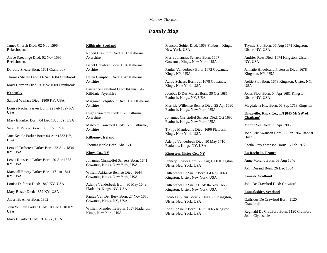# *Family Map*

James Church Died: 02 Nov 1596 Bekesbourne

Alyce Streetinge Died: 02 Nov 1596 Becksbourne

Dorothy Sheafe Born: 1601 Cranbrook

Thomas Sheafe Died: 06 Sep 1604 Cranbrook

Mary Harmon Died: 20 Nov 1609 Cranbrook

#### **Kentucky**

Samuel Wallace Died: 1800 KY, USA

Louisa Rachel Parker Born: 22 Feb 1827 KY, USA

Mary E Parker Born: 04 Dec 1828 KY, USA

Sarah M Parker Born: 1830 KY, USA

Jane Keaple Parker Born: 04 Apr 1832 KY, USA

Lemuel Deforrest Parker Born: 22 Aug 1834 KY, USA

Lewis Rousseau Parker Born: 20 Apr 1838 KY, USA

Marshall Emory Parker Born: 17 Jan 1841 KY, USA

Louisa Deforest Died: 1849 KY, USA

Mary Buster Died: 1852 KY, USA

Albert B. Ames Born: 1862

John William Parker Died: 10 Dec 1910 KY, USA

Mary E Parker Died: 1914 KY, USA

# **Kilbirnie, Scotland**

Robert Crawford Died: 1513 Kilbirnie, Ayershire

Isabel Crawford Born: 1526 Kilbirnie, Ayshire

Helen Campbell Died: 1547 Kilbirnie, Aylshire

Lawrence Crawford Died: 04 Jun 1547 Kilbirnie, Ayershire

Margaret Colquhoun Died: 1561 Kilbirnie, Aylshire

Hugh Crawford Died: 1576 Kilbirnie, Ayershire

Malcolm Crawford Died: 1595 Kilbirnie, Aylshire

#### **Kilkenny, Ireland**

Thomas Kaple Born: Abt. 1715

#### **Kings Co., NY**

Johannes Christoffel Schaers Born: 1641 Gowanus, Kings, New York, USA

Willem Adrianse Bennett Died: 1644 Gowanus, Kings, New York, USA

Adeltje Vanderbeek Born: 30 May 1649 Flatlands, Kings, NY, USA

Paulus Van Der Beek Born: 27 Nov 1650 Gowanus, Kings, NY, USA

William Mandeville Born: 1657 Flatlands, Kings, New York, USA

Francois Sohier Died: 1663 Flatbush, Kings, New York, USA

Maria Johannes Schaers Born: 1667 Gowanus, Kings, New York, USA

Paulus Vanderbeek Born: 1672 Gowanus, Kings, NY, USA

Aaltje Schaers Born: Jul 1678 Gowanus, Kings, New York, USA

Jacobus D Des Marest Born: 30 Oct 1681 Flatbush, Kings, NY, USA

Marritje Willemse Bennet Died: 25 Apr 1690 Flatbush, Kings, New York, USA

Johannes Christoffel Schaers Died: Oct 1690 Flatbush, Kings, New York, USA

Tryntje Mandeville Died: 1696 Flatbush, Kings, New York, USA

Adeltje Vanderbeek Died: 30 May 1710 Flatlands, Kings, NY, USA

#### **Kingston, Ulster Co., NY**

Jannetje Lozier Born: 22 Aug 1660 Kingston, Ulster, New York, USA

Hillebrandt Le Sueur Born: 04 Nov 1663 Kingston, Ulster, New York, USA

Hillebrandt Le Sueur Died: 04 Nov 1663 Kingston, Ulster, New York, USA

Jacob Le Sueur Born: 26 Jul 1665 Kingston, Ulster, New York, USA

John Le Sueur Born: 26 Jul 1665 Kingston, Ulster, New York, USA

Tryntie Slot Born: 06 Aug 1671 Kingston, Ulster, NY, USA

Andries Rees Died: 1674 Kingston, Ulster, NY, USA

Jannatie Hildebrand Pietersen Died: 1678 Kingston, NY, USA

Aeltje Slot Born: 1678 Kingston, Ulster, NY, USA

Jonas Sloat Born: 04 Apr 1681 Kingston, Ulster, NY, USA

Magdalena Hite Born: 06 Sep 1713 Kingston

# **Knoxville, Knox Co., TN (845 Mi SW of Chatham)**

Martha See Died: 06 Apr 1906

John Eric Swanson Born: 27 Jan 1967 Baptist Hosp.

Sheila Grey Swanson Born: 16 Feb 1972

#### **La Rochelle, France**

Anne Morand Born: 03 Aug 1646

John Durand Born: 26 Dec 1664

#### **Lanark, Scotland**

John De Crawford Died: Crawford

#### **Lanarkshire, Scotland**

Galfridus De Crawford Born: 1120 Crawfordjohn

Reginald De Crawford Born: 1120 Crawford John, Clydesdale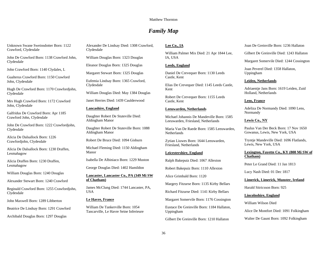# *Family Map*

Unknown Swane Sweinsdotter Born: 1122 Crawford, Clydesdale

John De Crawford Born: 1138 Crawford John, Clydesdale

John Crawford Born: 1140 Clydales, L

Gualterus Crawford Born: 1150 Crawford John, Clydesdale

Hugh De Crawford Born: 1170 Crawfordjohn, Clydesdale

Mrs Hugh Crawford Born: 1172 Crawford John, Clydesdale

Galfridus De Crawford Born: Apr 1185 Crawford John, Clydesdale

John De Crawford Born: 1222 Crawfordjohn, Clydesdale

Alicia De Dalsallock Born: 1226 Crawfordjohn, Clydesdale

Alicia De Dalsallock Born: 1230 Draffen, Lesmahagow

Alicia Draffen Born: 1230 Draffen, Lesmahagow

William Douglas Born: 1240 Douglas

Alexander Stewart Born: 1240 Crawford

Reginald Crawford Born: 1255 Crawfordjohn, Clydesdale

John Maxwell Born: 1289 Libberton

Beatrice De Lindsay Born: 1291 Crawford

Archibald Douglas Born: 1297 Douglas

Alexander De Lindsay Died: 1308 Crawford, Clydesdale

William Douglas Born: 1323 Douglas

Eleanor Douglas Born: 1325 Douglas

Margaret Stewart Born: 1325 Douglas

Eufemia Lindsay Born: 1365 Crawford, Clydesdale

William Douglas Died: May 1384 Douglas

Janet Herries Died: 1439 Caulderwood

#### **Lancashire, England**

Daughter Robert De Stuteville Died: Aldingham Manor

Daughter Robert De Stuteville Born: 1088 Aldingham Manor

Robert De Bruce Died: 1094 Gisburn

Michael Fleming Died: 1150 Aldingham Manor

Isabella De Albiniaco Born: 1229 Muston

George Douglas Died: 1402 Hamildon

## **Lancaster, Lancaster Co., PA (349 Mi SW of Chatham)**

James McClung Died: 1744 Lancaster, PA, USA

## **Le Havre, France**

William De Tankerville Born: 1054 Tancarville, Le Havre Seine Inferieure

## **Lee Co., IA**

William Palmer Mix Died: 21 Apr 1844 Lee, IA, USA

## **Leeds, England**

Daniel De Crevequer Born: 1130 Leeds Castle, Kent

Elias De Crevequer Died: 1145 Leeds Castle, Kent

Robert De Crevequer Born: 1155 Leeds Castle, Kent

#### **Leeuwarden, Netherlands**

Michael Johannis De Mandeville Born: 1585 Leeuwarden, Friesland, Netherlands

Maria Van De Raede Born: 1585 Leeuwarden, **Netherlands** 

Zytian Liuwes Born: 1644 Leeuwarden, Friesland, Netherlands

## **Leicestershire, England**

Ralph Bakepuiz Died: 1067 Allexton

Robert Bakepuiz Born: 1110 Allexton

Alice Grimbald Born: 1120

Margery Fitzurse Born: 1135 Kirby Bellars

Richard Fitzurse Died: 1141 Kirby Bellars

Margaret Somervile Born: 1176 Cossington

Eustace De Greinville Born: 1184 Hallaton, Uppingham

Gilbert De Greinville Born: 1210 Hallaton

Joan De Greinville Born: 1236 Hallaton

Gilbert De Greinville Died: 1243 Hallaton

Margaret Somervile Died: 1244 Cossington

Joan Peverel Died: 1358 Hallaton, Uppingham

## **Leiden, Netherlands**

Adriaentje Jans Born: 1619 Leiden, Zuid Holland, Netherlands

#### **Lens, France**

Adeliza De Normandy Died: 1090 Lens, Normandy

## **Lewis Co., NY**

Paulus Van Der Beck Born: 17 Nov 1650 Gowanus, Lewis, New York, USA

Tryntje Mandeville Died: 1696 Flatlands, Lewis, New York, USA

## **Lexington, Fayette Co., KY (808 Mi SW of Chatham)**

Peter Le Grand Died: 11 Jan 1813

Lucy Nash Died: 01 Dec 1817

#### **Limerick, Limerick, Munster, Ireland**

Harald Sitricsson Born: 925

#### **Lincolnshire, England**

William Wilson Died

Alice De Montfort Died: 1091 Folkingham

Walter De Gaunt Born: 1092 Folkingham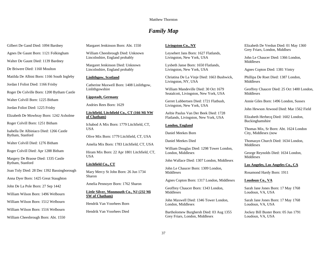# *Family Map*

Gilbert De Gand Died: 1094 Bardney

Agnes De Gaunt Born: 1121 Folkingham

Walter De Gaunt Died: 1139 Bardney

De Briwere Died: 1160 Moulton

Matilda De Albini Born: 1166 South Ingleby

Jordan I Foliot Died: 1166 Frisby

Roger De Colville Born: 1200 Bytham Castle

Walter Colvill Born: 1225 Bitham

Jordan Foliot Died: 1225 Frisby

Elizabeth De Mowbray Born: 1242 Axholme

Roger Colvill Born: 1251 Bitham

Isabella De Albiniaco Died: 1266 Castle Bytham, Stanford

Walter Colvill Died: 1276 Bitham

Roger Colvill Died: Apr 1288 Bitham

Margery De Braose Died: 1335 Castle Bytham, Stanford

Joan Toly Died: 28 Dec 1392 Bassingborough

Anna Dyer Born: 1425 Great Staughton

John De La Pole Born: 27 Sep 1442

William Wilson Born: 1496 Welbourn

William Wilson Born: 1512 Welbourn

William Wilson Born: 1516 Welbourn

William Cheesbrough Born: Abt. 1550

Margaret Jenkinson Born: Abt. 1550

William Cheesbrough Died: Unknown Lincolnshire, England probably

Margaret Jenkinson Died: Unknown Lincolnshire, England probably

**Linlithgow, Scotland**

Catherine Maxwell Born: 1408 Linlithgow, Linlithgowshire

**Lippstadt, Germany**

Andries Rees Born: 1629

**Litchfield, Litchfield Co., CT (166 Mi NW of Chatham)**

Ichabod A Mix Born: 1779 Litchfield, CT, USA

Olive Mix Born: 1779 Litchfield, CT, USA

Amelia Mix Born: 1783 Litchfield, CT, USA

Hiram Mix Born: 22 Apr 1801 Litchfield, CT, USA

## **Litchfield Co., CT**

Mary Mercy St John Born: 26 Jun 1734 Sharon

Amelia Pennoyer Born: 1762 Sharon

**Little Silver, Monmouth Co., NJ (232 Mi SW of Chatham)**

Hendrik Van Voorhees Born

Hendrik Van Voorhees Died

#### **Livingston Co., NY**

Leysebert Jans Born: 1627 Flatlands, Livingston, New York, USA

Lysbeth Janse Born: 1650 Flatlands, Livingston, New York, USA

Chriatina De La Vinje Died: 1663 Bushwick, Livingston, NY, USA

William Mandeville Died: 30 Oct 1679 Seatalcott, Livingston, New York, USA

Gerret Lubbertsen Died: 1721 Flatbush, Livingston, New York, USA

Aeltie Paulus Van Der Beek Died: 1728 Flatlands, Livingston, New York, USA

## **London, England**

Daniel Meekes Born

Daniel Meekes Died

William Douglas Died: 1298 Tower London, London, Middlesex

John Wallace Died: 1307 London, Middlesex

John Le Chaucer Born: 1309 London, Middlesex

Agnes Copton Born: 1317 London, Middlesex

Geoffrey Chaucer Born: 1343 London, Middlesex

John Maxwell Died: 1346 Tower London, London, Middlesex

Bartholomew Burghersh Died: 03 Aug 1355 Grey Friars, London, Middlesex

Elizabeth De Verdun Died: 01 May 1360 Grey Friars, London, Middlsex

John Le Chaucer Died: 1366 London, Middlesex

Agnes Copton Died: 1381 Vintry

Phillipa De Roet Died: 1387 London, Middlesex

Geoffrey Chaucer Died: 25 Oct 1400 London, Middlesex

Annie Giles Born: 1496 London, Sussex

John Hewson Atwood Died: Mar 1562 Field

Elizabeth Herbecq Died: 1602 London, Buckinghamshire

Thomas Mix, Sr Born: Abt. 1624 London City, Middlesex (now

Thomasyn Church Died: 1634 London, **Middlesex** 

George Reynolds Died: 1634 London, Middlesex

#### **Los Angeles, Los Angeles Co., CA**

Rosamond Hardy Born: 1911

## **Loudoun Co., VA**

Sarah Jane Jones Born: 17 May 1768 Loudoun, VA, USA

Sarah Jane Jones Born: 17 May 1768 Loudoun, VA, USA

Jockey Bill Buster Born: 05 Jun 1791 Loudoun, VA, USA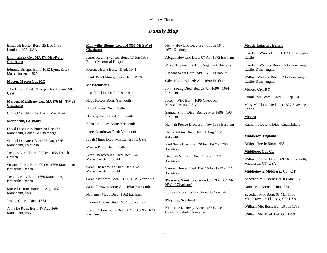# *Family Map*

Elizabeth Buster Born: 25 Dec 1795 Loudoun, VA, USA

## **Lynn, Essex Co., MA (74 Mi NW of Chatham)**

Edmund Bridges Born: 1612 Lynn, Essex, Massachusetts, USA

#### **Macon, Macon Co., MO**

John Buster Died: 21 Aug 1877 Macon, MO, USA

## **Malden, Middlesex Co., MA (76 Mi NW of Chatham)**

Gabriel Whelden Died: Abt. Mar 1654

#### **Mannheim, Germany**

David Desmarets Born: 20 Dec 1651 Mannheim, Baden, Wurttemberg

Samuel Demarest Born: 05 Aug 1656 Mannheim, Palatinate

Jacques Laroe Born: 02 Dec 1656 French Church

Susanna Laroe Born: 09 Oct 1658 Mannheim, Karlsruhe, Baden

Jacob Leroux Born: 1660 Mannheim, Karlsruhe, Baden

Marie Le Roux Born: 11 Aug 1662 Mannheim, Palz

Jeanne Guerin Died: 1664

Anne Le Roux Born: 17 Aug 1664 Mannheim, Palz

# **Chatham)** James Kevin Swanson Born: 13 Jun 1968 Blount Memorial Hospital Florence Belle Buster Died: 1971 Frank Boyd Montgomery Died: 1978 **Massachusetts** Joseph Atkins Died: Eastham Hope Howes Born: Yarmouth Hope Howes Died: Eastham Dorothy Jones Died: Yarmouth Elizabeth Jones Born: Yarmouth James Matthews Died: Yarmouth Judah Minor Died: Massachusetts, USA Martha Pease Died: Eastham Peter Chesebrough Died: Bef. 1649 Massachusetts probably Sarah Chesebrough Died: Bef. 1649 Massachusetts probably Sarah Matthews Born: 21 Jul 1649 Yarmouth Samuel Howes Born: Abt. 1650 Yarmouth Nathaniel Mayo Died: 1662 Eastham Thomas Howes Died: Oct 1665 Yarmouth

**Maryville, Blount Co., TN (855 Mi SW of**

Joseph Atkins Born: Bet. 04 Mar 1669 - 1670 Eastham

Henry Howland Died: Bet. 01 Jan 1670 - 1671 Duxbury

Abigail Howland Died: 07 Apr 1672 Eastham

Mary Newland Died: 16 Aug 1674 Duxbury

Richard Sears Born: Abt. 1680 Yarmouth

Giles Hopkins Died: Abt. 1690 Eastham

John Young Died: Bet. 28 Jan 1690 - 1691 Eastham

Joseph Wise Born: 1695 Chebacco, Massachusetts, USA

Samuel Smith Died: Bet. 22 Mar 1696 - 1967 Eastham

Hannah Prence Died: Bef. Nov 1698 Eastham

Henry Atkins Died: Bef. 21 Aug 1700 Eastham

Paul Sears Died: Bet. 20 Feb 1707 - 1708 Yarmouth

Deborah Williard Died: 13 May 1721 Yarmouth

Samuel Howes Died: Bet. 10 Jan 1722 - 1723 Yarmouth

## **Massena, Saint Lawrence Co., NY (334 Mi NW of Chatham)**

Louise Carolyn White Born: 30 Nov 1928

## **Maybole, Scotland**

Katherine Kennedy Born: 1465 Culzean Castle, Maybole, Ayreshire

#### **Meath, Leinster, Ireland**

Elizabeth Woods Born: 1682 Dunshauglin Castle

Elizabeth Wallace Born: 1695 Dunshanglin Castle, Dunshanglin

William Wallace Born: 1706 Dunshanglin Castle, Dunshanglin

#### **Mercer Co., KY**

Samuel McDowell Died: 25 Sep 1817

Mary McClung Died: Oct 1827 Shawnee Spring

## **Mexico**

Katherina Durand Died: Guadalahara

## **Middlesex, England**

Bridget Hervie Born: 1435

## **Middlesex Co., CT**

William Palmer Died: 1697 Killingworth, Middlesex, CT, USA

#### **Middletown, Middlesex Co., CT**

Zebediah Mix Born: Bef. 03 Mar 1728

Amos Mix Born: 10 Jun 1754

Zebediah Mix Born: 03 Mar 1756 Middletown, Middlesex, CT, USA

William Mix Born: Bef. 29 Jan 1758

William Mix Died: Bef. Oct 1759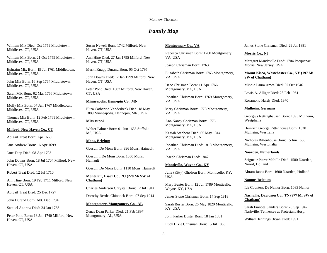# *Family Map*

William Mix Died: Oct 1759 Middletown, Middlesex, CT, USA

William Mix Born: 21 Oct 1759 Middletown, Middlesex, CT, USA

Ephraim Mix Born: 19 Jul 1761 Middletown, Middlesex, CT, USA

John Mix Born: 16 Sep 1764 Middletown, Middlesex, CT, USA

Sarah Mix Born: 02 Mar 1766 Middletown, Middlesex, CT, USA

Molly Mix Born: 07 Jun 1767 Middletown, Middlesex, CT, USA

Thomas Mix Born: 12 Feb 1769 Middletown, Middlesex, CT, USA

#### **Milford, New Haven Co., CT**

Abigail Treat Born: Apr 1660

Jane Andrew Born: 16 Apr 1699

Jane Tapp Died: 08 Apr 1703

John Downs Born: 18 Jul 1704 Milford, New Haven, CT, USA

Robert Treat Died: 12 Jul 1710

Ann Hine Born: 19 Feb 1711 Milford, New Haven, CT, USA

Abigail Treat Died: 25 Dec 1727

John Durand Born: Abt. Dec 1734

Samuel Andrew Died: 24 Jan 1738

Peter Pond Born: 18 Jan 1740 Milford, New Haven, CT, USA

Susan Newell Born: 1742 Milford, New Haven, CT, USA

Ann Hine Died: 27 Jan 1795 Milford, New Haven, CT, USA

Meritt Knapp Durand Born: 05 Oct 1795

John Downs Died: 12 Jan 1799 Milford, New Haven, CT, USA

Peter Pond Died: 1807 Milford, New Haven, CT, USA

#### **Minneapolis, Hennepin Co., MN**

Eliza Catherine Vanderbeck Died: 18 May 1889 Minneapolis, Hennepin, MN, USA

#### **Mississippi**

Walter Palmer Born: 01 Jun 1633 Suffolk, MS, USA

#### **Mons, Belgium**

Gossuin De Mons Born: 996 Mons, Hainault

Gossuin I De Mons Born: 1050 Mons, Hainault

Gossuin De Mons Born: 1110 Mons, Hainault

**Montclair, Essex Co., NJ (228 Mi SW of Chatham)**

Charles Anderson Chrystal Born: 12 Jul 1914

Dorothy Bertha Chinnock Born: 07 Sep 1914

## **Montgomery, Montgomery Co., AL**

Zenas Dean Parker Died: 21 Feb 1897 Montgomery, AL, USA

#### **Montgomery Co., VA**

Rebecca Chrisman Born: 1760 Montgomery, VA, USA

Joseph Chrisman Born: 1763

Elizabeth Chrisman Born: 1765 Montgomery, VA, USA

Isaac Chrisman Born: 11 Apr 1766 Montgomery, VA, USA

Jonathan Chrisman Born: 1769 Montgomery, VA, USA

Mary Chrisman Born: 1773 Montgomery, VA, USA

Ann Nancy Chrisman Born: 1776 Montgomery, VA, USA

Keziah Stephens Died: 05 May 1814 Montgomery, VA, USA

Jonathan Chrisman Died: 1818 Montgomery, VA, USA

Joseph Chrisman Died: 1847

#### **Monticello, Wayne Co., KY**

Julia (Kitty) Gholson Born: Monticello, KY, USA

Mary Buster Born: 12 Jun 1789 Monticello, Wayne, KY, USA

James Stone Chrisman Born: 14 Sep 1818

Sarah Buster Born: 26 May 1820 Monticello, KY, USA

John Parker Buster Born: 18 Jan 1861

Lucy Dixie Chrisman Born: 15 Jul 1863

James Stone Chrisman Died: 29 Jul 1881

## **Morris Co., NJ**

Margaret Mandeville Died: 1704 Pacquanac, Morris, New Jersey, USA

#### **Mount Kisco, Westchester Co., NY (197 Mi SW of Chatham)**

Minnie Laura Ames Died: 02 Oct 1946

Lewis A. Alliger Died: 28 Feb 1951

Rosamond Hardy Died: 1970

#### **Mulheim, Germany**

Georgius Rettinghausen Born: 1595 Mulheim, Westphalia

Heinrich George Rittenhouse Born: 1620 Mulheim, Westfalia

Nicholas Rittenhouse Born: 15 Jun 1666 Mulheim, Westphalia

#### **Naarden, Netherlands**

Seigneur Pierre Mabille Died: 1580 Naarden, Noord, Holland

Abram Janns Born: 1600 Naarden, Holland

#### **Namur, Belgium**

Ida Countess De Namur Born: 1083 Namur

#### **Nashville, Davidson Co., TN (977 Mi SW of Chatham)**

Sarah Frances Sanders Born: 28 Sep 1942 Nashville, Tennessee at Protestant Hosp.

William Jennings Bryan Died: 1991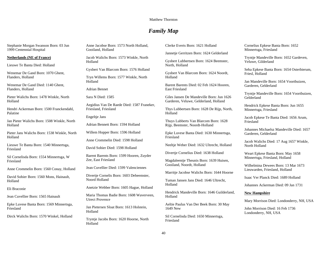# *Family Map*

Stephanie Morgan Swanson Born: 03 Jun 1999 Centennial Hospital

#### **Netherlands (NE of France)**

Lieuwe Te Banta Died: Holland

Wenemar De Gand Born: 1070 Ghent, Flanders, Holland

Wenemar De Gand Died: 1140 Ghent, Flanders, Holland

Pieter Walichs Born: 1478 Winkle, North Holland

Hendri Ackerman Born: 1500 Franckendahl, Palatine

Jan Pieter Walichs Born: 1508 Winkle, North Holland

Pieter Jans Walichs Born: 1538 Winkle, North Holland

Lieuwe Te Banta Born: 1540 Minnertsga, Friesland

Sil Cornelisda Born: 1554 Minnertsga, W Friesland

Anne Crommelin Born: 1560 Conay, Holland

David Sohier Born: 1560 Mons, Hainault, Holland

Eli Braconie

Jean Cuvellier Born: 1565 Hainault

Epke Luvese Banta Born: 1569 Minnertsga, Friesland

Dirck Walichs Born: 1570 Winkel, Holland

Anne Jacobse Born: 1573 North Holland, Gooiland, Holland

Jacob Walichs Born: 1573 Winkle, North Holland

Gysbert Van Blarcom Born: 1576 Holland

Tryn Willems Born: 1577 Winkle, North Holland

Adrian Bennet

Sara N Died: 1585

Aegidius Van De Raede Died: 1587 Franeker, Friesland, Friesland

Engeltje Jans

Adrian Bennett Born: 1594 Holland

Willem Hopper Born: 1596 Holland

Anne Crommelin Died: 1598 Holland

David Sohier Died: 1598 Holland

Barent Barents Born: 1599 Hooren, Zuyder Zee, East Friesland

Jean Cuvellier Died: 1599 Valenciennes

Divertje Cornelis Born: 1603 Debeemster, Noord Holland

Anetzie Webber Born: 1605 Hague, Holland

Maria Thomas Badie Born: 1608 Waverveen, Utrect Provence

Jan Pietersen Sloat Born: 1613 Holstein, Holland

Tryntje Jacobs Born: 1620 Hoorne, North Holland

Clerke Everts Born: 1621 Holland

Jannetje Gerritzen Born: 1624 Gelderland

Gysbert Lubbertsen Born: 1624 Beemster, North, Holland

Gysbert Van Blarcom Born: 1624 Noordt, Holland

Barent Barents Died: 02 Feb 1624 Hooren, East Friesland

Giles Jansen De Mandeville Born: Jun 1626 Garderen, Veluwe, Gelderland, Holland

Thys Lubbertsen Born: 1628 De Rijp, North, Holland

Thuys Lubberts Van Blarcom Born: 1628 Rijp, Beemster, Noordt-Holland

Epke Luvese Banta Died: 1630 Minnertsga, Friesland

Neeltje Weber Died: 1632 Ultrecht, Holland

Divertje Cornelius Died: 1638 Holland

Magdaleentje Theunis Born: 1639 Huisen, Gooiland, Noordt, Holland

Marritje Jacobse Walichs Born: 1644 Hoorne

Tuman Jansen Jans Died: 1646 Ultrecht, Holland

Hendrick Mandeville Born: 1646 Guilderland, Holland

Aeltie Paulus Van Der Beek Born: 30 May 1649 New

Sil Cornelisda Died: 1650 Minnertsga, Friesland

Cornelius Epkese Banta Born: 1652 Minnertsga, Friesland

Tryntje Mandeville Born: 1652 Gardeven, Veluwe, Gilderland

Seba Epkese Banta Born: 1654 Osterbierum, Friesl, Holland

Jan Mandeville Born: 1654 Voortbuizen, Garderen, Gelderland

Tryntje Mandeville Born: 1654 Voortbuizen, Gelderland

Hendrick Epkese Banta Born: Jun 1655 Minnertsga, Friesland

Jacob Epkese Te Banta Died: 1656 Arum, Friesland

Johannes Michaelsz Mandeville Died: 1657 Garderen, Gelderland

Jacob Walichs Died: 17 Aug 1657 Winkle, North Holland

Weart Epkese Banta Born: May 1658 Minnertsga, Friesland, Holland

Wilhelmina Dewees Born: 13 Mar 1673 Lieuwarden, Friesland, Holland

Isaac Ver Planck Died: 1689 Holland

Johannes Ackerman Died: 09 Jan 1731

#### **New Hampshire**

Mary Morrison Died: Londonderry, NH, USA

John Morrison Died: 16 Feb 1736 Londonderry, NH, USA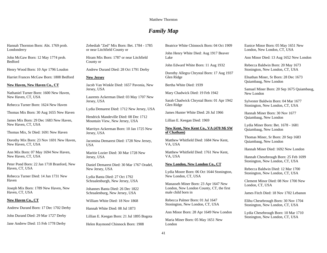# *Family Map*

Hannah Thornton Born: Abt. 1769 prob. Londonderry

John McGaw Born: 12 May 1774 prob. Bedford

Henry Wood Born: 10 Apr 1796 Loudon

Harriet Frances McGaw Born: 1808 Bedford

#### **New Haven, New Haven Co., CT**

Nathaniel Turner Born: 1600 New Haven, New Haven, CT, USA

Rebecca Turner Born: 1624 New Haven

Thomas Mix Born: 30 Aug 1655 New Haven

James Mix Born: 29 Dec 1683 New Haven, New Haven, CT, USA

Thomas Mix, Sr Died: 1691 New Haven

Dorothy Mix Born: 23 Nov 1691 New Haven, New Haven, CT, USA

Ann Mix Born: 07 May 1694 New Haven, New Haven, CT, USA

Peter Pond Born: 22 Jan 1718 Branford, New Haven, CT, USA

Rebecca Turner Died: 14 Jun 1731 New Haven

Joseph Mix Born: 1789 New Haven, New Haven, CT, USA

#### **New Haven Co., CT**

Andrew Durand Born: 17 Dec 1702 Derby

John Durand Died: 29 Mar 1727 Derby

Jane Andrew Died: 15 Feb 1778 Derby

Zebediah "Zed" Mix Born: Bet. 1784 - 1785 or near Litchfield County or

Hiram Mix Born: 1787 or near Litchfield County or

Andrew Durand Died: 28 Oct 1791 Derby

#### **New Jersey**

Jacob Van Winkle Died: 1657 Pavonia, New Jersey, USA

Laurents Ackerman Died: 03 May 1707 New Jersey, USA

Lydia Demarest Died: 1712 New Jersey, USA

Hendrick Mandeville Died: 08 Dec 1712 Mountain View, New Jersey, USA

Marrityn Ackerman Born: 10 Jan 1725 New Jersey, USA

Jacomina Demarest Died: 1728 New Jersey, USA

Maritie Lozier Died: 30 Mar 1728 New Jersey, USA

Daniel Demarest Died: 30 Mar 1767 Oradel, New Jersey, USA

Lydia Banta Died: 27 Oct 1792 Schraalenburgh, New Jersey, USA

Johannes Banta Died: 26 Dec 1822 Schraalenburg, New Jersey, USA

William White Died: 18 Nov 1868

Hannah White Died: 08 Jul 1873

Lillian E. Keegan Born: 21 Jul 1895 Bogota

Helen Raymond Chinnock Born: 1908

Beatrice White Chinnock Born: 04 Oct 1909

John Henry White Died: Aug 1917 Beaver Lake

John Edward White Born: 11 Aug 1932

Dorothy Allegra Chrystal Born: 17 Aug 1937 Glen Ridge

Bertha White Died: 1939

Mary Chadwick Died: 19 Feb 1942

Sarah Chadwick Chrystal Born: 01 Apr 1942 Glen Ridge

James Hunter White Died: 26 Jul 1966

Lillian E. Keegan Died: 1969

## **New Kent, New Kent Co., VA (470 Mi SW of Chatham)**

Matthew Whitfield Died: 1684 New Kent, VA, USA

Matthew Whitfield Died: 1761 New Kent, VA, USA

## **New London, New London Co., CT**

Lydia Moore Born: 06 Oct 1644 Stonington, New London, CT, USA

Manasseh Miner Born: 23 Apr 1647 New London, New London County, CT, the first male child born in

Rebecca Palmer Born: 01 Jul 1647 Stonington, New London, CT, USA

Ann Minor Born: 28 Apr 1649 New London

Maria Miner Born: 05 May 1651 New London

Eunice Minor Born: 05 May 1651 New London, New London, CT, USA

Ann Minor Died: 13 Aug 1652 New London

Rebecca Baldwin Born: 20 May 1673 Stonington, New London, CT, USA

Elnathan Miner, Sr Born: 28 Dec 1673 Quiambaug, New London

Samuel Miner Born: 20 Sep 1675 Quiambaug, New London

Sylvester Baldwin Born: 04 Mar 1677 Stonington, New London, CT, USA

Hannah Miner Born: 30 Nov 1677 Quiambaug, New London

Lydia Miner Born: Bet. 1678 - 1681 Quiambaug, New London

Thomas Miner, Sr Born: 20 Sep 1683 Quiambaug, New London

Hannah Miner Died: 1692 New London

Hannah Chesebrough Born: 25 Feb 1699 Stonington, New London, CT, USA

Rebecca Baldwin Died: 12 Mar 1700 Stonington, New London, CT, USA

Clement Minor Died: 08 Nov 1700 New London, CT, USA

James Fitch Died: 18 Nov 1702 Lebanon

Elihu Chesebrough Born: 30 Nov 1704 Stonington, New London, CT, USA

Lydia Chesebrough Born: 10 Mar 1710 Stonington, New London, CT, USA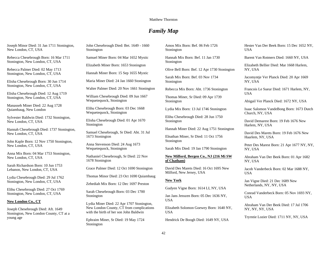# *Family Map*

Joseph Minor Died: 31 Jan 1711 Stonington, New London, CT, USA

Rebecca Chesebrough Born: 16 Mar 1711 Stonington, New London, CT, USA

Rebecca Palmer Died: 02 May 1713 Stonington, New London, CT, USA

Elisha Chesebrough Born: 30 Jun 1714 Stonington, New London, CT, USA

Elisha Chesebrough Died: 12 Aug 1719 Stonington, New London, CT, USA

Manasseh Miner Died: 22 Aug 1728 Quiambaug, New London

Sylvester Baldwin Died: 1732 Stonington, New London, CT, USA

Hannah Chesebrough Died: 1737 Stonington, New London, CT, USA

John Kaple Born: 12 Nov 1750 Stonington, New London, CT, USA

Anna Mix Born: 04 Mar 1753 Stonington, New London, CT, USA

Sarah Richardson Born: 10 Jun 1753 Lebanon, New London, CT, USA

Lydia Chesebrough Died: 29 Jul 1762 Stonington, New London, CT, USA

Elihu Chesebrough Died: 27 Oct 1769 Stonington, New London, CT, USA

#### **New London Co., CT**

Joseph Chesebrough Died: Aft. 1649 Stonington, New London County, CT at a young age

John Chesebrough Died: Bet. 1649 - 1660 Stonington

Samuel Miner Born: 04 Mar 1652 Mystic

Elizabeth Miner Born: 1653 Stonington

Hannah Miner Born: 15 Sep 1655 Mystic

Maria Miner Died: 24 Jan 1660 Stonington

Walter Palmer Died: 20 Nov 1661 Stonington

William Chesebrough Died: 09 Jun 1667 Wequetequock, Stonington

Elihu Chesebrough Born: 03 Dec 1668 Wequetequock, Stonington

Elisha Chesebrough Died: 01 Apr 1670 Stonington

Samuel Chesebrough, Sr Died: Abt. 31 Jul 1673 Stonington

Anna Stevenson Died: 24 Aug 1673 Wequetequock, Stonington

Nathaniel Chesebrough, Sr Died: 22 Nov 1678 Stonington

Grace Palmer Died: 12 Oct 1690 Stonington

Thomas Minor Died: 23 Oct 1690 Quiambaug

Zebediah Mix Born: 12 Dec 1697 Preston

Sarah Chesebrough Born: 03 Dec 1700 Stonington

Lydia Miner Died: 22 Apr 1707 Stonington, New London County, CT from complications with the birth of her son John Baldwin

Ephraim Miner, Sr Died: 19 May 1724 Stonington

Amos Mix Born: Bef. 06 Feb 1726 Stonington

Hannah Mix Born: Bef. 11 Jan 1730 Stonington

Olive Bell Born: Bef. 12 Apr 1730 Stonington

Sarah Mix Born: Bef. 03 Nov 1734 Stonington

Rebecca Mix Born: Abt. 1736 Stonington

Thomas Miner, Sr Died: 09 Apr 1739 Stonington

Lydia Mix Born: 13 Jul 1746 Stonington

Elihu Chesebrough Died: 28 Jun 1750 Stonington

Hannah Miner Died: 22 Aug 1751 Stonington

Elnathan Miner, Sr Died: 11 Oct 1756 Stonington

Sarah Mix Died: 19 Jan 1790 Stonington

#### **New Milford, Bergen Co., NJ (216 Mi SW of Chatham)**

David Des Marets Died: 16 Oct 1695 New Milford, New Jersey, USA

## **New York**

Gudyen Vigne Born: 1614 LI, NY, USA

Jan Jans Jenszen Born: 05 Dec 1636 NY, USA

Elizabeth Solomon Goewey Born: 1640 NY, USA

Hendrick De Boogh Died: 1649 NY, USA

Hester Van Der Beek Born: 15 Dec 1652 NY, **USA** 

Barent Van Rotmers Died: 1660 NY, USA

Elizabeth Bellier Died: Mar 1668 Harlem, NY, USA

Jacomyntje Ver Planck Died: 20 Apr 1669 NY, USA

Francois Le Sueur Died: 1671 Harlem, NY, USA

Abigail Ver Planck Died: 1672 NY, USA

Isaac Salomon VandeBong Born: 1673 Dutch Church, NY, USA

David Demarest Born: 19 Feb 1676 New Harlem, NY, USA

David Des Marets Born: 19 Feb 1676 New Haarlem, NY, USA

Peter Des Marest Born: 21 Apr 1677 NY, NY, NY, USA

Abraham Van Der Beek Born: 01 Apr 1682 NY, USA

Jacob Vanderbeck Born: 02 Mar 1688 NY, USA

Jan Vigne Died: 21 Dec 1689 New Netherlands, NY, NY, USA

Conrad Vanderbeck Born: 05 Nov 1693 NY, USA

Abraham Van Der Beek Died: 17 Jul 1706 NY, NY, NY, USA

Tryrntie Lozier Died: 1711 NY, NY, USA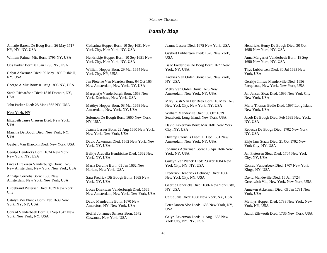# *Family Map*

Annatje Barent De Boog Born: 26 May 1717 NY, NY, NY, USA

William Palmer Mix Born: 1795 NY, USA

Otis Parker Born: 01 Jan 1796 NY, USA

Gelyn Ackerman Died: 09 May 1800 Fishkill, NY, USA

George A Mix Born: 01 Aug 1805 NY, USA

Sarah Richardson Died: 1816 Decatur, NY, USA

John Parker Died: 25 Mar 1865 NY, USA

#### **New York, NY**

Elizabeth Janse Clausen Died: New York, USA

Marritie De Boogh Died: New York, NY, USA

Gysbert Van Blarcom Died: New York, USA

Geertje Hendricks Born: 1624 New York, New York, NY, USA

Lucas Dirckszen Vanderburgh Born: 1625 New Amsterdam, New York, New York, USA

Annatje Cornelis Born: 1630 New Amsterdam, New York, New York, USA

Hildebrand Pietersen Died: 1639 New York City

Catalyn Ver Planck Born: Feb 1639 New York, NY, NY, USA

Conrad Vanderbeek Born: 01 Sep 1647 New York, New York, NY, USA

Catharina Hopper Born: 10 Sep 1651 New York City, New York, NY, USA

Hendrickje Hopper Born: 10 Sep 1651 New York City, New York, NY, USA

William Hopper Born: 29 Mar 1654 New York City, NY, USA

Jan Pieterse Van Naarden Born: 04 Oct 1654 New Amsterdam, New York, NY, USA

Margrietje Vanderburgh Born: 1658 New York, Dutchess, New York, USA

Matthys Hopper Born: 03 Mar 1658 New Amsterdam, New York, NY, USA

Solomon De Boogh Born: 1660 New York, NY, USA

Jeanne Leseur Born: 22 Aug 1660 New York, New York, New York, USA

David Ackerman Died: 1662 New York, New York, NY, USA

Belitje Arabella Hendrickse Died: 1662 New York, NY, USA

Maria Deruine Born: 01 Jan 1662 New Harlem, New York, USA

Sara Fredrick DE Boogh Born: 1665 New York, NY, USA

Lucas Dirckszen Vanderburgh Died: 1665 New Amsterdam, New York, New York, USA

David Mandeville Born: 1670 New Amersfort, NY, New York, USA

Stoffel Johannes Schaers Born: 1672 Gowanus, New York, USA

Jeanne Leseur Died: 1675 New York, USA

Gysbert Lubbertsen Died: 1676 New York, USA

Isaac Fredericks De Boog Born: 1677 New York, NY, USA

Andries Van Orden Born: 1678 New York, NY, USA

Metty Van Orden Born: 1678 New Amsterdam, New York, NY, USA

Mary Bush Van Der Beek Born: 10 May 1679 New York City, New York, NY, USA

William Mandeville Died: 30 Oct 1679 Seatalcott, Long Island, New York, USA

David Ackerman Born: Mar 1681 New York City, NY, USA

Divertje Cornelis Died: 11 Dec 1681 New Amsterdam, New York, NY, USA

Johannes Ackerman Born: 16 Apr 1684 New York, NY, USA

Guleyn Ver Planck Died: 23 Apr 1684 New York City, NY, NY, USA

Frederick Hendricks Deboogh Died: 1686 New York City, NY, USA

Geertje Hendricks Died: 1686 New York City, NY, USA

Celtje Jans Died: 1688 New York, NY, USA

Peter Jansen Slot Died: 1688 New York, NY, USA

Gelyn Ackerman Died: 11 Aug 1688 New York City, NY, NY, USA

Hendricks Henry De Boogh Died: 30 Oct 1688 New York, NY, USA

Anna Margariet Vanderbeek Born: 18 Sep 1690 New York, NY, USA

Thys Lubbertsen Died: 30 Jul 1693 New York, USA

Gerritje Jillisae Manderville Died: 1696 Pacquenac, New York, New York, USA

Jan Jansen Sloat Died: 1696 New York City, New York, USA

Maria Thomas Badie Died: 1697 Long Island, New York, USA

Jacob De Boogh Died: Feb 1699 New York, NY, USA

Rebecca De Boogh Died: 1702 New York, NY, USA

Elsje Jans Staats Died: 21 Oct 1702 New York City, NY, USA

Jan Pietersen Sloat Died: 1704 New York City, NY, USA

Conrad Vanderbeek Died: 1707 New York, Kings, NY, USA

David Mandeville Died: 16 Jan 1724 Greenwich Vill, New York, New York, USA

Anneken Ackerman Died: 09 Jan 1731 New York, USA

Matthys Hopper Died: 1733 New York, New York, NY, USA

Judith Ellsworth Died: 1735 New York, USA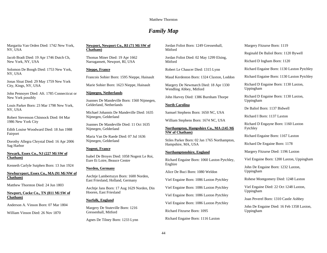# *Family Map*

Margarita Van Orden Died: 1742 New York, NY, USA

Jacob Bradt Died: 19 Apr 1746 Dutch Ch, New York, NY, USA

Solomon De Boogh Died: 1753 New York, NY, USA

Jonas Sloat Died: 29 May 1759 New York City, Kings, NY, USA

John Pennoyer Died: Aft. 1785 Connecticut or New York possibly

Louis Parker Born: 23 Mar 1798 New York, NY, USA

Robert Stevenson Chinnock Died: 04 Mar 1986 New York City

Edith Louise Woodward Died: 18 Jun 1988 Fairport

Dorothy Allegra Chrystal Died: 16 Apr 2006 Sag Harbor

## **Newark, Essex Co., NJ (227 Mi SW of Chatham)**

Kenneth Carlyle Sutphen Born: 13 Jun 1924

**Newburyport, Essex Co., MA (91 Mi NW of Chatham)**

Matthew Thornton Died: 24 Jun 1803

## **Newport, Cocke Co., TN (811 Mi SW of Chatham)**

Anderson A. Vinson Born: 07 Mar 1804

William Vinson Died: 26 Nov 1870

## **Newport, Newport Co., RI (71 Mi SW of Chatham)**

Thomas Miner Died: 19 Apr 1662 Narragansett, Newport, RI, USA

## **Nieppe, France**

Francois Sohier Born: 1595 Nieppe, Hainault

Marie Sohier Born: 1623 Nieppe, Hainault

## **Nijmegen, Netherlands**

Joannes De Mandeville Born: 1560 Nijmegen, Gelderland, Netherlands

Michael Johannis De Mandeville Died: 1635 Nijmegen, Gelderland

Joannes De Mandeville Died: 11 Oct 1635 Nijmegen, Gelderland

Maria Van De Raede Died: 07 Jul 1636 Nijmegen, Gelderland

## **Nogent, France**

Isabel De Broyes Died: 1058 Nogent Le Roi, Eure Et Loire, Beauce Centre

## **Norden, Germany**

Aechtje Lambertszyn Born: 1600 Norden, East Friesland, Holland, Germany

Aechtje Jans Born: 17 Aug 1629 Norden, Din Hooren, East Friesland

## **Norfolk, England**

Margery De Stuteville Born: 1216 Gressenhall, Mitford

Agnes De Tilney Born: 1233 Lynn

Jordan Foliot Born: 1249 Gressenhall, **Mitford** 

Jordan Foliot Died: 02 May 1299 Elsing, Mitford

Robert Le Chaucer Died: 1315 Lynn

Maud Kerdeston Born: 1324 Claxton, Loddon

Margery De Newmarch Died: 18 Apr 1330 Wendling Abbey, Mitford

John Harvey Died: 1386 Burnham Thorpe

## **North Carolina**

Samuel Stephens Born: 1650 NC, USA

William Stephens Born: 1674 NC, USA

## **Northampton, Hampshire Co., MA (145 Mi NW of Chatham)**

Stiles Parker Born: 02 Jan 1765 Northampton, Hampshire, MA, USA

## **Northamptonshire, England**

Richard Engaine Born: 1060 Laxton Pytchley, Enghire

Alice De Buci Born: 1080 Weldon

Viel Engaine Born: 1086 Laxton Pytchley

Viel Engaine Born: 1086 Laxton Pytchley

Viel Engaine Born: 1086 Laxton Pytchley

Viel Engaine Born: 1086 Laxton Pytchley

Richard Fitzurse Born: 1095

Richard Engaine Born: 1116 Laxton

Margery Fitzurse Born: 1119

Reginald De Baliol Born: 1120 Bywell

Richard D Ingham Born: 1120

Richard Engaine Born: 1130 Laxton Pytchley

Richard Engaine Born: 1130 Laxton Pytchley

Richard D Engaine Born: 1130 Laxton, Uppingham

Richard D Engaine Born: 1130 Laxton, Uppingham

De Baliol Born: 1137 Bidwell

Richard I Born: 1137 Laxton

Richard D Engayne Born: 1160 Laxton Fytchley

Richard Engaine Born: 1167 Laxton

Richard De Engaine Born: 1178

Margery Fitzurse Died: 1196 Laxton

Viel Engaine Born: 1200 Laxton, Uppingham

John De Engaine Born: 1232 Laxton, Uppingham

Rohese Montgomery Died: 1248 Laxton

Viel Engaine Died: 22 Oct 1248 Laxton, Uppingham

Joan Peverel Born: 1310 Castle Ashbey

John De Engaine Died: 16 Feb 1358 Laxton, Uppingham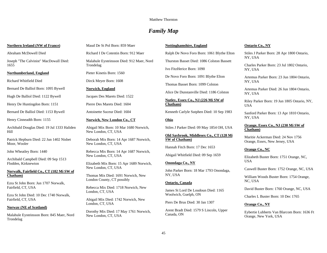# *Family Map*

#### **Northern Ireland (NW of France)**

Abraham McDowell Died

Joseph "The Calvinist" MacDowall Died: 1655

**Northumberland, England**

Richard Whitfield Died

Bernard De Balliol Born: 1095 Bywell

Hugh De Balliol Died: 1122 Bywell

Henry De Huntingdon Born: 1151

Bernard De Balliol Died: 1153 Bywell

Henry Cinneadth Born: 1155

Archibald Douglas Died: 19 Jul 1333 Haliden Hill

Patrick Hepburn Died: 22 Jun 1402 Nisbet Moor, Wooler

John Wheatley Born: 1440

Archibald Campbell Died: 09 Sep 1513 Flodden, Kirknewton

**Norwalk, Fairfield Co., CT (182 Mi SW of Chatham)**

Ezra St John Born: Jun 1707 Norwalk, Fairfield, CT, USA

Ezra St John Died: 10 Dec 1740 Norwalk, Fairfield, CT, USA

#### **Norway (NE of Scotland)**

Malahule Eysteinsson Born: 845 Maer, Nord Trondelag

Maud De St Pol Born: 859 Maer

Richard I De Cotentin Born: 912 Maer

Malahule Eysteinsson Died: 912 Maer, Nord Trondelag

Pieter Kinetis Born: 1560

Dirck Meyer Born: 1608

**Norwich, England**

Jacques Des Marets Died: 1522

Pierre Des Marets Died: 1604

Antoinette Suceur Died: 1604

#### **Norwich, New London Co., CT**

Abigail Mix Born: 10 Mar 1680 Norwich, New London, CT, USA

Deborah Mix Born: 14 Apr 1687 Norwich, New London, CT, USA

Rebecca Mix Born: 14 Apr 1687 Norwich, New London, CT, USA

Elizabeth Mix Born: 15 Apr 1689 Norwich, New London, CT, USA

Thomas Mix Died: 1691 Norwich, New London County, CT possibly

Rebecca Mix Died: 1718 Norwich, New London, CT, USA

Abigail Mix Died: 1742 Norwich, New London, CT, USA

Dorothy Mix Died: 17 May 1761 Norwich, New London, CT, USA

#### **Nottinghamshire, England**

Ralph De Novo Foro Born: 1061 Blythe Elton Thurston Basset Died: 1086 Colston Bassett

Ivo FitzHerice Born: 1090

De Novo Foro Born: 1091 Blythe Elton

Thomas Basset Born: 1099 Colston

Alice De Dunstanville Died: 1186 Colston

## **Nutley, Essex Co., NJ (226 Mi SW of Chatham)**

Kenneth Carlyle Sutphen Died: 10 Sep 1983

#### **Ohio**

Stiles J Parker Died: 09 May 1854 OH, USA

## **Old Saybrook, Middlesex Co., CT (128 Mi SW of Chatham)**

Hannah Fitch Born: 17 Dec 1653

Abigail Whitfield Died: 09 Sep 1659

## **Onondaga Co., NY**

John Parker Born: 18 Mar 1793 Onondaga, NY, USA

## **Ontario, Canada**

James St Lord De Loudoun Died: 1165 Woolwich, Guelph, ON

Piers De Brus Died: 30 Jan 1307

Arent Bradt Died: 1579 S Lincoln, Upper Canada, ON

## **Ontario Co., NY**

Stiles J Parker Born: 28 Apr 1800 Ontario, NY, USA

Charles Parker Born: 23 Jul 1802 Ontario, NY, USA

Artemus Parker Born: 23 Jun 1804 Ontario, NY, USA

Artemus Parker Died: 26 Jun 1804 Ontario, NY, USA

Riley Parker Born: 19 Jun 1805 Ontario, NY, USA

Sanford Parker Born: 13 Apr 1810 Ontario, NY, USA

## **Orange, Essex Co., NJ (230 Mi SW of Chatham)**

Maritie Ackerman Died: 24 Nov 1756 Orange, Essex, New Jersey, USA

## **Orange Co., NC**

Elizabeth Buster Born: 1751 Orange, NC, USA

Caswell Buster Born: 1752 Orange, NC, USA

William Woods Buster Born: 1754 Orange, NC, USA

David Buster Born: 1760 Orange, NC, USA

Charles L Buster Born: 10 Dec 1765

## **Orange Co., NY**

Eybertie Lubberts Van Blarcom Born: 1636 Ft Orange, New York, USA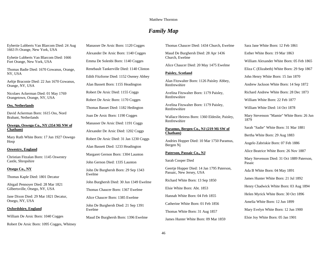# *Family Map*

Eybertie Lubberts Van Blarcom Died: 24 Aug 1663 Ft Orange, New York, USA

Eybetie Lubberts Van Blarcom Died: 1666 Fort Orange, New York, USA

Thomas Badie Died: 1670 Gowanus, Orange, NY, USA

Aeltje Braconie Died: 22 Jun 1670 Gowanus, Orange, NY, USA

Nicolaes Ackerman Died: 01 May 1769 Orangetown, Orange, NY, USA

#### **Oss, Netherlands**

David Ackerman Born: 1615 Oss, Nord Brabant, Netherlands

**Oswego, Oswego Co., NY (354 Mi NW of Chatham)**

Mary Ruth White Born: 17 Jun 1927 Oswego Hosp

#### **Oswestry, England**

Christian Fitzalan Born: 1145 Oswestry Castle, Shropshire

#### **Otsego Co., NY**

Thomas Kaple Died: 1801 Decatur

Abigail Pennoyer Died: 28 Mar 1821 Gilbertsville, Otsego, NY, USA

Jane Dixon Died: 29 Mar 1821 Decatur, Otsego, NY, USA

#### **Oxfordshire, England**

William De Arsic Born: 1040 Cogges

Robert De Arsic Born: 1095 Cogges, Whitney

Manasser De Arsic Born: 1120 Cogges Alexander De Arsic Born: 1140 Cogges Emma De Solenbi Born: 1140 Cogges Renebault Tankerville Died: 1140 Clinton Edith Fitzforne Died: 1152 Oseney Abbey Alan Bassett Born: 1155 Headington Robert De Arsic Died: 1155 Coggs Robert De Arsic Born: 1170 Cogges Thomas Basset Died: 1182 Hedington Joan De Arsic Born: 1190 Cogges Manasser De Arsic Died: 1191 Coggs Alexander De Arsic Died: 1202 Coggs Robert De Arsic Died: 31 Jan 1230 Coggs Alan Bassett Died: 1233 Headington Margaret Gernon Born: 1304 Launton John Gernon Died: 1335 Launton John De Burghersh Born: 29 Sep 1343 Ewelme John Burghersh Died: 30 Jun 1349 Ewelme Thomas Chaucer Born: 1367 Ewelme Alice Chaucer Born: 1385 Ewelme John De Burghersh Died: 21 Sep 1391 Ewelme Maud De Burghersh Born: 1396 Ewelme

Thomas Chaucer Died: 1434 Church, Ewelme

Maud De Burghersh Died: 28 Apr 1436 Church, Ewelme

Alice Chaucer Died: 20 May 1475 Ewelme

## **Paisley, Scotland**

Alan Fitzwalter Born: 1126 Paisley Abbey, Renfrewshire

Avelina Fitzwalter Born: 1179 Paisley, Renfrewshire

Avelina Fitzwalter Born: 1179 Paisley, Renfrewshire

Wallace Heiress Born: 1360 Eldeslie, Paisley, Renfrewshire

## **Paramus, Bergen Co., NJ (219 Mi SW of Chatham)**

Andries Hopper Died: 10 Mar 1750 Paramus, Bergen Nj

#### **Paterson, Passaic Co., NJ**

Sarah Cooper Died

Geertje Hopper Died: 14 Jan 1795 Paterson, Passaic, New Jersey, USA

Richard White Born: 13 Sep 1850

Elsie White Born: Abt. 1853

Hannah White Born: 04 Feb 1855

Catherine White Born: 01 Feb 1856

Thomas White Born: 31 Aug 1857

James Hunter White Born: 09 Mar 1859

Sara Jane White Born: 12 Feb 1861 Esther White Born: 19 Mar 1863 William Alexander White Born: 05 Feb 1865 Eliza C (Elizabeth) White Born: 29 Sep 1867

John Henry White Born: 15 Jan 1870

Andrew Jackson White Born: 14 Sep 1872

Richard Andrew White Born: 28 Dec 1873

William White Born: 22 Feb 1877

William White Died: 14 Oct 1878

Mary Stevenson "Mamie" White Born: 26 Jun 1879

Sarah "Sadie" White Born: 31 Mar 1881

Bertha White Born: 29 Aug 1883

Angelo Zabriskie Born: 07 Feb 1886

Alice Beatrice White Born: 26 Nov 1887

Mary Stevenson Died: 31 Oct 1889 Paterson, Pasaic

Ada B White Born: 04 May 1891

James Hunter White Born: 21 Jul 1892

Henry Chadwick White Born: 03 Aug 1894

Helen Myrick White Born: 30 Oct 1896

Amelia White Born: 12 Jun 1899

Mary Evelyn White Born: 12 Jun 1900

Elsie Joy White Born: 05 Jan 1901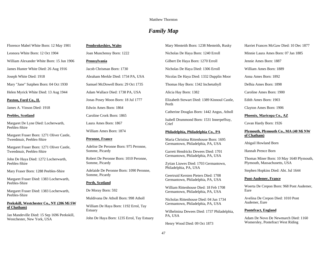# *Family Map*

Florence Mabel White Born: 12 May 1901

Leonora White Born: 12 Oct 1904

William Alexander White Born: 15 Jun 1906

James Hunter White Died: 26 Aug 1916

Joseph White Died: 1918

Mary "Jane" Sutphen Born: 04 Oct 1930

Helen Myrick White Died: 13 Aug 1944

## **Paxton, Ford Co., IL**

James A. Vinson Died: 1918

## **Peebles, Scotland**

Margaret De Lyne Died: Locherwarth, Peebles-Shire

Margaret Fraser Born: 1271 Oliver Castle, Tweedmuir, Peebles-Shire

Margaret Fraser Born: 1271 Oliver Castle, Tweedmuir, Peebles-Shire

John De Haya Died: 1272 Locherwarth, Peebles-Shire

Mary Fraser Born: 1288 Peebles-Shire

Margaret Fraser Died: 1383 Locherwarth, Peebles-Shire

Margaret Fraser Died: 1383 Locherwarth, Peebles-Shire

## **Peekskill, Westchester Co., NY (206 Mi SW of Chatham)**

Jan Mandeville Died: 15 Sep 1696 Peekskill, Westchester, New York, USA

## **Pembrokeshire, Wales**

Joan Munchensy Born: 1222

#### **Pennsylvania**

Jacob Chrisman Born: 1730

Abraham Merkle Died: 1734 PA, USA

Samuel McDowell Born: 29 Oct 1735

Adam Wallace Died: 1738 PA, USA

Jonas Posey Moon Born: 18 Jul 1777

Edwin Ames Born: 1864

Caroline Crork Born: 1865

Laura Ames Born: 1867

William Ames Born: 1874

## **Peronne, France**

Adelise De Peronne Born: 975 Peronne, Somme, Picardy

Robert De Peronne Born: 1010 Peronne, Somme, Picardy

Adelaide De Peronne Born: 1090 Peronne, Somme, Picardy

## **Perth, Scotland**

De Moray Born: 592

Muldivana De Atholl Born: 998 Atholl

William De Haya Born: 1192 Errol, Tay Estuary

John De Haya Born: 1235 Errol, Tay Estuary

Nicholas De Haya Born: 1240 Erroll Gilbert De Haya Born: 1270 Erroll Nicholas De Haya Died: 1306 Erroll Nicolas De Haya Died: 1332 Dupplin Moor

Mary Menteith Born: 1238 Menteith, Rusky

Thomas Hay Born: 1342 Inchetuthyll

Alicia Hay Born: 1382

Elizabeth Stewart Died: 1389 Kinnoul Castle, Perth

Catherine Douglas Born: 1442 Angus, Atholl

Isabell Drummond Born: 1531 Innerpeffray, Crief

## **Philadelphia, Philadelphia Co., PA**

Maria Christina Rittenhouse Born: 1695 Germantown, Philadelphia, PA, USA

Garrett Hendricks Dewees Died: 1701 Germantown, Philadelphia, PA, USA

Zytian Liuwes Died: 1703 Germantown, Philadelphia, PA, USA

Geertruid Kersten Pieters Died: 1708 Germantown, Philadelphia, PA, USA

William Rittenhouse Died: 18 Feb 1708 Germantown, Philadelphia, PA, USA

Nicholas Rittenhouse Died: 04 Jun 1734 Germantown, Philadelphia, PA, USA

Wilhelmina Dewees Died: 1737 Philadelphia, PA, USA

Henry Wood Died: 09 Oct 1873

Harriet Frances McGaw Died: 10 Dec 1877

Minnie Laura Ames Born: 07 Jan 1885

Jennie Ames Born: 1887

William Ames Born: 1889

Anna Ames Born: 1892

Delhia Ames Born: 1898

Caroline Ames Born: 1900

Edith Ames Born: 1903

Clayton Ames Born: 1906

**Phoenix, Maricopa Co., AZ**

Cavan Hardy Born: 1926

## **Plymouth, Plymouth Co., MA (40 Mi NW of Chatham)**

Abigail Howland Born

Hannah Prence Born

Thomas Miner Born: 10 May 1640 Plymouth, Plymouth, Massachusetts, USA

Stephen Hopkins Died: Abt. Jul 1644

## **Pont-Audemer, France**

Woerta De Crepon Born: 968 Pont Audemer, Eure

Avelina De Crepon Died: 1010 Pont Audemer, Eure

## **Pontefract, England**

Adam De Novo De Newmarch Died: 1160 Womersley, Pontefract West Riding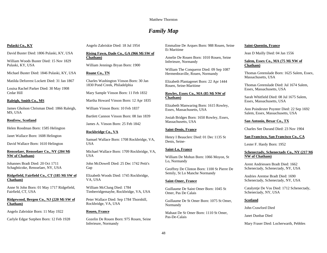# *Family Map*

#### **Pulaski Co., KY**

David Buster Died: 1806 Pulaski, KY, USA

William Woods Buster Died: 15 Nov 1829 Pulaski, KY, USA

Michael Buster Died: 1846 Pulaski, KY, USA

Matilda Deforrest Lockett Died: 31 Jan 1867

Louisa Rachel Parker Died: 30 May 1908 Cedar Hill

#### **Raleigh, Smith Co., MS**

James Gholson Chrisman Died: 1866 Raleigh, MS, USA

## **Renfrew, Scotland**

Helen Roodman Born: 1585 Helington

Janet Wallace Born: 1608 Helington

David Wallace Born: 1610 Helington

#### **Rensselaer, Rensselaer Co., NY (204 Mi NW of Chatham)**

Johannes Bradt Died: 20 Oct 1711 Schaghticoke, Rensselaer, NY, USA

#### **Ridgefield, Fairfield Co., CT (185 Mi SW of Chatham)**

Anne St John Born: 01 May 1717 Ridgefield, Fairfield, CT, USA

## **Ridgewood, Bergen Co., NJ (220 Mi SW of Chatham)**

Angelo Zabriskie Born: 11 May 1922

Carlyle Edgar Sutphen Born: 12 Feb 1928

Angelo Zabriskie Died: 18 Jul 1954

# **Rising Fawn, Dade Co., GA (966 Mi SW of Chatham)**

William Jennings Bryan Born: 1900

## **Roane Co., TN**

Charles Washington Vinson Born: 30 Jan 1830 Pond Creek, Philadelphia

Mary Sample Vinson Born: 11 Feb 1832

Martha Howard Vinson Born: 12 Apr 1835

William Vinson Born: 10 Feb 1837

Bartlett Cannon Vinson Born: 08 Jan 1839

James A. Vinson Born: 25 Feb 1842

## **Rockbridge Co., VA**

Samuel Wallace Born: 1708 Rockbridge, VA, USA

Michael Wallace Born: 1709 Rockbridge, VA, USA

John McDowell Died: 25 Dec 1742 Petit's Gap

Elizabeth Woods Died: 1745 Rockbridge, VA, USA

William McClung Died: 1784 Timberridgemaybe, Rockbridge, VA, USA

Peter Wallace Died: Sep 1784 Thornhill, Rockbridge, VA, USA

## **Rouen, France**

Gozelin De Rouen Born: 975 Rouen, Seine Inferieure, Normandy

Emmaline De Arques Born: 988 Rouen, Seine Et Maritime

Amelie De Rouen Born: 1010 Rouen, Seine Inferieure, Normandy

William The Conqueror Died: 09 Sep 1087 Hermenbraville, Rouen, Normandy

Elizabeth Plantagenet Born: 22 Apr 1444 Rouen, Seine-Maritime

## **Rowley, Essex Co., MA (85 Mi NW of Chatham)**

Elizabeth Manwaring Born: 1615 Rowley, Essex, Massachusetts, USA

Josiah Bridges Born: 1650 Rowley, Essex, Massachusetts, USA

## **Saint-Denis, France**

Henry I Beauclerc Died: 01 Dec 1135 St Denis, Seine-

## **Saint-Lo, France**

William De Mohun Born: 1066 Moyon, St Lo, Normandy

Geoffrey De Clinton Born: 1100 St Pierre De Semily, St Lo Manche Normandy

## **Saint-Omer, France**

Guillaume De Saint Omer Born: 1045 St Omer, Pas De Calais

Guillaume De St Omer Born: 1075 St Omer, Normandy

Mahaut De St Omer Born: 1110 St Omer, Pas-De-Calais

## **Saint-Quentin, France**

Jean D Mailly Died: 04 Jan 1556

## **Salem, Essex Co., MA (75 Mi NW of Chatham)**

Thomas Greenslade Born: 1625 Salem, Essex, Massachusetts, USA

Thomas Greenslade Died: Jul 1674 Salem, Essex, Massachusetts, USA

Sarah Whitfield Died: 08 Jul 1675 Salem, Essex, Massachusetts, USA

Ann Poindexter Poynter Died: 22 Sep 1692 Salem, Essex, Massachusetts, USA

## **San Antonio, Bexar Co., TX**

Charles See Durand Died: 23 Nov 1904

## **San Francisco, San Francisco Co., CA**

Lester F. Hardy Born: 1952

## **Schenectady, Schenectady Co., NY (217 Mi NW of Chatham)**

Arent Andriessen Bradt Died: 1662 Schenectady, Schenectady, NY, USA

Andries Arentse Bradt Died: 1690 Schenectady, Schenectady, NY, USA

Catalyntje De Vos Died: 1712 Schenectady, Schenectady, NY, USA

## **Scotland**

John Crawford Died

Janet Dunbar Died

Mary Fraser Died: Locherwarth, Pebbles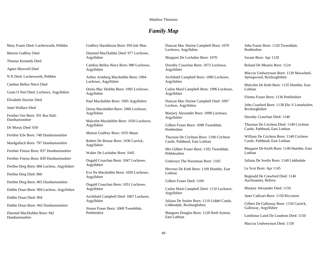# *Family Map*

| Go         |
|------------|
| Dia        |
| Arg        |
| Cai<br>Arg |
| Art<br>Lo. |
|            |
| Pau        |
| Du<br>Arş  |
|            |
|            |
| Ma         |
| Rol<br>Arş |
| Wa         |
| Du         |
| Arg        |
| Eva<br>Arş |
| Du         |
| Arg        |
| Aro        |
| Arg        |
| Sin<br>Pee |
|            |

Dumbartonshire

| Godfrey Haraldsson Born: 950 Isle Man                       |
|-------------------------------------------------------------|
| Diarmid MacDuibhn Died: 977 Lochowe,<br>Argyllshire         |
| Cambus Bellus Niece Born: 980 Lochowe,<br>Argyllshire       |
| Arthur Armberg Macduibhn Born: 1004<br>Lochowe, Argyllshire |
| Duina Mac Diubhn Born: 1005 Lochowe,<br>Argyllshire         |
| Paul Macduibhn Born: 1005 Argyllshire                       |
| Duina Macduibhn Born: 1006 Lochowe,<br>Argyllshire          |
| Malcolm Macduibhn Born: 1020 Lochowe,<br>Argyllshire        |
| Marion Godfrey Born: 1035 Maun                              |
| Robert De Brusse Born: 1036 Carrick,<br>Argyllshire         |
| Walter De Lochaber Born: 1045                               |
| Dugald Cruachan Born: 1047 Lochowe,<br>Argyllshire          |
| Eva Na Macduibhn Born: 1050 Lochowe,<br>Argyllshire         |
| Dugald Crauchan Born: 1051 Lochowe,<br>Argyllshire          |
| Archibald Campbell Died: 1067 Lochawe,<br>Argyllshire       |
| Simon Fraser Born: 1068 Tweeddale,<br>Peebleshire           |

Duncan Mac Durine Campbell Born: 1070 Lochowe, Argyllshire

Margaret De Lochaber Born: 1070

Dorothy Crauchan Born: 1072 Lochowe, Argyllshire

Archibald Campbell Born: 1090 Lochowe, Argyllshire

Cailen Maol Campbell Born: 1096 Lochowe, Argyllshire

Duncan Mac Durine Campbell Died: 1097 Lochow, Argyllshire

Marjory Alexander Born: 1098 Lochowe, Argyllshire

Gilbert Fraser Born: 1098 Tweeddale, Peebleshire

Thurstan De Crichton Born: 1100 Crichton Castle, Pathhead, East Lothian

Mrs Gilbert Fraser Born: 1102 Tweeddale, Pebblesshire

Undweyn The Norseman Born: 1105

Herveus De Keth Born: 1109 Humbie, East Lothian

Gilbert Fraser Died: 1109

Cailen Maol Campbell Died: 1110 Lochawe, Argyllshire

Juliana De Soules Born: 1110 Liddel Castle, Liddesdale, Roxburghshire

Margaret Douglas Born: 1120 Keth Symon, East Lothian

John Fraser Born: 1120 Tweeddale, Peebleshire

Swane Born: Apr 1120

Roland De Mearns Born: 1124

Maccus Undweysson Born: 1130 Maxwheel, Springwood, Roxburghshire

Malcolm De Keth Born: 1135 Humbie, East Lothian

Finetta Fraser Born: 1136 Peebleshire

John Craufurd Born: 1138 Ehc S Lenarkshire, Roxburghshire

Dorothy Crauchan Died: 1140

Thurstan De Crichton Died: 1140 Crichton Castle, Pathhead, East Lothian

William De Crichton Born: 1140 Crichton Castle, Pathhead, East Lothian

Margaret De Keith Born: 1140 Humbie, East Lothian

Juliana De Sordis Born: 1140 Liddisdale

Le Scot Born: Apr 1145

Reginald De Crawford Died: 1146 Auchinames, Refrew

Marjory Alexander Died: 1150

Janet Cathcart Born: 1150 Riccarton

Gilbert De Galloway Born: 1150 Carrick, Galloway, Argyllshire

Lambinus Laird De Loudoun Died: 1150

Maccus Undweysson Died: 1150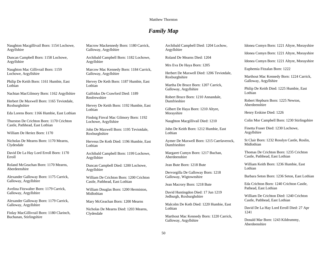# *Family Map*

Naughton Macgillivail Born: 1154 Lochowe, Argyllshire

Duncan Campbell Born: 1158 Lochowe, Argyllshire

Naughton Mac Gillivrail Born: 1159 Lochowe, Argyllshire

Philip De Keith Born: 1161 Humbie, East Lothian

Nachtan MacGilmory Born: 1162 Argyllshire

Herbert De Maxwell Born: 1165 Teviotdale, Roxburghshire

Eda Lorens Born: 1166 Humbie, East Lothian

Thurston De Crichton Born: 1170 Crichton Castle, Pathhead, East Lothian

William De Heriez Born: 1170

Nicholas De Mearns Born: 1170 Mearns, Clydesdale

David De La Hay Lord Erroll Born: 1170 Erroll

Roland McGeachan Born: 1170 Mearns, Aberdeenshire

Alexander Galloway Born: 1175 Carrick, Galloway, Argyllshire

Avelina Fitzwalter Born: 1179 Carrick, Galloway, Argyllshire

Alexander Galloway Born: 1179 Carrick, Galloway, Argyllshire

Finlay MacGillivrail Born: 1180 Clarinch, Buchanan, Stirlingshire

Macrow Mackennedy Born: 1180 Carrick, Galloway, Argyllshire

Archibald Campbell Born: 1182 Lochowe, Argyllshire

Marcow Mac Kennedy Born: 1184 Carrick, Galloway, Argyllshire

Hervey De Keth Born: 1187 Humbie, East Lothian

Galfridus De Crawford Died: 1189 Renfrewshire

Hervey De Keith Born: 1192 Humbie, East Lothian

Findoig Finval Mac Gilmory Born: 1192 Lochowe, Argyllshire

John De Maxwell Born: 1195 Teviotdale, Roxburghshire

Herveus De Keth Died: 1196 Humbie, East Lothian

Archibald Campbell Born: 1199 Lochowe, Argyllshire

Duncan Campbell Died: 1200 Lochowe, Argyllshire

William De Crichton Born: 1200 Crichton Castle, Pathhead, East Lothian

William Douglas Born: 1200 Hermiston, Midlothian

Mary McGeachan Born: 1200 Mearns

Nicholas De Mearns Died: 1203 Mearns, Clydesdale

Archibald Campbell Died: 1204 Lochow, Argyllshire

Roland De Mearns Died: 1204

Mrs Eva De Haya Born: 1205

Herbert De Maxwell Died: 1206 Teviotdale, Roxburghshire

Martha De Bruce Born: 1207 Carrick, Galloway, Argyllshire

Robert Bruce Born: 1210 Annandale, Dumfrieshire

Gilbert De Haya Born: 1210 Altyre, Morayshire

Naughton Macgillivail Died: 1210

John De Keith Born: 1212 Humbie, East Lothian

Aymer De Maxwell Born: 1215 Caerlaverock, Dumfrieshire

Margaret Cumyn Born: 1217 Buchan, Aberdeenshire

Jean Bute Born: 1218 Bute

Dervorgilla De Galloway Born: 1218 Galloway, Wigtownshire

Jean Macrory Born: 1218 Bute

David Huntingdon Died: 17 Jun 1219 Jedburgh, Roxburghshire

Malcolm De Keth Died: 1220 Humbie, East Lothian

Marthout Mac Kennedy Born: 1220 Carrick, Galloway, Argyllshire

Idonea Comyn Born: 1221 Altyre, Morayshire

Idonea Comyn Born: 1221 Altyre, Morayshire

Idonea Comyn Born: 1221 Altyre, Morayshire

Euphemia Fitzalan Born: 1222

Marthout Mac Kennedy Born: 1224 Carrick, Galloway, Argyllshire

Philip De Keith Died: 1225 Humbie, East Lothian

Robert Hepburn Born: 1225 Newton, Aberdeenshire

Henry Erskine Died: 1226

Colin Mor Campbell Born: 1230 Stirlingshire

Finetta Fraser Died: 1230 Lochowe, Argyllshire

St Clair Born: 1232 Rosslyn Castle, Roslin, Midlothian

Thomas De Crichton Born: 1235 Crichton Castle, Pathhead, East Lothian

William Keith Born: 1236 Humbie, East Lothian

Barbara Seton Born: 1236 Seton, East Lothian

Eda Crichton Born: 1240 Crichton Castle, Pathead, East Lothian

William De Crichton Died: 1240 Crichton Castle, Pathhead, East Lothian

David De La Hay Lord Erroll Died: 27 Apr 1241

Donald Mar Born: 1243 Kildrummy, Aberdeenshire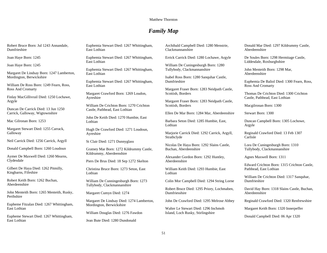# *Family Map*

Robert Bruce Born: Jul 1243 Annandale, Dumfrieshire

Joan Haye Born: 1245

Joan Haye Born: 1245

Margaret De Lindsay Born: 1247 Lamberton, Mordington, Berwickshire

William De Ross Born: 1249 Fearn, Ross, Ross And Cromarty

Finlay MacGillivrail Died: 1250 Lochawe, Argyle

Duncan De Carrick Died: 13 Jun 1250 Carrick, Galloway, Wigtownshire

Mac Gilronan Born: 1253

Margaret Stewart Died: 1255 Carrack, Galloway

Neil Carrick Died: 1256 Carrick, Argyll

Donald Campbell Born: 1260 Loudoun

Aymer De Maxwell Died: 1260 Mearns, Clydesdale

Gilbert De Haya Died: 1262 Pitmilly, Kingbarns, Fifeshire

Robert Keith Born: 1262 Buchan, Aberdeenshire

John Menteith Born: 1265 Menteith, Rusky, Perthshire

Eupheme Fitzalan Died: 1267 Whittingham, East Lothian

Eupheme Stewart Died: 1267 Whittingham, East Lothian

Euphemia Stewart Died: 1267 Whittingham, East Lothian

Euphemia Stewart Died: 1267 Whittingham, East Lothian

Euphemia Stewart Died: 1267 Whittingham, East Lothian

Euphemia Stewart Died: 1267 Whittingham, East Lothian

Margaret Crawford Born: 1269 Loudon, Ayreshire

William De Crichton Born: 1270 Crichton Castle, Pathhead, East Lothian

John De Keith Died: 1270 Humbie, East Lothian

Hugh De Crawford Died: 1271 Loudoun, Ayreshire

St Clair Died: 1271 Dunnyglass

Gratney Mar Born: 1272 Kildrummy Castle, Kildrummy, Aberdeenshire

Piers De Brus Died: 18 Sep 1272 Skelton

Christina Bruce Born: 1273 Seton, East Lothian

William De Cunningesburgh Born: 1273 Tullybody, Clackmannanshire

Margaret Cumyn Died: 1274

Margaret De Lindsay Died: 1274 Lamberton, Mordington, Berwickshire

William Douglas Died: 1276 Fawdon

Jean Bute Died: 1280 Dundonald

Archibald Campbell Died: 1280 Menstrie, Clackmannanshire

Errick Carrick Died: 1280 Lochawe, Argyle

William De Cuningesburgh Born: 1280 Tullybody, Clackmannanshire

Isabel Ross Born: 1280 Sanquhar Castle, Dumfrieshire

Margaret Fraser Born: 1283 Neidpath Castle, Scottish, Borders

Margaret Fraser Born: 1283 Neidpath Castle, Scottish, Borders

Ellen De Mar Born: 1284 Mar, Aberdeenshire

Barbara Seton Died: 1285 Humbie, East, Lothian

Marjorie Carrick Died: 1292 Carrick, Argyll, Strathclyde

Nicolas De Haya Born: 1292 Slains Castle, Buchan, Aberdeenshire

Alexander Gordon Born: 1292 Huntley, Aberdeenshire

William Keith Died: 1293 Humbie, East Lothian

Colin Mor Campbell Died: 1294 String Lorne

Robert Bruce Died: 1295 Priory, Lochmaben, Dumfriesshire

John De Crawford Died: 1295 Melrose Abbey

Walter Le Stewart Died: 1296 Inchmoh Island, Loch Rusky, Stirlingshire

Donald Mar Died: 1297 Kildrummy Castle, Aberdeenshire

De Soules Born: 1298 Hermitage Castle, Liddesdale, Roxburghshire

John Menteith Born: 1298 Mar, Aberdeenshire

Euphemia De Baliol Died: 1300 Fearn, Ross, Ross And Cromarty

Thomas De Crichton Died: 1300 Crichton Castle, Pathhead, East Lothian

Macgilronan Born: 1300

Stewart Born: 1300

Duncan Campbell Born: 1305 Lochowe, Argyle

Reginald Crawford Died: 13 Feb 1307 Carlisle

Lora De Cuningesburgh Born: 1310 Tullybody, Clackmannanshire

Agnes Maxwell Born: 1311

Edward Crichton Born: 1315 Crichton Castle, Pathhead, East Lothian

William De Crichton Died: 1317 Sanquhar, Dumfrieshire

David Hay Born: 1318 Slains Castle, Buchan, Aberdeenshire

Reginald Crawford Died: 1320 Renfrewshire

Margaret Keith Born: 1320 Innerpeffer

Donald Campbell Died: 06 Apr 1320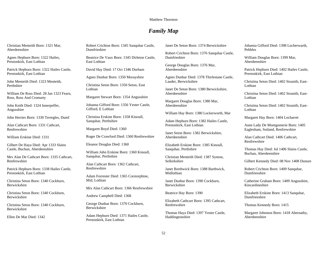# *Family Map*

Christian Menteith Born: 1321 Mar, Aberdeenshire

Agnes Hepburn Born: 1322 Hailes, Prestonkirk, East Lothian

Patrick Hepburn Born: 1322 Hailes Castle, Prestonkirk, East Lothian

John Menteith Died: 1323 Menteith, Perthshire

William De Ross Died: 28 Jan 1323 Fearn, Ross, Ross And Cromarty

John Keith Died: 1324 Innerpeffer, Angusshire

John Herries Born: 1330 Terregles, Dumf

Alan Cathcart Born: 1331 Cathcart, Renfrewshire

William Erskine Died: 1331

Gilbert De Haya Died: Apr 1333 Slains Castle, Buchan, Aberdeenshire

Mrs Alan De Cathcart Born: 1335 Cathcart, Renfrewshire

Patrick Hepburn Born: 1338 Hailes Castle, Prestonkirk, East Lothian

Christina Seton Born: 1340 Cockburn, Berwickshire

Christina Seton Born: 1340 Cockburn, Berwickshire

Christina Seton Born: 1340 Cockburn, Berwickshire

Ellen De Mar Died: 1342

Robert Crichton Born: 1345 Sanquhar Castle, Dumfrieshire

Beatrice De Vaux Born: 1345 Dirleton Castle, East Lothian

David Hay Died: 17 Oct 1346 Durham

Agnes Dunbar Born: 1350 Morayshire

Christina Seton Born: 1350 Seton, East Lothian

Margaret Stewart Born: 1354 Angusshire

Johanna Gifford Born: 1356 Yester Castle, Gifford, E Lothian

Christina Erskine Born: 1358 Kinoull, Sanquhar, Perthshire

Margaret Boyd Died: 1360

Roger De Crawford Died: 1360 Renfrewshire

Eleanor Douglas Died: 1360

William John Erskine Born: 1360 Kinoull, Sanquhar, Perthshire

Alan Cathcart Born: 1362 Cathcart, Renfrewshire

Adam Forrester Died: 1365 Corstorphine, Mid, Lothian

Mrs Alan Cathcart Born: 1366 Renfrewshire

Andrew Campbell Died: 1368

George Dunbar Born: 1370 Cockburn, Berwickshire

Adam Hepburn Died: 1371 Hailes Castle, Prestonkirk, East Lothian

Janet De Seton Born: 1374 Berwickshire

Robert Crichton Born: 1376 Sanquhar Castle, Dumfrieshire

George Douglas Born: 1376 Mar, Aberdeenshire

Agnes Dunbar Died: 1378 Thirlestane Castle, Lauder, Berwickshire

Janet De Seton Born: 1380 Berwickshire, Aberdeenshire

Margaret Douglas Born: 1380 Mar, Aberdeenshire

William Hay Born: 1380 Lockerworth, Mar

Adam Hepburn Born: 1382 Hailes Castle, Prestonkirk, East Lothian

Janet Seton Born: 1382 Berwickshire, Aberdeenshire

Elizabeth Erskine Born: 1385 Kinoull, Sanquhar, Perthshire

Christian Menteith Died: 1387 Synton, Selkirkshire

Janet Borthwick Born: 1388 Barthwick, Midlothian

Janet Dunbar Born: 1390 Cockburn, Berwickshire

Beatrice Hay Born: 1390

Elizabeth Cathcart Born: 1395 Cathcart, Renfrewshire

Thomas Haya Died: 1397 Yester Castle, Haddingtonshire

Johanna Gifford Died: 1398 Locherwarth, Pebbles

William Douglas Born: 1399 Mar, Aberdeenshire

Patrick Hepburn Died: 1402 Hailes Castle, Prestonkirk, East Lothian

Christina Seton Died: 1402 Stranith, East-Lothian

Christina Seton Died: 1402 Stranith, East-Lothian

Christina Seton Died: 1402 Stranith, East-Lothian

Margaret Hay Born: 1404 Locharret

Anne Lady De Montgomerie Born: 1405 Eaglesham, Sotland, Renfrewshire

Alan Cathcart Died: 1406 Cathcart, Renfrewshire

Thomas Hay Died: Jul 1406 Slains Castle, Buchan, Aberdeenshire

Gilbert Kennedy Died: 08 Nov 1408 Dunure

Robert Crichton Born: 1409 Sanquhar, Dumfriesshire

Catherine Graham Born: 1409 Angusshire, Kincardineshire

Elizabeth Erskine Born: 1413 Sanquhar, Dumfriesshire

Thomas Kennedy Born: 1415

Margaret Johnston Born: 1418 Abernathy, Aberdeenshire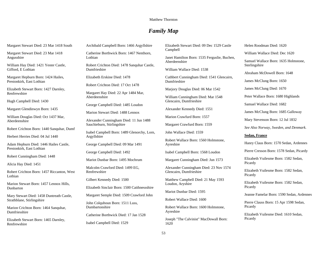# *Family Map*

Margaret Stewart Died: 23 Mar 1418 South

Margaret Stewart Died: 23 Mar 1418 Angusshire

William Hay Died: 1421 Yester Castle, Gifford, E Lothian

Margaret Hepburn Born: 1424 Hailes, Prestonkirk, East Lothian

Elizabeth Stewart Born: 1427 Darnley, Renfrewshire

Hugh Campbell Died: 1430

Margaret Glendinwyn Born: 1435

William Douglas Died: Oct 1437 Mar, Aberdeenshire

Robert Crichton Born: 1440 Sanquhar, Dumf

Herbert Herries Died: 04 Jul 1440

Adam Hepburn Died: 1446 Hailes Castle, Prestonkirk, East Lothian

Robert Cunningham Died: 1448

Alicia Hay Died: 1451

Robert Crichton Born: 1457 Riccanton, West Lothian

Marion Stewart Born: 1457 Lennox Hills, Dunbarton

Mary Stewart Died: 1458 Duntreath Castle, Strathblane, Stirlingshire

Marion Crichton Born: 1464 Sanquhar, Dumfriesshire

Elizabeth Stewart Born: 1465 Darnley, Renfrewshire

Archibald Campbell Born: 1466 Argyllshire

Catherine Borthwick Born: 1467 Nenthorn, Lothian

Robert Crichton Died: 1478 Sanquhar Castle, Dumfrieshire

Elizabeth Erskine Died: 1478

Robert Crichton Died: 17 Oct 1478

Margaret Hay Died: 22 Apr 1484 Mar, Aberdeenshire

George Campbell Died: 1485 Loudon

Marion Stewart Died: 1488 Lennox

Alexander Cunningham Died: 11 Jun 1488 Sauchieburn, Stirlingshire

Isabel Campbell Born: 1489 Glenorchy, Lorn, Argyllshire

George Campbell Died: 09 Mar 1491

George Campbell Died: 1492

Mariot Dunbar Born: 1495 Mochrum

Malcolm Crawford Died: 1499 EG, Renfrewshire

Gilbert Kennedy Died: 1500

Elizabeth Sinclair Born: 1500 Caithnessshire

Margaret Semple Died: 1509 Crawford John

John Colquhoun Born: 1511 Luss, Dumbartonshire

Catherine Borthwick Died: 17 Jan 1528

Isabel Campbell Died: 1529

Elizabeth Stewart Died: 09 Dec 1529 Castle Campbell

Janet Hamilton Born: 1535 Ferguslie, Buchen, Aberdeenshire

William Wallace Died: 1538

Cuthbert Cunningham Died: 1541 Glencairn, Dumfrieshire

Marjory Douglas Died: 06 Mar 1542

William Cunningham Died: Mar 1548 Glencairn, Dumfrieshire

Alexander Kennedy Died: 1551

Marion Crawfurd Born: 1557

Margaret Crawfurd Born: 1559

John Wallace Died: 1559

Robert Wallace Born: 1560 Holmstone, Ayreshire

Isabel Campbell Born: 1568 Loudon

Margaret Cunningham Died: Jun 1573

Alexander Cunningham Died: 23 Nov 1574 Glencairn, Dumfrieshire

Matthew Campbell Died: 21 May 1593 Loudon, Aryshire

Mariot Dunbar Died: 1595

Robert Wallace Died: 1600

Robert Wallace Born: 1600 Holmstone, Ayreshire

Joseph "The Calvinist" MacDowall Born: 1620

Helen Roodman Died: 1620

William Wallace Died: Dec 1620

Samuel Wallace Born: 1635 Holmstone, Sterlingshire

Abraham McDowell Born: 1648

James McClung Born: 1650

James McClung Died: 1670

Peter Wallace Born: 1680 Highlands

Samuel Wallace Died: 1682

James McClung Born: 1685 Galloway

Mary Stevenson Born: 12 Jul 1832

*See Also Norway, Sweden, and Denmark.*

#### **Sedan, France**

Hanry Claus Born: 1570 Sedan, Ardennes

Pierre Cresson Born: 1578 Sedan, Picardy

Elizabeth Vuilesme Born: 1582 Sedan, Picardy

Elizabeth Vuilesme Born: 1582 Sedan, Picardy

Elizabeth Vuilesme Born: 1582 Sedan, Picardy

Jeanne Famelar Born: 1590 Sedan, Ardennes

Pierre Clauss Born: 15 Apr 1598 Sedan, Picardy

Elizabeth Vuilesme Died: 1610 Sedan, Picardy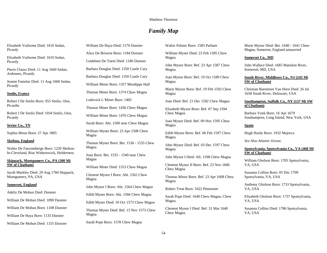# *Family Map*

Elizabeth Vuilesme Died: 1610 Sedan, Picardy

Elizabeth Vuilesme Died: 1610 Sedan, Picardy

Pierre Clauss Died: 11 Aug 1660 Sedan, Ardennes, Picardy

Jeanne Famelar Died: 11 Aug 1660 Sedan, Picardy

#### **Senlis, France**

Robert I De Senlis Born: 955 Senlis, Oise, Picardie

Robert I De Senlis Died: 1034 Senlis, Oise, Picardy

## **Sevier Co., TN**

Sophia Moon Born: 27 Apr 1805

#### **Skelton, England**

Walter De Faucomberge Born: 1220 Skelton-In-Cleveland, Rise Withernwick, Holderness

**Skippack, Montgomery Co., PA (300 Mi SW of Chatham)**

Jacob Markley Died: 29 Aug 1784 Skippack, Montgomery, PA, USA

#### **Somerset, England**

Adeliz De Mohun Died: Dunster

William De Mohun Died: 1090 Dunster

William De Mohun Born: 1108 Dunster

William De Haya Born: 1135 Dunster

William De Mohun Died: 1155 Dunster

William De Haya Died: 1170 Dunster

Alice De Briwere Born: 1184 Dunster

Godeheut De Toeni Died: 1186 Dunster

Barbara Douglas Died: 1350 Castle Cary

Barbara Douglas Died: 1350 Castle Cary

William Miner Born: 1357 Mendippe Hall

Thomas Miner Born: 1374 Chew Magna

Lodovick L Miner Born: 1405

Thomas Miner Born: 1436 Chew Magna

William Miner Born: 1476 Chew Magna

Sarah Born: Abt. 1500 near Chew Magna

William Myner Born: 23 Apr 1508 Chew Magna

Thomas Myner Born: Bet. 1530 - 1535 Chew Magna

Joan Born: Bet. 1535 - 1540 near Chew Magna

William Miner Died: 1553 Chew Magna

Clement Mynor I Born: Abt. 1562 Chew Magna

John Mynor I Born: Abt. 1564 Chew Magna

Edith Myner Born: Abt. 1566 Chew Magna

Edith Myner Died: 10 Oct 1573 Chew Magna

Thomas Myner Died: Bef. 15 Nov 1573 Chew Magna

Sarah Pope Born: 1578 Chew Magna

Walter Palmer Born: 1585 Parham

William Myner Died: 23 Feb 1585 Chew Magna

John Mynor Born: Bef. 23 Apr 1587 Chew Magna

Joan Mynor Born: Bef. 19 Oct 1589 Chew Magna

Marie Mynor Born: Bef. 19 Feb 1592 Chew Magna

Joan Died: Bef. 21 Dec 1592 Chew Magna

Elizabeth Mynor Born: Bef. 07 Sep 1594 Chew Magna

Joan Mynor Died: Bef. 09 Nov 1595 Chew Magna

Edith Mynor Born: Bef. 06 Feb 1597 Chew Magna

John Mynor Died: Bef. 03 Dec 1597 Chew Magna

John Mynor I Died: Aft. 1598 Chew Magna

Clement Mynor II Born: Bef. 23 Nov 1600 Chew Magna

Thomas Minor Born: Bef. 23 Apr 1608 Chew Magna

Robert Treat Born: 1622 Pitminster

Sarah Pope Died: 1640 Chew Magna, Chew Magna

Clement Mynor I Died: Bef. 31 Mar 1640 Chew Magna

Marie Mynor Died: Bet. 1640 - 1641 Chew Magna, Somerset, England unmarried

## **Somerset Co., MD**

John Wallace Died: 1685 Manokin River, Somerset, MD, USA

#### **South River, Middlesex Co., NJ (245 Mi SW of Chatham)**

Christian Barentsen Van Horn Died: 26 Jul 1658 South River, Delaware, USA

#### **Southampton, Suffolk Co., NY (137 Mi SW of Chatham)**

Barbara Vonk Born: 16 Apr 1679 Southampton, Long Island, New York, USA

#### **Spain**

Hugh Hardy Born: 1932 Majorca

*See Also Atlantic Ocean.*

#### **Spotsylvania, Spotsylvania Co., VA (468 Mi SW of Chatham)**

William Gholson Born: 1705 Spotsylvania, VA, USA

Susanna Collins Born: 05 Dec 1709 Spotsylvania, VA, USA

Anthony Gholson Born: 1733 Spotsylvania, VA, USA

Elizabeth Gholson Born: 1737 Spotsylvania, VA, USA

Susanna Collins Died: 1786 Spotsylvania, VA, USA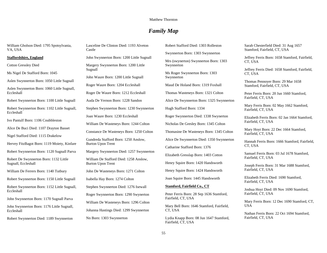# *Family Map*

William Gholson Died: 1795 Spotsylvania, VA, USA

#### **Staffordshire, England**

Cotton Gressley Died

Ms Nigel De Stafford Born: 1045

Aslen Swynnerton Born: 1050 Little Sugnall

Aslen Swynnerton Born: 1060 Little Sugnall, Eccleshall

Robert Swynnerton Born: 1100 Little Sugnall

Robert Swynnerton Born: 1102 Little Sugnall, Eccleshall

Ivo Pantulf Born: 1106 Coubbleston

Alice De Buci Died: 1107 Drayton Basset

Nigel Stafford Died: 1115 Drakelow

Hervey FitzBagot Born: 1119 Moiety, Kinfare

Robert Swynnerton Born: 1120 Sugnall Parva

Robert De Swynnerton Born: 1132 Little Sugnall, Eccleshall

William De Ferrers Born: 1140 Tutbury

Robert Swynnerton Born: 1150 Little Sugnall

Robert Swynnerton Born: 1152 Little Sugnall, Eccleshall

John Swynnerton Born: 1170 Sugnall Parva

John Swynnerton Born: 1176 Little Sugnall, Eccleshall

Robert Swynnerton Died: 1189 Swynnerton

| Lasceline De Clinton Died: 1193 Alveton<br>Castle |
|---------------------------------------------------|
| John Swynnerton Born: 1200 Little Sugnall         |

Margery Swynnerton Born: 1200 Little Sugnall

John Waure Born: 1200 Little Sugnall

Roger Waure Born: 1204 Eccleshall

Roger De Waure Born: 1212 Eccleshall

Auda De Vernon Born: 1228 Sandon

Stephen Swynnerton Born: 1230 Swynnerton

Joan Waure Born: 1230 Eccleshall

William De Wasteneys Born: 1244 Colton

Constance De Wasteneys Born: 1250 Colton

Gundreda Stafford Born: 1250 Anslow, Burton Upon Trent

Margery Swynnerton Died: 1257 Swynnerton

William De Stafford Died: 1258 Anslow, Burton Upon Trent

John De Wasteneys Born: 1271 Colton

Isabella Hay Born: 1274 Colton

Stephen Swynnerton Died: 1276 Isewall

Roger Swynnerton Born: 1290 Swynerton

William De Wasteneys Born: 1296 Colton

Johanna Hastings Died: 1299 Swynnerton

Nn Born: 1303 Swynnerton

Robert Stafford Died: 1303 Rolleston

Swynnerton Born: 1303 Swynnerton

Mrs (swynerton) Swynnerton Born: 1303 Swynnerton

Ms Roger Swynnerton Born: 1303 Swynnerton

Maud De Holand Born: 1319 Foxhall

Thomas Wasteneys Born: 1321 Colton

Alice De Swynnerton Born: 1325 Swynnerton

Hugh Stafford Born: 1334

Roger Swynnerton Died: 1338 Swynerton

Nicholas De Gresley Born: 1345 Colton

Thomasine De Wasteneys Born: 1345 Colton

Alice De Swynnerton Died: 1350 Swynnerton

Catharine Stafford Born: 1376

Elizabeth Gresslap Born: 1403 Cotton

Henry Squire Born: 1420 Handsworth

Henry Squire Born: 1424 Handsworth

Joan Squire Born: 1445 Handsworth

## **Stamford, Fairfield Co., CT**

Peter Ferris Born: 28 Sep 1636 Stamford, Fairfield, CT, USA

Mary Bell Born: 1646 Stamford, Fairfield, CT, USA

Lydia Knapp Born: 08 Jun 1647 Stamford, Fairfield, CT, USA

Sarah Chesterfield Died: 31 Aug 1657 Stamford, Fairfield, CT, USA

Jeffrey Ferris Born: 1658 Stamford, Fairfield, CT, USA

Jeffrey Ferris Died: 1658 Stamford, Fairfield, CT, USA

Thomas Pennoyer Born: 29 Mar 1658 Stamford, Fairfield, CT, USA

Peter Ferris Born: 20 Jun 1660 Stamford, Fairfield, CT, USA

Mary Ferris Born: 02 May 1662 Stamford, Fairfield, CT, USA

Elizabeth Ferris Born: 02 Jan 1664 Stamford, Fairfield, CT, USA

Mary Hoyt Born: 22 Dec 1664 Stamford, Fairfield, CT, USA

Hannah Ferris Born: 1666 Stamford, Fairfield, CT, USA

Samuel Ferris Born: 03 Jul 1678 Stamford, Fairfield, CT, USA

Joseph Ferris Born: 31 Mar 1688 Stamford, Fairfield, CT, USA

Elizabeth Ferris Died: 1690 Stamford, Fairfield, CT, USA

Joshua Hoyt Died: 09 Nov 1690 Stamford, Fairfield, CT, USA

Mary Ferris Born: 12 Dec 1690 Stamford, CT, USA

Nathan Ferris Born: 22 Oct 1694 Stamford, Fairfield, CT, USA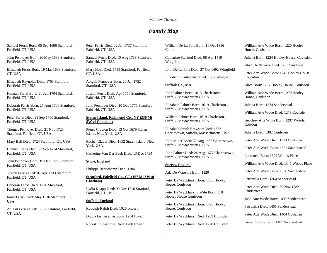# *Family Map*

Samuel Ferris Born: 05 Sep 1696 Stamford, Fairfield, CT, USA

John Pennoyer Born: 26 May 1698 Stamford, Fairfield, CT, USA

Elizabeth Ferris Born: 19 Mar 1699 Stamford, CT, USA

Elizabeth Reynolds Died: 1703 Stamford, Fairfield, CT, USA

Hannah Ferris Born: 20 Jun 1704 Stamford, Fairfield, CT, USA

Deborah Ferris Born: 27 Aug 1706 Stamford, Fairfield, CT, USA

Peter Ferris Died: 28 Sep 1706 Stamford, Fairfield, CT, USA

Thomas Pennoyer Died: 21 Nov 1723 Stamford, Fairfield, CT, USA

Mary Bell Died: 1724 Stamford, CT, USA

Hannah Ferris Died: 27 Sep 1724 Stamford, Fairfield, CT, USA

John Pennoyer Born: 19 Dec 1727 Stamford, Fairfield, CT, USA

Joseph Ferris Died: 07 Apr 1733 Stamford, Fairfield, CT, USA

Deborah Ferris Died: 1736 Stamford, Fairfield, CT, USA

Mary Ferris Died: May 1736 Stamford, CT, USA

Abigail Ferris Died: 1737 Stamford, Fairfield, CT, USA

Peter Ferris Died: 02 Jan 1737 Stamford, Fairfield, CT, USA

Samuel Ferris Died: 10 Aug 1738 Stamford, Fairfield, CT, USA

Mary Hoyt Died: 1739 Stamford, Fairfield, CT, USA

Abigail Pennoyer Born: 20 Jan 1752 Stamford, CT, USA

Joseph Ferris Died: Apr 1756 Stamford, Fairfield, CT, USA

John Pennoyer Died: 10 Dec 1775 Stamford, Fairfield, CT, USA

## **Staten Island, Richmond Co., NY (230 Mi SW of Chatham)**

Pierre Cresson Died: 13 Oct 1679 Staten Island, New York, USA

Rachel Clauss Died: 1692 Staten Island, New York, USA

Catherine Van Der Beek Died: 13 Dec 1724

#### **Stone, England**

Philippe Beauchamp Died: 1386

**Stratford, Fairfield Co., CT (167 Mi SW of Chatham)**

Lydia Knapp Died: 09 Dec 1716 Stratford, Fairfield, CT, USA

## **Suffolk, England**

Rudolph Ralph Died: 1026 Ixworth

Dulcia Le Taverner Born: 1234 Ipwich

Robert Le Taverner Died: 1280 Ipwich

William De La Pole Born: 16 Oct 1396 Cotton

Catharine Stafford Died: 08 Apr 1419 Wingfield

John De La Pole Died: 27 Oct 1492 Wingfield

Elizabeth Plantagenet Died: 1502 Wingfield

# **Suffolk Co., MA**

John Palmer Born: 1615 Charlestown, Suffolk, Massachusetts, USA

Elizabeth Palmer Born: 1619 Charleston, Suffolk, Massachusetts, USA

William Palmer Born: 1619 Charleston, Suffolk, Massachusetts, USA

Elizabeth Smith Brewster Died: 1633 Charlestown, Suffolk, Massachusetts, USA

John Miner Born: 30 Aug 1635 Charlestown, Suffolk, Massachusetts, USA

John Palmer Died: 24 Aug 1677 Charlestown, Suffolk, Massachusetts, USA

#### **Surrey, England**

Ada De Warenne Born: 1120

Peter De Wyckhurst Born: 1180 Hooley House, Coulsdon

Peter De Wyckhurst S Wife Born: 1184 Hooley House Coulsdon

Peter De Wyckhurst Born: 1195 Hooley House, Coulsdon

Peter De Wyckhurst Died: 1203 Coulsden

Peter De Wyckhurst Died: 1220 Coulsden

William Atte Wode Born: 1220 Hooley House, Coulsdon

Juliana Born: 1224 Hooley House, Coulsdon

Alice De Briwere Died: 1233 Sandown

Peter Atte Wode Born: 1245 Hooley House, Coulsdon

Alice Born: 1254 Hooley House, Coulsdon

William Atte Wode Born: 1270 Hooley House, Coulsdon

Juliana Born: 1274 Sanderstead

William Atte Wode Died: 1278 Coulsden

Geoffrey Atte Wode Born: 1297 Woods, Colsdon

Juliana Died: 1302 Coulsden

Peter Atte Wode Died: 1313 Coulsden

Peter Atte Wode Born: 1321 Sanderstead

Laurencia Born: 1324 Woods Place

William Atte Wode Died: 1345 Woods Place

Peter Atte Wode Born: 1360 Sanderstead

Petronilla Born: 1364 Sanderstead

Peter Atte Wode Died: 30 Nov 1382 Sanderstead

John Atte Wode Born: 1400 Sanderstead

Petronilla Died: 1401 Sanderstead

Peter Atte Wode Died: 1404 Coulsden

Isabell Surrey Born: 1405 Sanderstead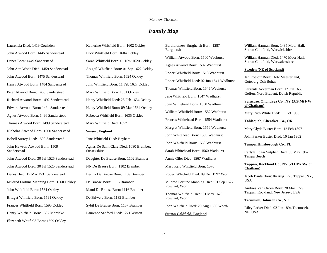# *Family Map*

Laurencia Died: 1419 Coulsden John Atwood Born: 1445 Sanderstead Denes Born: 1449 Sanderstead John Atte Wode Died: 1459 Sanderstead John Atwood Born: 1475 Sanderstead Henry Atwood Born: 1484 Sanderstead Peter Atwood Born: 1488 Sanderstead Richard Atwood Born: 1492 Sanderstead Edward Atwood Born: 1494 Sanderstead Agnes Atwood Born: 1496 Sanderstead Thomas Atwood Born: 1499 Sanderstead Nicholas Atwood Born: 1500 Sanderstead Isabell Surrey Died: 1500 Sanderstead John Hewson Atwood Born: 1509 Sanderstead John Atwood Died: 30 Jul 1525 Sanderstead John Atwood Died: 30 Jul 1525 Sanderstead Denes Died: 17 Mar 1531 Sanderstead Mildred Fortune Manning Born: 1560 Ockley John Whitfield Born: 1584 Ockley Bridget Whitfield Born: 1591 Ockley Frances Whitfield Born: 1595 Ockley Henry Whitfield Born: 1597 Mortlake Elizabeth Whitfield Born: 1599 Ockley

Katherine Whitfield Born: 1602 Ockley Lucy Whitfield Born: 1604 Ockley Sarah Whitfield Born: 01 Nov 1620 Ockley Abigail Whitfield Born: 01 Sep 1622 Ockley Thomas Whitfield Born: 1624 Ockley John Whitfield Born: 11 Feb 1627 Ockley Mary Whitfield Born: 1631 Ockley Henry Whitfield Died: 28 Feb 1634 Ockley Henry Whitfield Born: 09 Mar 1634 Ockley Rebecca Whitfield Born: 1635 Ockley Mary Whitfield Died: 1657 **Sussex, England** Jane Whitfield Died: Bayham Agnes De Saint Clare Died: 1080 Bramber, Sussexshire Daughter De Braose Born: 1102 Bramber NN De Braose Born: 1102 Bramber Bertha De Braose Born: 1109 Bramber De Braose Born: 1116 Bramber Maud De Braose Born: 1116 Bramber De Briwere Born: 1132 Bramber Sybil De Braose Born: 1157 Bramber Laurence Sanford Died: 1271 Wiston

Bartholomew Burghersh Born: 1287 Burghersh

William Atwood Born: 1500 Wadhurst

Agnes Atwood Born: 1502 Wadhurst Robert Whitfield Born: 1518 Wadhurst Robert Whitfield Died: 02 Jun 1541 Wadhurst Thomas Whitfield Born: 1545 Wadhurst Jane Whitfield Born: 1547 Wadhurst Joan Whitehead Born: 1550 Wadhurst William Whitfield Born: 1552 Wadhurst Frances Whitehead Born: 1554 Wadhurst Margret Whitfield Born: 1556 Wadhurst John Whitehead Born: 1558 Wadhurst John Whitfield Born: 1558 Wadhurst Sarah Whitehead Born: 1560 Wadhurst Annie Giles Died: 1567 Wadhurst Mary Reid Whitfield Born: 1570 Robert Whitfield Died: 09 Dec 1597 Worth Mildred Fortune Manning Died: 01 Sep 1627 Rowfant, Worth Thomas Whitfield Died: 01 May 1629 Rowfant, Worth John Whitfield Died: 20 Aug 1636 Worth **Sutton Coldfield, England**

William Harman Born: 1435 Moor Hall, Sutton Coldfield, Warwickshire

William Harman Died: 1470 Moor Hall, Sutton Coldfield, Warwaickshire

#### **Sweden (NE of Scotland)**

Jan Roeloff Born: 1602 Maesterland, Goteburg Och Bohus

Laurents Ackerman Born: 12 Jun 1650 Geffen, Nord Brabant, Dutch Republic

## **Syracuse, Onondaga Co., NY (329 Mi NW of Chatham)**

Mary Ruth White Died: 11 Oct 1988

**Tahlequah, Cherokee Co., OK**

Mary Clyde Buster Born: 12 Feb 1897

John Parker Buster Died: 10 Jan 1902

#### **Tampa, Hillsborough Co., FL**

Carlyle Edgar Sutphen Died: 30 May 1962 Tampa Beach

## **Tappan, Rockland Co., NY (211 Mi SW of Chatham)**

Jacob Banta Born: 04 Aug 1728 Tappan, NY, USA

Andries Van Orden Born: 28 Mar 1729 Tappan, Rockland, New Jersey, USA

#### **Tecumseh, Johnson Co., NE**

Riley Parker Died: 02 Jun 1894 Tecumseh, NE, USA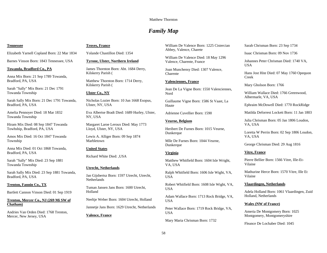# *Family Map*

#### **Tennessee**

Elizabeth Yarnell Copland Born: 22 Mar 1834

Barnes Vinson Born: 1843 Tennessee, USA

#### **Towanda, Bradford Co., PA**

Anna Mix Born: 21 Sep 1789 Towanda, Bradford, PA, USA

Sarah "Sally" Mix Born: 21 Dec 1791 Towanda Township

Sarah Sally Mix Born: 21 Dec 1791 Towanda, Bradford, PA, USA

Amelia Pennoyer Died: 18 Mar 1832 Towanda Township

Hiram Mix Died: 08 Sep 1847 Towanda Towhship, Bradford, PA, USA

Amos Mix Died: 16 Oct 1847 Towanda Township

Anna Mix Died: 01 Oct 1868 Towanda, Bradford, PA, USA

Sarah "Sally" Mix Died: 23 Sep 1881 Towanda Township

Sarah Sally Mix Died: 23 Sep 1881 Towanda, Bradford, PA, USA

## **Trenton, Fannin Co., TX**

Bartlett Cannon Vinson Died: 01 Sep 1919

## **Trenton, Mercer Co., NJ (269 Mi SW of Chatham)**

Andries Van Orden Died: 1768 Trenton, Mercer, New Jersey, USA

# **Troyes, France**

Yolande Chastillon Died: 1354

**Tyrone, Ulster, Northern Ireland**

James Thornton Born: Abt. 1684 Derry, Kilskerry Parish (

Matthew Thornton Born: 1714 Derry, Kilskerry Parish (

# **Ulster Co., NY**

Nicholas Lozier Born: 10 Jun 1668 Esopus, Ulster, NY, USA

Eva Albertse Bradt Died: 1689 Hurley, Ulster, NY, USA

Margaret Laroe Leroux Died: May 1773 Lloyd, Ulster, NY, USA

Lewis A. Alliger Born: 09 Sep 1874 Marbletown

## **United States**

Richard White Died: ,USA

## **Utrecht, Netherlands**

Jan Gijsbertsz Born: 1597 Utrecht, Utrecht, Netherlands

Tuman Jansen Jans Born: 1600 Utrecht, Holland

Neeltje Weber Born: 1604 Utrecht, Holland

Jannetje Jans Born: 1629 Utrecht, Netherlands

**Valence, France**

William De Valence Born: 1225 Cistercian Abbey, Valence, Charete

William De Valence Died: 18 May 1296 Valence, Charente, France

Joan Munchensy Died: 1307 Valence, Charente

## **Valenciennes, France**

Jean De La Vigne Born: 1550 Valenciennes, Nord

Guillaume Vigne Born: 1586 St Vaast, La Haute

Adrienne Cuvellier Born: 1590

# **Veurne, Belgium**

Heribert De Furnes Born: 1015 Veurne, Dunkerque

Mlle De Furnes Born: 1044 Veurne, Dunkerque

## **Virginia**

Matthew Whitfield Born: 1604 Isle Wright, VA, USA

Ralph Whitfield Born: 1606 Isle Wight, VA, USA

Robert Whitfield Born: 1608 Isle Wight, VA, USA

Adam Wallace Born: 1713 Rock Bridge, VA, USA

Peter Wallace Born: 1719 Rock Bridge, VA, USA

Mary Maria Chrisman Born: 1732

Sarah Chrisman Born: 23 Sep 1734

Isaac Chrisman Born: 09 Nov 1736

Johannes Peter Chrisman Died: 1740 VA, USA

Hans Jost Hite Died: 07 May 1760 Opequon Creek

Mary Gholson Born: 1766

William Wallace Died: 1766 Greenwood, Albermarle, VA, USA

Ephraim McDowell Died: 1770 RockRidge

Matilda Deforrest Lockett Born: 11 Jan 1803

Julia Chrisman Born: 05 Jan 1806 Loudon, VA, USA

Loretta W Perrin Born: 02 Sep 1806 Loudon, VA, USA

George Chrisman Died: 29 Aug 1816

## **Vitre, France**

Pierre Bellier Born: 1566 Vitre, Ille-Et-Vilaine

Mathurine Herce Born: 1570 Vitre, Ille Et Vilaine

## **Vlaardingen, Netherlands**

Adela Holland Born: 1061 Vlaardingen, Zuid Holland, Netherlands

## **Wales (NW of France)**

Ameria De Montgomery Born: 1025 Montgomery, Montgomeryshire

Fleance De Lochaber Died: 1045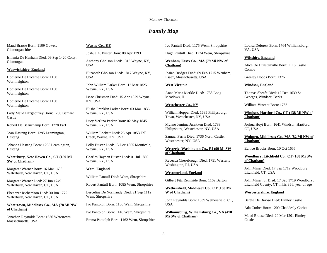# *Family Map*

Maud Braose Born: 1109 Gower, Glamorganshire

Ismania De Hanham Died: 09 Sep 1420 Coity, Glamorgan

## **Warwickshire, England**

Hodierne De Lucerne Born: 1150 Wormleighton

Hodierne De Lucerne Born: 1150 Wormleighton

Hodierne De Lucerne Born: 1150 Wormleighton

Lady Maud Fitzgeoffrey Born: 1250 Bernard Castle

Robert De Beauchamp Born: 1278 Earl

Joan Hastang Born: 1295 Leamington, Hastang

Johanna Hastang Born: 1295 Leamington, Hastang

## **Waterbury, New Haven Co., CT (159 Mi SW of Chatham)**

Margaret Warner Born: 16 Mar 1693 Waterbury, New Haven, CT, USA

Margaret Warner Died: 27 Jun 1749 Waterbury, New Haven, CT, USA

Ebenezer Richardson Died: 30 Jun 1772 Waterbury, New Haven, CT, USA

## **Watertown, Middlesex Co., MA (78 Mi NW of Chatham)**

Jonathan Reynolds Born: 1636 Watertown, Massachusetts, USA

# **Wayne Co., KY**

Joshua A. Buster Born: 08 Apr 1793

Anthony Gholson Died: 1813 Wayne, KY, USA

Elizabeth Gholson Died: 1817 Wayne, KY, USA

John William Parker Born: 12 Mar 1825 Wayne, KY, USA

Isaac Chrisman Died: 15 Apr 1829 Wayne, KY, USA

Elisha Franklin Parker Born: 03 Mar 1836 Wayne, KY, USA

Lucy Verlina Parker Born: 02 May 1845 Wayne, KY, USA

William Lockett Died: 26 Apr 1853 Fall Creek, Wayne, KY, USA

Polly Buster Died: 13 Dec 1855 Monticelo, Wayne, KY, USA

Charles Hayden Buster Died: 01 Jul 1869 Wayne, KY, USA

## **Wem, England**

William Pantulf Died: Wem, Shropshire

Robert Pantulf Born: 1085 Wem, Shropshire

Lesceline De Normandy Died: 21 Sep 1112 Wem, Shropshire

Ivo Pantolph Born: 1136 Wem, Shropshire

Ivo Pantolph Born: 1140 Wem, Shropshire

Emma Pantolph Born: 1162 Wem, Shropshire

Ivo Pantulf Died: 1175 Wem, Shropshire

Hugh Pantulf Died: 1224 Wem, Shropshire

## **Wenham, Essex Co., MA (79 Mi NW of Chatham)**

Josiah Bridges Died: 09 Feb 1715 Wenham, Essex, Massachusetts, USA

# **West Virginia**

Anna Maria Merkle Died: 1738 Long Meadows, H

## **Westchester Co., NY**

William Hopper Died: 1685 Philipsburgh Town, Westchester, NY, USA

Mynno Jemima Jurckxen Died: 1733 Philipsburg, Westchester, NY, USA

Samuel Ferris Died: 1736 North Castle, Westchester, NY, USA

#### **Westerly, Washington Co., RI (99 Mi SW of Chatham)**

Rebecca Chesebrough Died: 1751 Westerly, Washington, RI, USA

#### **Westmorland, England**

Gilbert Fitz Reinfride Born: 1169 Barton

#### **Wethersfield, Middlesex Co., CT (138 Mi W of Chatham)**

John Reynolds Born: 1639 Wethersfield, CT, USA

## **Williamsburg, Williamsburg Co., VA (470 Mi SW of Chatham)**

Louisa Deforest Born: 1764 Williamsburg, VA, USA

#### **Wiltshire, England**

Alice De Dunstanville Born: 1118 Castle Combe

Greeley Hobbs Born: 1376

#### **Windsor, England**

Thomas Sheafe Died: 12 Dec 1639 St Georges, Windsor, Berks

William Vincent Born: 1753

#### **Windsor, Hartford Co., CT (138 Mi NW of Chatham)**

Joshua Hoyt Born: 1641 Windsor, Hartford, CT, USA

## **Woburn, Middlesex Co., MA (82 Mi NW of Chatham)**

Eunice Brooks Born: 10 Oct 1655

## **Woodbury, Litchfield Co., CT (168 Mi SW of Chatham)**

John Miner Died: 17 Sep 1719 Woodbury, Litchfield, CT, USA

John Miner, Sr Died: 17 Sep 1719 Woodbury, Litchfield County, CT in his 85th year of age

#### **Worcestershire, England**

Bertha De Braose Died: Elmley Castle

Ada Corbet Born: 1200 Chaddesly Corbet

Maud Braose Died: 20 Mar 1201 Elmley Castle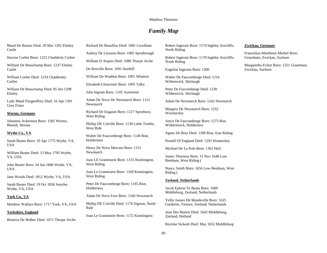# *Family Map*

Maud De Braose Died: 20 Mar 1201 Elmley Castle

Hawise Corbet Born: 1225 Chaddesly Corbet

William De Beauchamp Born: 1237 Elmley Castle

William Corbet Died: 1254 Chaddesley Corbet

William De Beauchamp Died: 05 Jun 1298 Elmley

Lady Maud Fitzgeoffrey Died: 16 Apr 1301 Grey Friars

#### **Worms, Germany**

Johannes Ackerman Born: 1582 Worms, Rheinh, Hessen

## **Wythe Co., VA**

Sarah Buster Born: 19 Apr 1775 Wythe, VA, USA

William Buster Died: 13 May 1795 Wythe, VA, USA

John Buster Born: 24 Jun 1800 Wythe, VA, USA

Jane Woods Died: 1812 Wythe, VA, USA

Sarah Buster Died: 19 Oct 1836 Smythe, Wythe, VA, USA

## **York Co., VA**

Matthew Wallace Born: 1717 York, VA, USA

## **Yorkshire, England**

Beatrice De Bolbec Died: 1071 Thorpe Arche

Richard De Beauffou Died: 1081 Lowdham

Aubrey De Lisoures Born: 1085 Sprotbrough

William D Arques Died: 1086 Thorpe Arche

De Bosville Born: 1091 Harthill

William De Waddon Born: 1091 Whatton

Elizabeth Gloucester Born: 1095 Talby

John Ingram Born: 1105 Ayresome

Adam De Novo De Newmarch Born: 1121 Newmarch

Richard De Engaine Born: 1127 Sprotboro, West Riding

Phillip DE Colville Born: 1130 Little Timble, West Ride

Walter De Faucomberge Born: 1140 Rise, **Holderness** 

Henry De Novo Mercato Born: 1151 Newmarch

Joan LE Grammarie Born: 1155 Knottington, West Riding

Joan Le Grammaire Born: 1160 Knottington, West Riding

Peter De Faucomberge Born: 1165 Rise, Holderness

Adam De Novo Foro Born: 1166 Newmarch

Phillip DE Colville Died: 1170 Sigston, North Ride

Joan Le Grammaire Born: 1172 Knottington

Robert Ingeram Born: 1174 Ingleby Arncliffe, North Riding

Robert Ingeram Born: 1178 Ingleby Arncliffe, North Riding

Engelise Ingeram Born: 1200

Walter De Faucomberge Died: 1216 Withenwick, Skirlaugh

Peter De Faucomberge Died: 1230 Withenwick, Skirlaugh

Adam De Newmarch Born: 1242 Newmarch

Margery De Newmarch Born: 1252 Wormersley

Anice De Faucomberge Born: 1275 Rise Withernwick, Holderness

Agnes De Brus Died: 1280 Rise, East Riding

Pernell Of England Died: 1293 Womersley

Michael De La Pole Born: 1361 Hull

James Thornton Born: 15 Nov 1648 Low Bentham, West Riding (

Nancy Smith Born: 1656 Low Bentham, West Riding (

#### **Zeeland, Netherlands**

Jacob Epkese Te Banta Born: 1600 Middleburg, Zeeland, Netherlands

Yellis Jansen De Mandeville Born: 1625 Garderen, Veluwe, Zeeland, Netherlands

Jean Des Marets Died: 1642 Middleburg, Zeeland, Holland

Reytske Sickedr Died: May 1652 Middleburg

#### **Zwickau, Germany**

Franziskus Marthinus Merkel Born: Gruenhain, Zwickau, Sachsen

Margaretha Ficker Born: 1551 Gruenhain, Zwickau, Sachsen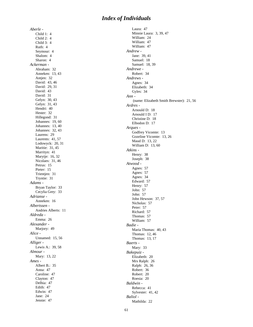# *Index of Individuals*

*Aberle -* Child 1: 4 Child 2: 4 Child 3: 4 Ruth: 4 Seymour: 4 Shalom: 4 Sharon: 4 *Ackerman -* Abraham: 32 Anneken: 13, 43 Antjen: 32 David: 43, 46 David: 29, 31 David: 43 David: 31 Gelyn: 30, 43 Gelyn: 31, 43 Hendri: 40 Hester: 32 Hillegond: 31 Johannes: 19, 60 Johannes: 13, 40 Johannes: 32, 43 Laurens: 29 Laurents: 41, 57 Lodowyck: 20, 31 Maritie: 31, 45 Marrityn: 41 Marytje: 16, 32 Nicolaes: 31, 46 Petrus: 15 Pieter: 15 Trientjen: 31 Tryntie: 31 *Adams -* Bryan Taylor: 33 Cecylia Grey: 33 *Adrianse -* Anneken: 16 *Albertssen -* Andries Alberts: 11 *Aldreda -* Emma: 26 *Alexander -* Marjory: 49 *Alice -* Unnamed: 15, 56 *Alliger -* Lewis A.: 39, 58 *Almour -* Mary: 13, 22 *Ames -* Albert B.: 35 Anna: 47 Caroline: 47 Clayton: 47 Delhia: 47 Edith: 47 Edwin: 47 Jane: 24 Jennie: 47

Laura: 47 Minnie Laura: 3, 39, 47 William: 24 William: 47 William: 47 *Andrew -* Jane: 39, 41 Samuel: 18 Samuel: 18, 39 *Andrewe -* Robert: 34 *Andrews -* Agnes: 34 Elizabeth: 34 Gyles: 34 *Ann -* (name: Elizabeth Smith Brewster): 21, 56 *Ardres -* Arnould D: 18 Arnould I D: 17 Christine D: 18 Elbodon D: 17 *Arques -* Godfrey Vicomte: 13 Gozeline Vicomte: 13, 26 Maud D: 13, 22 William D: 13, 60 *Atkins -* Henry: 38 Joseph: 38 *Atwood -* Agnes: 57 Agnes: 57 Agnes: 34 Edward: 57 Henry: 57 John: 57 John: 57 John Hewson: 37, 57 Nicholas: 57 Peter: 57 Richard: 57 Thomas: 57 William: 57 *Badie -* Maria Thomas: 40, 43 Thomas: 12, 46 Thomas: 13, 17 *Baerts -* Mary: 33 *Bakepuiz -* Elizabeth: 20 Mrs Ralph: 26 Ralph: 26, 36 Robert: 36 Robert: 20 Roesia: 20 *Baldwin -* Rebecca: 41 Sylvester: 41, 42 *Baliol -* Mathilda: 22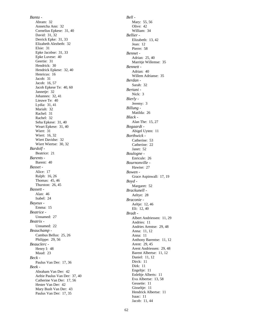*Banta -* Abram: 32 Annetcha Ann: 32 Cornelius Epkese: 31, 40 David: 31, 32 Derrick Epke: 31, 33 Elizabeth Alezbeth: 32 Elsie: 31 Epke Jacobse: 31, 33 Epke Luvese: 40 Geertie: 31 Hendrick: 30 Hendrick Epkese: 32, 40 Henricus: 16 Jacob: 31 Jacob: 16, 57 Jacob Epkese Te: 40, 60 Jannetje: 32 Johannes: 32, 41 Lieuwe Te: 40 Lydia: 31, 41 Mariah: 32 Rachel: 31 Rachel: 32 Seba Epkese: 31, 40 Weart Epkese: 31, 40 Wiert: 31 Wiert: 16, 32 Wiert Davidse: 32 Wiert Wiertse: 30, 32 *Bardolf -* Beatrice: 21 *Barents -* Barent: 40 *Basset -* Alice: 17 Ralph: 16, 26 Thomas: 45, 46 Thurston: 26, 45 *Bassett -* Alan: 46 Isabel: 24 *Bayeux -* Emma: 15 *Beatrice -* Unnamed: 27 *Beatrix -* Unnamed: 22 *Beauchamp -* Cambus Bellus: 25, 26 Philippe: 29, 56 *Beauclerc -* Henry I: 48 Maud: 23 *Beck -* Paulus Van Der: 17, 36 *Beek -* Abraham Van Der: 42 Aeltie Paulus Van Der: 37, 40 Catherine Van Der: 17, 56 Hester Van Der: 42 Mary Bush Van Der: 43 Paulus Van Der: 17, 35

*Bell -* Mary: 55, 56 Olive: 42 William: 34 *Bellier -* Elizabeth: 13, 42 Jean: 12 Pierre: 58 *Bennet -* Adrian: 25, 40 Marritje Willemse: 35 *Bennett -* Adrian: 40 Willem Adrianse: 35 *Berdan -* Sarah: 32 *Bertani -* Nick: 3 *Bierly -* Jeremy: 3 *Billung -* Matilda: 26 *Black -* Alan The: 15, 27 *Bogaardt -* Abigel Uyten: 11 *Borthwick -* Catherine: 53 Catherine: 22 Janet: 52 *Boulogne -* Enricule: 26 *Bournonville -* Hawise: 27 *Bowen -* Grace Aspinwall: 17, 19 *Boyd -* Margaret: 52 *Brackunell -* Aeltye: 28 *Braconie -* Aeltje: 12, 46 Eli: 12, 40 *Bradt -* Albert Andriessen: 11, 29 Andries: 11 Andries Arentse: 29, 48 Anna: 11, 12 Anna: 11 Anthony Barentse: 11, 12 Arent: 29, 45 Arent Andriessen: 29, 48 Barent Albertse: 11, 12 Daniel: 11, 12 Dirck: 11 Dirk: 11 Engeltje: 11 Enleltje Alberts: 11 Eva Albertse: 13, 58 Gessetie: 11 Gisseltje: 11 Hendrick Albertse: 11 Isaac: 11 Jacob: 11, 44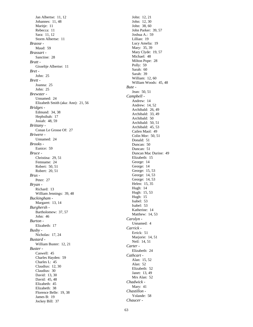Jan Albertse: 11, 12 Johannes: 11, 48 Maritje: 11 Rebecca: 11 Sara: 11, 12 Storm Albertse: 11 *Braose -* Maud: 59 *Brassart -* Sanctine: 28 *Bratt -* Gisseltje Albertse: 11 *Bret -* John: 25 *Brett -* Joanna: 25 John: 25 *Brewster -* Unnamed: 24 Elizabeth Smith (aka: Ann): 21, 56 *Bridges -* Edmund: 34, 38 Hephsibah: 17 Josiah: 48, 59 *Brittany -* Conan Le Grosse Of: 27 *Briwere -* Unnamed: 24 *Brooks -* Eunice: 59 *Bruce -* Christina: 29, 51 Femname: 24 Robert: 50, 51 Robert: 20, 51 *Brus -* Peter: 27 *Bryan -* Richard: 13 William Jennings: 39, 48 *Buckingham -* Margaret: 13, 14 *Burghersh -* Bartholomew: 37, 57 John: 46 *Burton -* Elizabeth: 17 *Busby -* Nicholas: 17, 24 *Bustard -* William Buster: 12, 21 *Buster -* Caswell: 45 Charles Hayden: 59 Charles L: 45 Claudius: 12, 30 Claudius: 30 David: 13, 30 David: 45, 48 Elizabeth: 45 Elizabeth: 38 Florence Belle: 19, 38 James B: 19 Jockey Bill: 37

John: 12, 21 John: 12, 30 John: 38, 60 John Parker: 39, 57 Joshua A.: 59 Lillian: 19 Lucy Amelia: 19 Mary: 35, 39 Mary Clyde: 19, 57 Michael: 48 Milton Pope: 28 Polly: 59 Sarah: 60 Sarah: 39 William: 12, 60 William Woods: 45, 48 *Bute -* Jean: 50, 51 *Campbell -* Andrew: 14 Andrew: 14, 52 Archibald: 26, 49 Archibald: 33, 49 Archibald: 50 Archibald: 50, 51 Archibald: 45, 53 Cailen Maol: 49 Colin Mor: 50, 51 Donald: 51 Duncan: 50 Duncan: 51 Duncan Mac Durine: 49 Elizabeth: 15 George: 14 George: 14 George: 15, 53 George: 14, 53 George: 14, 53 Helen: 15, 35 Hugh: 14 Hugh: 15, 53 Hugh: 15 Isabel: 53 Isabel: 53 Katherine: 14 Matthew: 14, 53 *Carolyn -* Unnamed: 4 *Carrick -* Errick: 51 Marjorie: 14, 51 Neil: 14, 51 *Carter -* Elizabeth: 24 *Cathcart -* Alan: 15, 52 Alan: 52 Elizabeth: 52 Janet: 13, 49 Mrs Alan: 52 *Chadwick -* Mary: 41 *Chastillon -* Yolande: 58 *Chaucer -*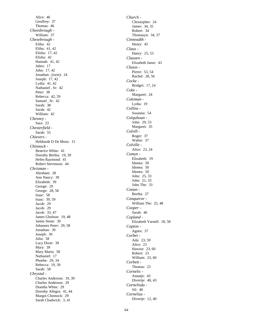Alice: 46 Geoffrey: 37 Thomas: 46 *Cheesbrough -* William: 37 *Chesebrough -* Elihu: 42 Elihu: 41, 42 Elisha: 17, 42 Elisha: 42 Hannah: 41, 42 Jabez: 17 John: 17, 42 Jonathan , (twin): 24 Joseph: 17, 42 Lydia: 41, 42 Nathaniel , Sr: 42 Peter: 38 Rebecca: 42, 59 Samuel , Sr: 42 Sarah: 38 Sarah: 42 William: 42 *Chesney -* Sara: 23 *Chesterfield -* Sarah: 55 *Chievers -* Heldiarde D De Mons: 15 *Chinnock -* Beatrice White: 41 Dorothy Bertha: 19, 39 Helen Raymond: 41 Robert Stevenson: 44 *Chrisman -* Abraham: 28 Ann Nancy: 39 Elizabeth: 39 George: 29 George: 28, 58 Isaac: 58 Isaac: 39, 59 Jacob: 29 Jacob: 29 Jacob: 33, 47 James Gholson: 19, 48 James Stone: 39 Johannes Peter: 29, 58 Jonathan: 39 Joseph: 39 Julia: 58 Lucy Dixie: 39 Mary: 39 Mary Maria: 58 Nathaniel: 17 Phoebe: 29, 34 Rebecca: 19, 39 Sarah: 58 *Chrystal -* Charles Anderson: 19, 39 Charles Anderson: 29 Diantha White: 29 Dorothy Allegra: 41, 44 Margot Chinnock: 29 Sarah Chadwick: 3, 41

*Church -* Christopher: 24 James: 34, 35 Robert: 34 Thomasyn: 34, 37 *Cinneadth -* Henry: 45 *Claus -* Hanry: 25, 53 *Clausen -* Elizabeth Janse: 43 *Clauss -* Pierre: 53, 54 Rachel: 28, 56 *Cocke -* Bridget: 17, 24 *Coke -* Margaret: 24 *Coleman -* Lydia: 19 *Collins -* Susanna: 54 *Colquhoun -* John: 29, 53 Margaret: 35 *Colvill -* Roger: 37 Walter: 37 *Colville -* Alice: 23, 24 *Comyn -* Elizabeth: 19 Idonea: 50 Idonea: 50 Idonea: 50 John: 25, 33 John: 21, 33 John The: 33 *Conan -* Bertha: 27 *Conqueror -* William The: 25, 48 *Cooper -* Sarah: 46 *Copland -* Elizabeth Yarnell: 18, 58 *Copton -* Agnes: 37 *Corbet -* Ada: 23, 59 Alice: 23 Hawise: 23, 60 Robert: 23 William: 23, 60 *Corbett -* Thomas: 23 *Cornelis -* Annatje: 43 Divertje: 40, 43 *Cornelisda -* Sil: 40 *Cornelius -* Divertje: 12, 40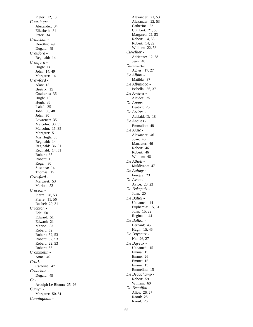Pieter: 12, 13 *Courthope -* Alexander: 34 Elizabeth: 34 Peter: 34 *Crauchan -* Dorothy: 49 Dugald: 49 *Crauford -* Reginald: 14 *Craufurd -* Hugh: 14 John: 14, 49 Margaret: 14 *Crawford -* Alan: 13 Beatrix: 15 Gualterus: 36 Hugh: 13 Hugh: 35 Isabel: 35 John: 36, 48 John: 30 Lawrence: 35 Malcolm: 30, 53 Malcolm: 15, 35 Margaret: 51 Mrs Hugh: 36 Reginald: 14 Reginald: 36, 51 Reginald: 14, 51 Robert: 35 Robert: 15 Roger: 30 Susanna: 14 Thomas: 15 *Crawfurd -* Margaret: 53 Marion: 53 *Cresson -* Pierre: 28, 53 Pierre: 11, 56 Rachel: 20, 31 *Crichton -* Eda: 50 Edward: 51 Edward: 21 Marion: 53 Robert: 52 Robert: 52, 53 Robert: 52, 53 Robert: 22, 53 Robert: 53 *Crommelin -* Anne: 40 *Crork -* Caroline: 47 *Cruachan -* Dugald: 49 *Ct -* Ardolph Le Blount: 25, 26 *Cumyn -* Margaret: 50, 51 *Cunningham -*

Alexander: 21, 53 Alexander: 22, 53 Catherine: 22 Cuthbert: 21, 53 Margaret: 22, 53 Robert: 14, 53 Robert: 14, 22 William: 22, 53 *Cuvellier -* Adrienne: 12, 58 Jean: 40 *Dammartin -* Agnes: 17, 27 *De Albini -* Matilda: 37 *De Albiniaco -* Isabella: 36, 37 *De Amiens -* Alaides: 25 *De Angus -* Beatrix: 25 *De Ardres -* Adelaide D: 18 *De Arques -* Emmaline: 48 *De Arsic -* Alexander: 46 Joan: 46 Manasser: 46 Robert: 46 Robert: 46 William: 46 *De Atholl -* Muldivana: 47 *De Aulney -* Fouque: 23 *De Avenel -* Avice: 20, 23 *De Bakepuiz -* John: 20 *De Baliol -* Unnamed: 44 Euphemia: 15, 51 John: 15, 22 Reginald: 44 *De Balliol -* Bernard: 45 Hugh: 15, 45 *De Bayeaux -* Nn: 26, 27 *De Bayeux -* Unnamed: 15 Emma: 15 Emme: 26 Emme: 15 Emme: 15 Emmeline: 15 *De Beauchamp -* Robert: 59 William: 60 *De Beauffou -* Alice: 26, 27 Raoul: 25 Raoul: 26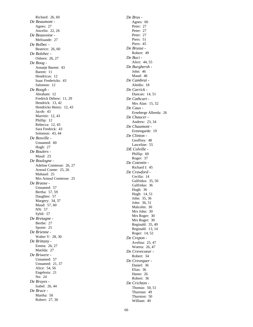Richard: 26, 60 *De Beaumont -* Agnes: 27 Ancelin: 22, 26 *De Beauvoise -* Melisande: 27 *De Bolbec -* Beatrice: 26, 60 *De Bolebec -* Osbern: 26, 27 *De Boog -* Annatje Barent: 43 Barent: 11 Hendricus: 12 Isaac Fredericks: 43 Salomon: 12 *De Boogh -* Abraham: 12 Fredrick Debow: 11, 29 Hendrick: 13, 42 Hendricks Henry: 12, 43 Jacob: 43 Marritie: 12, 43 Phillip: 12 Rebecca: 12, 43 Sara Fredrick: 43 Solomon: 43, 44 *De Bosville -* Unnamed: 60 Hugh: 27 *De Boulers -* Maud: 23 *De Boulogne -* Adeline Comtesse: 26, 27 Arnoul Comte: 25, 26 Mahaud: 25 Mrs Arnoul Comtesse: 25 *De Braose -* Unnamed: 57 Bertha: 57, 59 Daughter: 57 Margery: 34, 37 Maud: 57, 60 NN: 57 Sybil: 57 *De Bretagne -* Berthe: 27 Sporte: 25 *De Brienne -* Walter V: 28, 30 *De Brittany -* Emma: 26, 27 Matilda: 27 *De Briwere -* Unnamed: 57 Unnamed: 21, 37 Alice: 54, 56 Engelesia: 21 Nn: 24 *De Broyes -* Isabel: 26, 44 *De Bruce -* Martha: 50 Robert: 27, 36

*De Brus -* Agnes: 60 Peter: 27 Peter: 27 Peter: 27 Piers: 51 Piers: 45 *De Brusse -* Robert: 49 *De Buci -* Alice: 44, 55 *De Burghersh -* John: 46 Maud: 46 *De Cambrai -* Aleïdis: 18 *De Carrick -* Duncan: 14, 51 *De Cathcart -* Mrs Alan: 15, 52 *De Caux -* Erneberge Albreda: 26 *De Chaucer -* Andrew: 23, 34 *De Chaumont -* Ermengarde: 19 *De Clinton -* Geoffrey: 48 Lasceline: 55 *DE Colville -* Phillip: 60 Roger: 37 *De Cotentin -* Richard I: 45 *De Crawford -* Cecilia: 14 Galfridus: 35, 50 Galfridus: 36 Hugh: 36 Hugh: 14, 51 John: 35, 36 John: 36, 51 Malcolm: 30 Mrs John: 30 Mrs Roger: 30 Mrs Roger: 30 Reginald: 35, 49 Reginald: 13, 14 Roger: 14, 52 *De Crepon -* Avelina: 25, 47 Woerta: 26, 47 *De Crevecoeur -* Robert: 34 *De Crevequer -* Daniel: 36 Elias: 36 Hamo: 26 Robert: 36 *De Crichton -* Thomas: 50, 51 Thurstan: 49 Thurston: 50 William: 49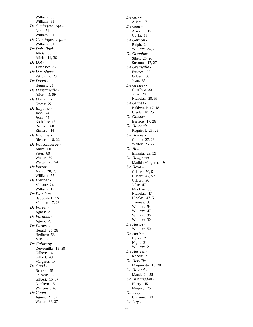William: 50 William: 51 *De Cuningesburgh -* Lora: 51 William: 51 *De Cunningesburgh -* William: 51 *De Dalsallock -* Alicia: 36 Alicia: 14, 36 *De Dol -* Tittensor: 26 *De Doreslowe -* Petronilla: 23 *De Douai -* Hugues: 21 *De Dunstanville -* Alice: 45, 59 *De Durham -* Emma: 22 *De Engaine -* John: 44 John: 44 Nicholas: 18 Richard: 60 Richard: 44 *De Enqaine -* Richard: 18, 22 *De Faucomberge -* Anice: 60 Peter: 60 Walter: 60 Walter: 23, 54 *De Ferrers -* Maud: 20, 23 William: 55 *De Fiennes -* Mahaut: 24 William: 17 *De Flanders -* Baudouin I: 15 Matilda: 17, 26 *De Forest -* Agnes: 28 *De Fortibus -* Agnes: 23 *De Furnes -* Herald: 25, 26 Heribert: 58 Mlle: 58 *De Galloway -* Dervorgilla: 15, 50 Gilbert: 14 Gilbert: 49 Margaret: 14 *De Gand -* Beatrix: 25 Folcard: 15 Gilbert: 15, 37 Lambert: 15 Wenemar: 40 *De Gaunt -* Agnes: 22, 37 Walter: 36, 37

*De Gay -* Aline: 17 *De Gent -* Arnould: 15 Geyla: 15 *De Gernon -* Ralph: 24 William: 24, 25 *De Gramines -* Siher: 25, 26 Susanne: 17, 27 *De Greinville -* Eustace: 36 Gilbert: 36 Joan: 36 *De Gresley -* Geoffrey: 20 John: 20 Nicholas: 20, 55 *De Guines -* Baldwin I: 17, 18 Gisele: 18, 25 *De Guisnes -* Eustace: 17, 26 *De Hainault -* Regnier I: 25, 29 *De Hames -* Guiote: 27, 28 Walter: 25, 27 *De Hanham -* Ismania: 29, 59 *De Haughton -* Matilda Margaret: 19 *De Haya -* Gilbert: 50, 51 Gilbert: 47, 52 Gilbert: 30 John: 47 Mrs Eva: 50 Nicholas: 47 Nicolas: 47, 51 Thomas: 30 William: 54 William: 47 William: 30 William: 30 *De Heriez -* William: 50 *De Heriz -* Henry: 21 Nigel: 21 William: 21 *De Herries -* Robert: 21 *De Herville -* Marguerite: 16, 28 *De Holand -* Maud: 24, 55 *De Huntingdon -* Henry: 45 Marjory: 25 *De Islay -* Unnamed: 23 *De Ivry -*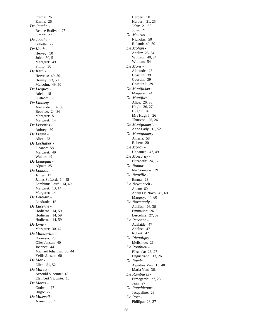Emma: 26 Emma: 26 *De Jauche -* Reniee Bodival: 27 Simon: 27 *De Jouche -* Gillette: 27 *De Keith -* Hervey: 50 John: 50, 51 Margaret: 49 Philip: 50 *De Keth -* Herveus: 49, 50 Hervey: 23, 50 Malcolm: 49, 50 *De Licques -* Adele: 18 Eustace: 17 *De Lindsay -* Alexander: 14, 36 Beatrice: 24, 36 Margaret: 51 Margaret: 14 *De Lisoures -* Aubrey: 60 *De Lisure -* Alice: 23 *De Lochaber -* Fleance: 58 Margaret: 49 Walter: 49 *De Lomegau -* Alpaïs: 25 *De Loudoun -* James: 13 James St Lord: 14, 45 Lambinus Laird: 14, 49 Margaret: 13, 14 Margaret: 14 *De Louvain -* Landrade: 15 *De Lucerne -* Hodierne: 14, 59 Hodierne: 14, 59 Hodierne: 14, 59 *De Lyne -* Margaret: 30, 47 *De Mandeville -* Dionysia: 23 Giles Jansen: 40 Joannes: 44 Michael Johannis: 36, 44 Yellis Jansen: 60 *De Mar -* Ellen: 51, 52 *De Marcq -* Arnould Vicomte: 18 Elembert Vicomte: 18 *De Mares -* Godwin: 27 Hugo: 27 *De Maxwell -* Aymer: 50, 51

68

Herbert: 50 Herbert: 21, 25 John: 21, 50 John: 21 *De Mearns -* Nicholas: 50 Roland: 49, 50 *De Mohun -* Adeliz: 23, 54 William: 48, 54 William: 54 *De Mons -* Alberade: 25 Gossuin: 39 Gossuin: 39 Gossuin I: 39 *De Montfichet -* Margaret: 24 *De Montfort -* Alice: 26, 36 Hugh: 26, 27 Hugh I: 26 Mrs Hugh I: 26 Thurston: 25, 26 *De Montgomerie -* Anne Lady: 13, 52 *De Montgomery -* Ameria: 58 Robert: 20 *De Moray -* Unnamed: 47, 49 *De Mowbray -* Elizabeth: 24, 37 *De Namur -* Ida Countess: 39 *De Neuville -* Emma: 28 *De Newmarch -* Adam: 60 Adam De Novo: 47, 60 Margery: 44, 60 *De Normandy -* Adeliza: 26, 36 Emmaline: 26 Lesceline: 27, 59 *De Peronne -* Adelaide: 47 Adelise: 47 Robert: 47 *De Picquigny -* Melisinde: 21 *De Ponthieu -* Elisenda: 26, 27 Enguerrand: 13, 26 *De Raede -* Aegidius Van: 15, 40 Maria Van: 36, 44 *De Rambures -* Ermegarde: 27, 28 Jean: 27 *De Ranchicourt -* Jacqueline: 28 *De Roet -* Phillipa: 28, 37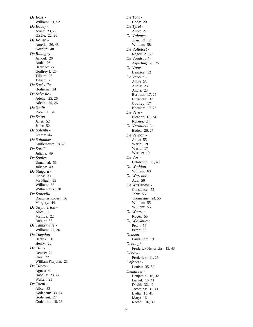*De Ross -* William: 51, 52 *De Roucy -* Avise: 23, 26 Gisèle: 22, 26 *De Rouen -* Amelie: 26, 48 Gozelin: 48 *De Rumigny -* Arnoul: 26 Aude: 26 Beatrice: 27 Godfrey I: 25 Tilbert: 25 Tilbert: 25 *De Sackville -* Hodierna: 24 *De Selvesle -* Adelle: 25, 26 Adelle: 25, 26 *De Senlis -* Robert I: 54 *De Seton -* Janet: 52 Janet: 52 *De Solenbi -* Emma: 46 *De Solomnes -* Guillemette: 18, 28 *De Sordis -* Juliana: 49 *De Soules -* Unnamed: 51 Juliana: 49 *De Stafford -* Elena: 20 Ms Nigel: 55 William: 55 William Fitz: 20 *De Stuteville -* Daughter Robert: 36 Margery: 44 *De Swynnerton -* Alice: 55 Matilda: 22 Robert: 55 *De Tankerville -* William: 27, 36 *De Theydon -* Beatrix: 20 Henry: 20 *De Tilli -* Denise: 23 Otes: 27 William Fitzjohn: 23 *De Tilney -* Agnes: 44 Isabella: 23, 24 Walter: 23 *De Toeni -* Alice: 33 Godeheut: 33, 54 Godeheut: 27 Godehold: 18, 23

*De Toni -* Goda: 20 *De Tyrel -* Alice: 27 *De Valence -* Joan: 24, 33 William: 58 *De Valletort -* Roger: 21, 23 *De Vaudreuil -* Asperling: 23, 25 *De Vaux -* Beatrice: 52 *De Verdun -* Alice: 23 Alicia: 23 Alicia: 23 Bertram: 17, 25 Elizabeth: 37 Godfrey: 17 Norman: 17, 25 *De Vere -* Eleanor: 18, 24 Rohese: 24 *De Vermandois -* Eudes: 26, 27 *De Vernon -* Auda: 55 Warin: 19 Warin: 17 Warine: 19 *De Vos -* Catalyntje: 11, 48 *De Waddon -* William: 60 *De Warenne -* Ada: 56 *De Wasteneys -* Constance: 55 John: 55 Thomasine: 24, 55 William: 55 William: 55 *De Waure -* Roger: 55 *De Wyckhurst -* Peter: 56 Peter: 56 *Deason -* Laura Lee: 19 *Deboogh -* Frederick Hendricks: 13, 43 *Debow -* Frederick: 11, 29 *Deforest -* Louisa: 35, 59 *Demarest -* Benjamin: 16, 32 Daniel: 16, 41 David: 32, 42 Jacomina: 31, 41 Lydia: 16, 41 Mary: 16 Rachel: 16, 30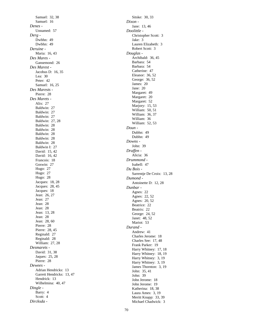Samuel: 32, 38 Samuel: 16 *Denes -* Unnamed: 57 *Derg -* Dwbhn: 49 Dwbhn: 49 *Deruine -* Maria: 16, 43 *Des Mares -* Gansemond: 26 *Des Marest -* Jacobus D: 16, 35 Lea: 30 Peter: 42 Samuel: 16, 25 *Des Marests -* Pierre: 28 *Des Marets -* Alix: 27 Baldwin: 27 Baldwin: 27 Baldwin: 27 Baldwin: 27, 28 Baldwin: 28 Baldwin: 28 Baldwin: 28 Baldwin: 28 Baldwin: 28 Baldwin I: 27 David: 15, 42 David: 16, 42 Francois: 18 Goswin: 27 Hugo: 27 Hugo: 27 Hugo: 28 Jacques: 18, 28 Jacques: 28, 45 Jacques: 18 Jean: 26, 27 Jean: 27 Jean: 28 Jean: 28 Jean: 13, 28 Jean: 28 Jean: 28, 60 Pierre: 28 Pierre: 28, 45 Reginald: 27 Reginald: 28 William: 27, 28 *Desmarets -* David: 31, 38 Jaques: 25, 28 Pierre: 28 *Dewees -* Adrian Hendricks: 13 Garrett Hendricks: 13, 47 Hendrick: 13 Wilhelmina: 40, 47 *Dingle -* Barry: 4 Scott: 4 *Dircksda -*

Sitske: 30, 33 *Dixon -* Jane: 13, 46 *Doolittle -* Christopher Scott: 3 Jake: 3 Lauren Elizabeth: 3 Robert Scott: 3 *Douglas -* Archibald: 36, 45 Barbara: 54 Barbara: 54 Catherine: 47 Eleanor: 36, 52 George: 36, 52 James: 20 Jane: 20 Margaret: 49 Margaret: 20 Margaret: 52 Marjory: 15, 53 William: 50, 51 William: 36, 37 William: 36 William: 52, 53 *Doun -* Dubhn: 49 Dubhn: 49 *Downs -* John: 39 *Draffen -* Alicia: 36 *Drummond -* Isabell: 47 *Du Bois -* Sarrentje De Croix: 13, 28 *Dumond -* Antoinette D: 12, 28 *Dunbar -* Agnes: 22 Agnes: 22, 52 Agnes: 20, 52 Beatrice: 22 Beatrix: 22 George: 24, 52 Janet: 48, 52 Mariot: 53 *Durand -* Andrew: 41 Charles Jerome: 18 Charles See: 17, 48 Frank Parker: 19 Harry Whitney: 17, 18 Harry Whitney: 18, 19 Harry Whitney: 3, 19 Harry Whitney: 3, 19 James Thornton: 3, 19 John: 35, 41 John: 39 John Jerome: 18 John Jerome: 19 Katherina: 18, 38 Laura Ames: 3, 19 Meritt Knapp: 33, 39 Michael Chadwick: 3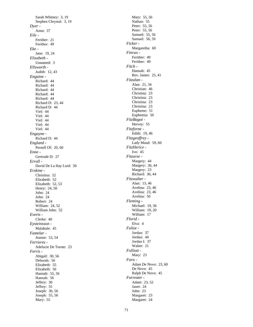Sarah Whitney: 3, 19 Stephen Chrystal: 3, 19 *Dyer -* Anna: 37 *Eile -* Ferither: 21 Ferither: 49 *Eke -* Jane: 19, 24 *Elizabeth -* Unnamed: 3 *Ellsworth -* Judith: 12, 43 *Engaine -* Richard: 44 Richard: 44 Richard: 44 Richard: 44 Richard: 44 Richard D: 23, 44 Richard D: 44 Viel: 44 Viel: 44 Viel: 44 Viel: 44 Viel: 44 *Engayne -* Richard D: 44 *England -* Pernell Of: 20, 60 *Enne -* Gertrude D: 27 *Erroll -* David De La Hay Lord: 50 *Erskine -* Christina: 52 Elizabeth: 52 Elizabeth: 52, 53 Henry: 24, 50 John: 24 John: 24 Robert: 24 William: 24, 52 William John: 52 *Everts -* Clerke: 40 *Eysteinsson -* Malahule: 45 *Famelar -* Jeanne: 53, 54 *Ferrieres -* Adelucie De Torote: 23 *Ferris -* Abigail: 30, 56 Deborah: 56 Elizabeth: 55 Elizabeth: 56 Hannah: 55, 56 Hannah: 56 Jeffery: 30 Jeffrey: 55 Joseph: 30, 56 Joseph: 55, 56 Mary: 55

Mary: 55, 56 Nathan: 55 Peter: 55, 56 Peter: 55, 56 Samuel: 55, 56 Samuel: 56, 59 *Ficker -* Margaretha: 60 *Finruo -* Ferither: 49 Ferither: 49 *Fitch -* Hannah: 45 Rev. James: 25, 41 *Fitzalan -* Alan: 21, 34 Christian: 46 Christina: 23 Christina: 23 Christina: 23 Christina: 23 Eupheme: 51 Euphemia: 50 *FitzBagot -* Hervey: 55 *Fitzforne -* Edith: 19, 46 *Fitzgeoffrey -* Lady Maud: 59, 60 *FitzHerice -* Ivo: 45 *Fitzurse -* Margery: 44 Margery: 36, 44 Margery: 23 Richard: 36, 44 *Fitzwalter -* Alan: 13, 46 Avelina: 23, 46 Avelina: 23, 46 Avelina: 50 *Fleming -* Michael: 19, 36 William: 19, 20 William: 17 *Florid -* Elva: 4 *Foliot -* Jordan: 37 Jordan: 44 Jordan I: 37 Walter: 21 *Folliott -* Mary: 23 *Foro -* Adam De Novo: 23, 60 De Novo: 45 Ralph De Novo: 45 *Forrester -* Adam: 23, 52 Janet: 24 John: 23 Margaret: 23 Margaret: 24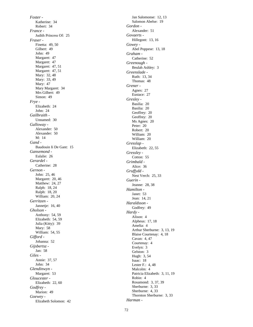*Foster -* Katherine: 34 Robert: 34 *France -* Judith Princess Of: 25 *Fraser -* Finetta: 49, 50 Gilbert: 49 John: 49 Margaret: 47 Margaret: 47 Margaret: 47, 51 Margaret: 47, 51 Mary: 32, 48 Mary: 33, 49 Mary: 47 Mary Margaret: 34 Mrs Gilbert: 49 Simon: 49 *Frye -* Elizabeth: 24 John: 24 *Gailbraith -* Unnamed: 30 *Galloway -* Alexander: 50 Alexander: 50 M: 14 *Gand -* Baudouin Ii De Gant: 15 *Gansemond -* Eulalie: 26 *Gerardel -* Catherine: 28 *Gernon -* John: 25, 46 Margaret: 20, 46 Matthew: 24, 27 Ralph: 18, 24 Ralph: 18, 20 William: 20, 24 *Gerritzen -* Jannetje: 16, 40 *Gholson -* Anthony: 54, 59 Elizabeth: 54, 59 Julia (Kitty): 39 Mary: 58 William: 54, 55 *Gifford -* Johanna: 52 *Gijsbertsz -* Jan: 58 *Giles -* Annie: 37, 57 John: 34 *Glendinwyn -* Margaret: 53 *Gloucester -* Elizabeth: 22, 60 *Godfrey -* Marion: 49 *Goewey -* Elizabeth Solomon: 42

Jan Salomonse: 12, 13 Salomon Abelse: 19 *Gordon -* Alexander: 51 *Govaerts -* Hillegont: 13, 16 *Gowey -* Abel Poppese: 13, 18 *Graham -* Catherine: 52 *Greenough -* Beulah Ashley: 3 *Greenslade -* Ruth: 13, 34 Thomas: 48 *Grener -* Agnes: 27 Eustace: 27 *Gresley -* Basilia: 20 Basilia: 20 Geoffrey: 20 Geoffrey: 20 Ms Agnes: 20 Peter: 20 Robert: 20 William: 20 William: 20 *Gresslap -* Elizabeth: 22, 55 *Gressley -* Cotton: 55 *Grimbald -* Alice: 36 *Gruffydd -* Nest Verch: 25, 33 *Guerin -* Jeanne: 28, 38 *Hamilton -* Janet: 53 Jean: 14, 21 *Haraldsson -* Godfrey: 49 *Hardy -* Alison: 4 Alpheus: 17, 18 Amelia: 4 Arthur Sherburne: 3, 13, 19 Blaise Courtenay: 4, 18 Cavan: 4, 47 Courtenay: 4 Evelyn: 3 Gelston: 3 Hugh: 3, 54 Isaac: 18 Lester F.: 4, 48 Malcolm: 4 Patricia Elizabeth: 3, 11, 19 Robin: 4 Rosamond: 3, 37, 39 Sherburne: 3, 33 Sherburne: 4, 33 Thornton Sherburne: 3, 33 *Harman -*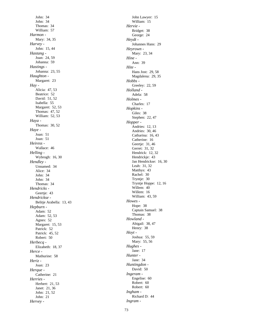John: 34 John: 34 Thomas: 34 William: 57 *Harmon -* Mary: 34, 35 *Harvey -* John: 15, 44 *Hastang -* Joan: 24, 59 Johanna: 59 *Hastings -* Johanna: 23, 55 *Haughton -* Margaret: 23 *Hay -* Alicia: 47, 53 Beatrice: 52 David: 51, 52 Isabella: 55 Margaret: 52, 53 Thomas: 47, 52 William: 52, 53 *Haya -* Thomas: 30, 52 *Haye -* Joan: 51 Joan: 51 *Heiress -* Wallace: 46 *Helling -* Wybrogh: 16, 30 *Hendley -* Unnamed: 34 Alice: 34 John: 34 John: 34 Thomas: 34 *Hendricks -* Geertje: 43 *Hendrickse -* Belitje Arabella: 13, 43 *Hepburn -* Adam: 52 Adam: 52, 53 Agnes: 52 Margaret: 15, 53 Patrick: 52 Patrick: 45, 52 Robert: 50 *Herbecq -* Elizabeth: 18, 37 *Herce -* Mathurine: 58 *Heriz -* Joan: 23 *Herque -* Catherine: 21 *Herries -* Herbert: 21, 53 Janet: 21, 36 John: 21, 52 John: 21 *Hervey -*

John Lawyer: 15 William: 15 *Hervie -* Bridget: 38 George: 24 *Heydt -* Johannes Hans: 29 *Heyrown -* Mary: 23, 34 *Hine -* Ann: 39 *Hite -* Hans Jost: 29, 58 Magdalena: 29, 35 *Hobbs -* Greeley: 22, 59 *Holland -* Adela: 58 *Holmes -* Charles: 17 *Hopkins -* Giles: 38 Stephen: 22, 47 *Hopper -* Andries: 12, 13 Andries: 30, 46 Catharina: 16, 43 Catherine: 16 Geertje: 31, 46 Gerret: 31, 32 Hendrick: 12, 32 Hendrickje: 43 Jan Hendrickse: 16, 30 Leah: 31, 32 Matthys: 43 Rachel: 30 Tryntje: 30 Tryntje Hoppe: 12, 16 Willem: 40 Willem: 16 William: 43, 59 *Howes -* Hope: 38 Captain Samuel: 38 Thomas: 38 *Howland -* Abigail: 38, 47 Henry: 38 *Hoyt -* Joshua: 55, 59 Mary: 55, 56 *Hughes -* Jane: 17 *Hunter -* Jane: 34 *Huntingdon -* David: 50 *Ingeram -* Engelise: 60 Robert: 60 Robert: 60 *Ingham -* Richard D: 44 *Ingram -*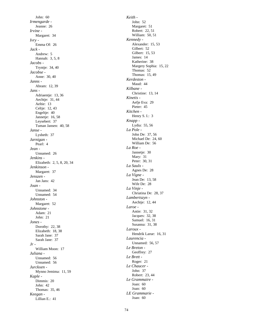John: 60 *Irmengarde -* Jeanne: 26 *Irvine -* Margaret: 34 *Ivry -* Emma Of: 26 *Jack -* Andrew: 5 Hannah: 3, 5, 8 *Jacobs -* Tryntje: 34, 40 *Jacobse -* Anne: 30, 40 *Janns -* Abram: 12, 39 *Jans -* Adriaentje: 13, 36 Aechtje: 31, 44 Aeltie: 13 Celtje: 12, 43 Engeltje: 40 Jannetje: 16, 58 Leysebert: 37 Tuman Jansen: 40, 58 *Janse -* Lysbeth: 37 *Jarnigan -* Pearl: 4 *Jean -* Unnamed: 26 *Jenkins -* Elizabeth: 2, 5, 8, 20, 34 *Jenkinson -* Margaret: 37 *Jenszen -* Jan Jans: 42 *Joan -* Unnamed: 34 Unnamed: 54 *Johnston -* Margaret: 52 *Johnstone -* Adam: 21 John: 21 *Jones -* Dorothy: 22, 38 Elizabeth: 18, 38 Sarah Jane: 37 Sarah Jane: 37 *Jr -* William Moon: 17 *Juliana -* Unnamed: 56 Unnamed: 56 *Jurckxen -* Mynno Jemima: 11, 59 *Kaple -* Dimmis: 20 John: 42 Thomas: 35, 46 *Keegan -* Lillian E.: 41

*Keith -* John: 52 Margaret: 51 Robert: 22, 51 William: 50, 51 *Kennedy -* Alexander: 15, 53 Gilbert: 52 Gilbert: 15, 53 James: 14 Katherine: 38 Margery Sophia: 15, 22 Thomas: 52 Thomas: 15, 49 *Kerdeston -* Maud: 44 *Kilbane -* Christine: 13, 14 *Kinetis -* Aefje Eva: 29 Pieter: 45 *Kitchen -* Henry S. I.: 3 *Knapp -* Lydia: 55, 56 *La Pole -* John De: 37, 56 Michael De: 24, 60 William De: 56 *La Roe -* Jannetje: 30 Mary: 31 Peter: 30, 31 *La Saulx -* Agnes De: 28 *La Vigne -* Jean De: 13, 58 Wife De: 28 *La Vinje -* Chriatina De: 28, 37 *Lambertszyn -* Aechtje: 12, 44 *Laroe -* Antie: 31, 32 Jacques: 32, 38 Samuel: 16, 31 Susanna: 31, 38 *Laroux -* Hendrik Larue: 16, 31 *Laurencia -* Unnamed: 56, 57 *Le Breton -* Geoffrey: 27 *Le Brett -* Roger: 21 *Le Chaucer -* John: 37 Robert: 23, 44 *Le Grammaire -* Joan: 60 Joan: 60 *LE Grammarie -* Joan: 60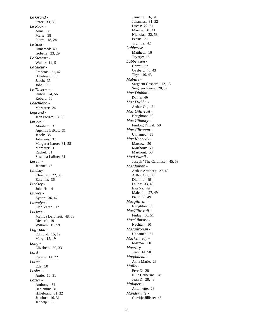*Le Grand -* Peter: 33, 36 *Le Roux -* Anne: 38 Marie: 38 Pierre: 18, 24 *Le Scot -* Unnamed: 49 Isobella: 23, 29 *Le Stewart -* Walter: 14, 51 *Le Sueur -* Francois: 21, 42 Hillebrandt: 35 Jacob: 35 John: 35 *Le Taverner -* Dulcia: 24, 56 Robert: 56 *Leachland -* Margaret: 24 *Legrand -* Jean Pierre: 13, 30 *Leroux -* Abraham: 31 Agenitie LaRue: 31 Jacob: 38 Johannes: 31 Margaret Laroe: 31, 58 Marqaret: 31 Rachel: 31 Susanna LaRue: 31 *Leseur -* Jeanne: 43 *Lindsay -* Christian: 22, 33 Eufemia: 36 *Lindsey -* John H: 14 *Liuwes -* Zytian: 36, 47 *Llewelyn -* Elen Verch: 17 *Lockett -* Matilda Deforrest: 48, 58 Richard: 19 William: 19, 59 *Logwood -* Edmund: 15, 19 Mary: 15, 19 *Long -* Elizabeth: 30, 33 *Lord -* Fergus: 14, 22 *Lorens -* Eda: 50 *Losier -* Antie: 16, 31 *Lozier -* Anthony: 31 Benjamin: 31 Hillebrant: 31, 32 Jacobus: 16, 31 Jannetje: 35

Jannetje: 16, 31 Johannes: 31, 32 Lucas: 22, 31 Maritie: 31, 41 Nicholas: 32, 58 Petrus: 31 Tryrntie: 42 *Lubbertse -* Matthew: 16 Tryntje: 16 *Lubbertsen -* Gerret: 37 Gysbert: 40, 43 Thys: 40, 43 *Mabille -* Sargaent Gaspard: 12, 13 Seigneur Pierre: 28, 39 *Mac Diubhn -* Duina: 49 *Mac Dwbhn -* Arthur Oig: 21 *Mac Gillivrail -* Naughton: 50 *Mac Gilmory -* Findoig Finval: 50 *Mac Gilronan -* Unnamed: 51 *Mac Kennedy -* Marcow: 50 Marthout: 50 Marthout: 50 *MacDowall -* Joseph "The Calvinist": 45, 53 *Macduibhn -* Arthur Armberg: 27, 49 Arthur Oig: 21 Diarmid: 49 Duina: 33, 49 Eva Na: 49 Malcolm: 27, 49 Paul: 33, 49 *Macgillivail -* Naughton: 50 *MacGillivrail -* Finlay: 50, 51 *MacGilmory -* Nachtan: 50 *Macgilronan -* Unnamed: 51 *Mackennedy -* Macrow: 50 *Macrory -* Jean: 14, 50 *Magdalena -* Anna Marie: 29 *Mailly -* Fere D: 28 Il Le Catherine: 28 Jean D: 28, 48 *Malapert -* Antoinette: 28 *Manderville -* Gerritje Jillisae: 43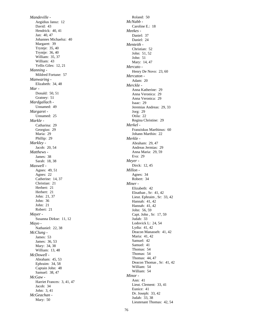*Mandeville -* Aegidius Jansz: 12 David: 43 Hendrick: 40, 41 Jan: 40, 47 Johannes Michaelsz: 40 Margaret: 39 Tryntje: 35, 40 Tryntje: 36, 40 William: 35, 37 William: 43 Yellis Giles: 12, 21 *Manning -* Mildred Fortune: 57 *Manwaring -* Elizabeth: 34, 48 *Mar -* Donald: 50, 51 Gratney: 51 *Mardgallach -* Unnamed: 49 *Margaret -* Unnamed: 25 *Markle -* Catharina: 29 Georgius: 29 Maria: 29 Phillip: 29 *Markley -* Jacob: 20, 54 *Matthews -* James: 38 Sarah: 18, 38 *Maxwell -* Agnes: 49, 51 Agnes: 22 Catherine: 14, 37 Christian: 21 Herbert: 21 Herbert: 21 John: 21, 37 John: 36 John: 21 Robert: 21 *Mayer -* Susanna Dirkse: 11, 12 *Mayo -* Nathaniel: 22, 38 *McClung -* James: 53 James: 36, 53 Mary: 34, 38 William: 13, 48 *McDowell -* Abraham: 45, 53 Ephraim: 34, 58 Captain John: 48 Samuel: 38, 47 *McGaw -* Harriet Frances: 3, 41, 47 Jacob: 34 John: 3, 41 *McGeachan -* Mary: 50

Roland: 50 *McNabb -* Caroline E.: 18 *Meekes -* Daniel: 37 Daniel: 24 *Menteith -* Christian: 52 John: 51, 52 John: 51 Mary: 14, 47 *Mercato -* Henry De Novo: 23, 60 *Mercaton -* Adam: 20 *Merckle -* Anna Katherine: 29 Anna Veronica: 29 Anna Veronica: 29 Isaac: 29 Jeremias Andreas: 29, 33 Jorg: 29 Otila: 22 Regina Christine: 29 *Merkel -* Franziskus Marthinus: 60 Johann Marthin: 22 *Merkle -* Abraham: 29, 47 Andreas Jermias: 29 Anna Maria: 29, 59 Eva: 29 *Meyer -* Dirck: 12, 45 *Millon -* Agnes: 34 Robert: 34 *Miner -* Elizabeth: 42 Elnathan , Sr: 41, 42 Lieut. Ephraim , Sr: 33, 42 Hannah: 41, 42 Hannah: 41, 42 John: 56, 59 Capt. John , Sr: 17, 59 Judah: 33 Lodovick L: 24, 54 Lydia: 41, 42 Deacon Manasseh: 41, 42 Maria: 41, 42 Samuel: 42 Samuel: 41 Thomas: 54 Thomas: 54 Thomas: 44, 47 Deacon Thomas , Sr: 41, 42 William: 54 William: 54 *Minor -* Ann: 41 Lieut. Clement: 33, 41 Eunice: 41 Dr. Joseph: 33, 42 Judah: 33, 38

Lieutenant Thomas: 42, 54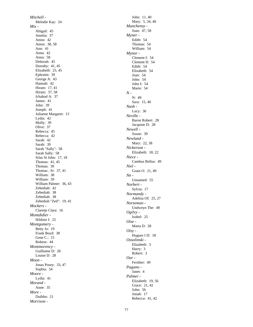*Mitchell -* Melodie Kay: 24 *Mix -* Abigail: 45 Amelia: 37 Amos: 42 Amos: 38, 58 Ann: 41 Anna: 42 Anna: 58 Deborah: 45 Dorothy: 41, 45 Elizabeth: 25, 45 Ephraim: 39 George A: 43 Hannah: 42 Hiram: 17, 41 Hiram: 37, 58 Ichabod A: 37 James: 41 John: 39 Joseph: 41 Julianne Margaret: 13 Lydia: 42 Molly: 39 Olive: 37 Rebecca: 45 Rebecca: 42 Sarah: 42 Sarah: 39 Sarah "Sally": 58 Sarah Sally: 58 Silas St John: 17, 18 Thomas: 41, 45 Thomas: 39 Thomas , Sr: 37, 41 William: 38 William: 39 William Palmer: 36, 43 Zebediah: 42 Zebediah: 38 Zebediah: 38 Zebediah "Zed": 19, 41 *Mockers -* Claretje Clara: 16 *Montdidier -* Hildoin I: 25 *Montgomery -* Betty Jo: 19 Frank Boyd: 38 Gene C.: 15 Rohese: 44 *Montmorency -* Guilliame D: 28 Louise D: 28 *Moon -* Jonas Posey: 33, 47 Sophia: 54 *Moore -* Lydia: 41 *Morand -* Anne: 35 *More -* Duibhn: 21 *Morrison -*

John: 11, 40 Mary: 5, 34, 40 *Munchensy -* Joan: 47, 58 *Myner -* Edith: 54 Thomas: 54 William: 54 *Mynor -* Clement I: 54 Clement II: 54 Edith: 54 Elizabeth: 54 Joan: 54 John: 54 John I: 54 Marie: 54 *N -* N: 49 Sara: 15, 40 *Nash -* Lucy: 36 *Neville -* Baron Robert: 28 Jacquine D: 28 *Newell -* Susan: 39 *Newland -* Mary: 22, 38 *Nickerson -* Elizabeth: 18, 22 *Niece -* Cambus Bellus: 49 *Niel -* Grain O: 21, 49 *Nn -* Unnamed: 55 *Norbert -* Sylvia: 17 *Normandy -* Adeliza Of: 25, 27 *Norseman -* Undweyn The: 49 *Ogilvy -* Isobel: 25 *Oise -* Marta D: 28 *Oisy -* Hugues I D: 18 *Ossolinski -* Elizabeth: 3 Harry: 3 Robert: 3 *Our -* Ferither: 49 *Pagano -* Janet: 4 *Palmer -* Elizabeth: 19, 56 Grace: 21, 42 John: 56 Jonah: 17 Rebecca: 41, 42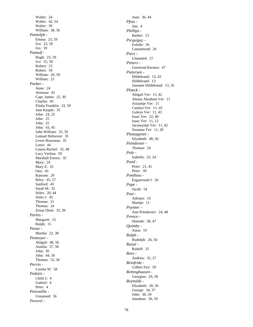Walter: 24 Walter: 42, 54 Walter: 39 William: 38, 56 *Pantolph -* Emma: 23, 59 Ivo: 23, 59 Ivo: 59 *Pantulf -* Hugh: 23, 59 Ivo: 55, 59 Robert: 23 Robert: 59 William: 26, 59 William: 23 *Parker -* Anne: 24 Artemus: 45 Capt. James: 25, 30 Charles: 45 Elisha Franklin: 22, 59 Jane Keaple: 35 John: 24, 25 John: 25 John: 25 John: 43, 45 John William: 35, 59 Lemuel Deforrest: 35 Lewis Rousseau: 35 Louis: 44 Louisa Rachel: 35, 48 Lucy Verlina: 59 Marshall Emory: 35 Mary: 24 Mary E: 35 Otis: 43 Ransom: 29 Riley: 45, 57 Sanford: 45 Sarah M: 35 Stiles: 20, 44 Stiles J: 45 Thomas: 21 Thomas: 24 Zenas Dean: 33, 39 *Parles -* Margaret: 15 Ralph: 15 *Pease -* Martha: 22, 38 *Pennoyer -* Abigail: 46, 56 Amelia: 37, 58 John: 56 John: 44, 56 Thomas: 55, 56 *Perrin -* Loretta W: 58 *Petkitis -* Child 2: 4 Gabriel: 4 Peter: 4 *Petronilla -* Unnamed: 56 *Peverel -*

Joan: 36, 44 *Pfost -* Jim: 4 *Phillips -* Barber: 13 *Picquiguy -* Eulalie: 26 Gansemond: 26 *Piers -* Unnamed: 27 *Pieters -* Geertruid Kersten: 47 *Pietersen -* Hildebrand: 13, 43 Hildebrand: 13 Jannatie Hildebrand: 13, 35 *Planck -* Abigail Ver: 15, 42 Abram Abraham Ver: 11 Ariaantje Ver: 11 Catalyn Ver: 11, 43 Guleyn Ver: 11, 43 Isaac Ver: 22, 40 Isaac Ver: 11, 12 Jacomyntje Ver: 11, 42 Susanna Ver: 11, 20 *Plantagenet -* Elizabeth: 48, 56 *Poindexter -* Thomas: 24 *Pole -* Isabella: 22, 24 *Pond -* Peter: 21, 41 Peter: 39 *Ponthieu -* Enguerrand I: 26 *Pope -* Sarah: 54 *Post -* Adriaen: 16 Maritje: 11 *Poynter -* Ann Poindexter: 24, 48 *Prence -* Hannah: 38, 47 *Quimby -* Anna: 19 *Ralph -* Rudolph: 26, 56 *Raoul -* Rudolf: 25 *Rees -* Andries: 35, 37 *Reinfride -* Gilbert Fitz: 59 *Rettinghausen -* Georgius: 29, 39 *Reynolds -* Elizabeth: 30, 56 George: 34, 37 John: 30, 59 Jonathan: 30, 59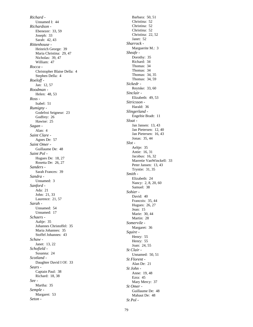*Richard -* Unnamed I: 44 *Richardson -* Ebenezer: 33, 59 Joseph: 33 Sarah: 42, 43 *Rittenhouse -* Heinrich George: 39 Maria Christina: 29, 47 Nicholas: 39, 47 William: 47 *Rocca -* Christopher Blaise Della: 4 Stephen Della: 4 *Roeloff -* Jan: 12, 57 *Roodman -* Helen: 48, 53 *Ross -* Isabel: 51 *Rumigny -* Godefroi Seigneur: 23 Godfrey: 26 Hawise: 25 *Sagan -* Alan: 4 *Saint Clare -* Agnes De: 57 *Saint Omer -* Guillaume De: 48 *Saint Pol -* Hugues De: 18, 27 Rosetta De: 26, 27 *Sanders -* Sarah Frances: 39 *Sandra -* Unnamed: 3 *Sanford -* Ada: 21 John: 21, 33 Laurence: 21, 57 *Sarah -* Unnamed: 54 Unnamed: 17 *Schaers -* Aaltje: 35 Johannes Christoffel: 35 Maria Johannes: 35 Stoffel Johannes: 43 *Schaw -* Janet: 13, 22 *Schofield -* Susanna: 24 *Scotland -* Daughter David I Of: 33 *Sears -* Captain Paul: 38 Richard: 18, 38 *See -* Martha: 35 *Semple -* Margaret: 53 *Seton -*

Barbara: 50, 51 Christina: 52 Christina: 52 Christina: 52 Christina: 22, 52 Janet: 52 *Sharrock -* Marguerite M.: 3 *Sheafe -* Dorothy: 35 Richard: 34 Thomas: 34 Thomas: 34 Thomas: 34, 35 Thomas: 34, 59 *Sickedr -* Reytske: 33, 60 *Sinclair -* Elizabeth: 49, 53 *Sitricsson -* Harald: 36 *Slingerland -* Engeltie Bradt: 11 *Sloat -* Jan Jansen: 13, 43 Jan Pietersen: 12, 40 Jan Pietersen: 16, 43 Jonas: 35, 44 *Slot -* Aeltje: 35 Antie: 16, 31 Jacobus: 16, 32 Marretie VanWinckell: 33 Peter Jansen: 13, 43 Tryntie: 31, 35 *Smith -* Elizabeth: 24 Nancy: 2, 8, 20, 60 Samuel: 38 *Sohier -* David: 40 Francois: 35, 44 Hugues: 26, 27 Jean: 15 Marie: 30, 44 Martin: 28 *Somervile -* Margaret: 36 *Squire -* Henry: 55 Henry: 55 Joan: 24, 55 *St Clair -* Unnamed: 50, 51 *St Florent -* Alan De: 21 *St John -* Anne: 19, 48 Ezra: 45 Mary Mercy: 37 *St Omer -* Guillaume De: 48 Mahaut De: 48 *St Pol -*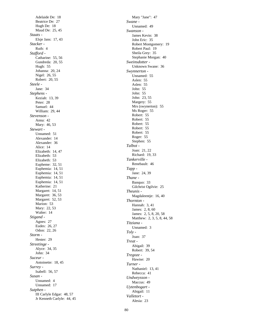Adelaide De: 18 Beatrice De: 27 Hugh De: 18 Maud De: 25, 45 *Staats -* Elsje Jans: 17, 43 *Stacker -* Ruth: 4 *Stafford -* Catharine: 55, 56 Gundreda: 20, 55 Hugh: 55 Johanna: 20, 24 Nigel: 26, 55 Robert: 20, 55 *Steele -* Jane: 34 *Stephens -* Keziah: 13, 39 Peter: 28 Samuel: 44 William: 29, 44 *Stevenson -* Anna: 42 Mary: 46, 53 *Stewart -* Unnamed: 51 Alexander: 14 Alexander: 36 Alice: 14 Elizabeth: 14, 47 Elizabeth: 53 Elizabeth: 53 Eupheme: 32, 51 Euphemia: 14, 51 Euphemia: 14, 51 Euphemia: 14, 51 Euphemia: 14, 51 Katherine: 21 Margaret: 14, 51 Margaret: 36, 53 Margaret: 52, 53 Marion: 53 Mary: 22, 53 Walter: 14 *Stigand -* Agnes: 27 Eudes: 26, 27 Odon: 22, 26 *Storm -* Hester: 29 *Streetinge -* Alyce: 34, 35 John: 34 *Suceur -* Antoinette: 18, 45 *Surrey -* Isabell: 56, 57 *Susan -* Unnamed: 4 Unnamed: 17 *Sutphen -* III Carlyle Edgar: 48, 57 Jr Kenneth Carlyle: 44, 45

Mary "Jane": 47 *Swane -* Unnamed: 49 *Swanson -* James Kevin: 38 John Eric: 35 Robert Montgomery: 19 Robert Paul: 19 Sheila Grey: 35 Stephanie Morgan: 40 *Sweinsdotter -* Unknown Swane: 36 *Swynnerton -* Unnamed: 55 Aslen: 55 Aslen: 55 John: 55 John: 55 John: 23, 55 Margery: 55 Mrs (swynerton): 55 Ms Roger: 55 Robert: 55 Robert: 55 Robert: 55 Robert: 55 Robert: 55 Roger: 55 Stephen: 55 *Talbot -* Joan: 21, 22 Richard: 19, 33 *Tankerville -* Renebault: 46 *Tapp -* Jane: 24, 39 *Thane -* Banquo: 33 Gilchrist Ogilvie: 25 *Theunis -* Magdaleentje: 16, 40 *Thornton -* Hannah: 3, 41 James: 2, 8, 60 James: 2, 5, 8, 20, 58 Matthew: 2, 3, 5, 8, 44, 58 *Titziana -* Unnamed: 3 *Toly -* Joan: 37 *Treat -* Abigail: 39 Robert: 39, 54 *Tregoze -* Hawise: 20 *Turner -* Nathaniel: 13, 41 Rebecca: 41 *Undweysson -* Maccus: 49 *Uytenbogart -* Abigail: 11 *Valletort -* Alesia: 23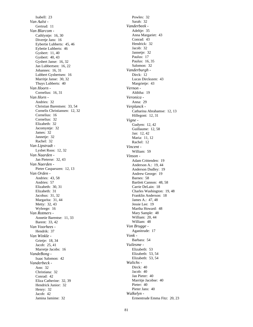Isabell: 23 *Van Aalst -* Gertrud: 11 *Van Blarcom -* Cathlyntje: 16, 30 Divertje Jans: 16 Eybertie Lubberts: 45, 46 Eybetie Lubberts: 46 Gysbert: 11, 40 Gysbert: 40, 43 Gysbert Janse: 16, 32 Jan Lubbertsen: 16, 22 Johannes: 16, 31 Lubbert Gysbertsen: 16 Marritje Janse: 30, 32 Thuys Lubberts: 40 *Van Hoorn -* Cornelius: 16, 31 *Van Horn -* Andries: 32 Christian Barentsen: 33, 54 Cornelis Christiansen: 12, 32 Cornelius: 16 Cornelius: 32 Elizabeth: 32 Jacomyntje: 32 James: 32 Jannetje: 32 Rachel: 32 *Van Lipstradt -* Lysbet Roos: 12, 32 *Van Naarden -* Jan Pieterse: 32, 43 *Van Naerden -* Pieter Casparszen: 12, 13 *Van Orden -* Andries: 43, 58 Andries: 57 Elizabeth: 30, 31 Elizabeth: 31 Jacobus: 31, 32 Margarita: 31, 44 Metty: 32, 43 Wybrege: 16 *Van Rotmers -* Annetie Barentse: 11, 33 Barent: 33, 42 *Van Voorhees -* Hendrik: 37 *Van Winkle -* Grietje: 18, 34 Jacob: 25, 41 Marretje Jacobs: 16 *VandeBong -* Isaac Salomon: 42 *Vanderbeck -* Ann: 32 Christiana: 32 Conrad: 42 Eliza Catherine: 32, 39 Hendrick Junior: 32 Henry: 32 Jacob: 42 Jamina Jamime: 32

Powles: 32 Sarah: 32 *Vanderbeek -* Adeltie: 35 Anna Margariet: 43 Conrad: 43 Hendrick: 32 Jacob: 32 Jannetje: 32 Paulus: 17 Paulus: 16, 35 Salomon: 32 *Vanderburgh -* Dirck: 12 Lucas Dirckszen: 43 Margrietje: 43 *Vernon -* Alditha: 19 *Veronica -* Anna: 29 *Verplanck -* Catharina Abrahamse: 12, 13 Hillegont: 12, 31 *Vigne -* Gudyen: 12, 42 Guillaume: 12, 58 Jan: 12, 42 Maria: 11, 12 Rachel: 12 *Vincent -* William: 59 *Vinson -* Adam Crittenden: 19 Anderson A.: 19, 44 Anderson Dudley: 19 Andrew George: 19 Barnes: 58 Bartlett Cannon: 48, 58 Carrie DeLain: 18 Charles Washington: 19, 48 Franklin Anderson: 18 James A.: 47, 48 Jessie Lee: 19 Martha Howard: 48 Mary Sample: 48 William: 20, 44 William: 48 *Von Brugge -* Aganitrude: 17 *Vonk -* Barbara: 54 *Vuilesme -* Elizabeth: 53 Elizabeth: 53, 54 Elizabeth: 53, 54 *Walichs -* Dirck: 40 Jacob: 40 Jan Pieter: 40 Marritje Jacobse: 40 Pieter: 40 Pieter Jans: 40 *Walkelyn -*

Ermentrude Emma Fitz: 20, 23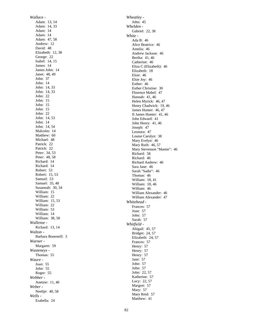*Wallace -* Adam: 13, 14 Adam: 14, 33 Adam: 14 Adam: 14 Adam: 47, 58 Andrew: 12 David: 48 Elizabeth: 12, 38 George: 22 Isabel: 14, 15 James: 14 James John: 14 Janet: 48, 49 John: 37 John: 14 John: 14, 33 John: 14, 33 John: 22 John: 15 John: 15 John: 15 John: 22 John: 14, 53 John: 14 John: 14, 54 Malcolm: 14 Matthew: 60 Michael: 48 Patrick: 22 Patrick: 22 Peter: 34, 53 Peter: 48, 58 Richard: 14 Richard: 14 Robert: 53 Robert: 15, 53 Samuel: 53 Samuel: 35, 48 Susannah: 30, 34 William: 15 William: 22 William: 15, 53 William: 22 William: 53 William: 14 William: 38, 58 *Wallense -* Richard: 13, 14 *Walton -* Barbara Bonestell: 3 *Warner -* Margaret: 59 *Wasteneys -* Thomas: 55 *Waure -* Joan: 55 John: 55 Roger: 55 *Webber -* Anetzie: 11, 40 *Weber -* Neeltje: 40, 58 *Wells -* Esabella: 24

*Wheatley -* John: 45 *Whelden -* Gabriel: 22, 38 *White -* Ada B: 46 Alice Beatrice: 46 Amelia: 46 Andrew Jackson: 46 Bertha: 41, 46 Catherine: 46 Eliza C (Elizabeth): 46 Elizabeth: 18 Elsie: 46 Elsie Joy: 46 Esther: 46 Esther Christine: 30 Florence Mabel: 47 Hannah: 41, 46 Helen Myrick: 46, 47 Henry Chadwick: 19, 46 James Hunter: 46, 47 II James Hunter: 41, 46 John Edward: 41 John Henry: 41, 46 Joseph: 47 Leonora: 47 Louise Carolyn: 38 Mary Evelyn: 46 Mary Ruth: 46, 57 Mary Stevenson "Mamie": 46 Richard: 58 Richard: 46 Richard Andrew: 46 Sara Jane: 46 Sarah "Sadie": 46 Thomas: 46 William: 18, 41 William: 18, 46 William: 46 William Alexander: 46 William Alexander: 47 *Whitehead -* Frances: 57 Joan: 57 John: 57 Sarah: 57 *Whitfield -* Abigail: 45, 57 Bridget: 24, 57 Elizabeth: 24, 57 Frances: 57 Henry: 57 Henry: 57 Henry: 57 Jane: 57 John: 57 John: 57 John: 22, 57 Katherine: 57 Lucy: 22, 57 Margret: 57 Mary: 57 Mary Reid: 57 Matthew: 41